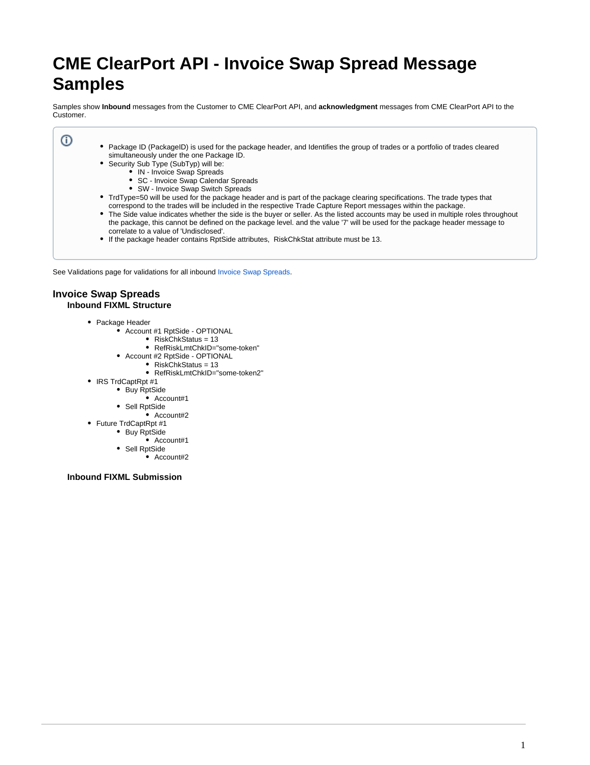# **CME ClearPort API - Invoice Swap Spread Message Samples**

Samples show **Inbound** messages from the Customer to CME ClearPort API, and **acknowledgment** messages from CME ClearPort API to the Customer.

- Package ID (PackageID) is used for the package header, and Identifies the group of trades or a portfolio of trades cleared simultaneously under the one Package ID.
	- Security Sub Type (SubTyp) will be:
		- IN Invoice Swap Spreads
		- SC Invoice Swap Calendar Spreads
		- SW Invoice Swap Switch Spreads
	- TrdType=50 will be used for the package header and is part of the package clearing specifications. The trade types that correspond to the trades will be included in the respective Trade Capture Report messages within the package.
	- $\bullet$ The Side value indicates whether the side is the buyer or seller. As the listed accounts may be used in multiple roles throughout the package, this cannot be defined on the package level. and the value '7' will be used for the package header message to correlate to a value of 'Undisclosed'.
	- If the package header contains RptSide attributes, RiskChkStat attribute must be 13.

See Validations page for validations for all inbound [Invoice Swap Spreads.](https://www.cmegroup.com/confluence/display/EPICSANDBOX/Invoice+Swap+Spreads)

# **Invoice Swap Spreads Inbound FIXML Structure**

ന

- Package Header
	- Account #1 RptSide OPTIONAL
		- RiskChkStatus =  $13$
		- RefRiskLmtChkID="some-token"
		- Account #2 RptSide OPTIONAL
			- RiskChkStatus = 13
			- RefRiskLmtChkID="some-token2"
- IRS TrdCaptRpt #1
	- Buy RptSide
		- Account#1
		- Sell RptSide
			- $\bullet$  Account#2
- Future TrdCaptRpt #1
	- Buy RptSide
		- Account#1
	- Sell RptSide  $\bullet$  Account#2
		-

**Inbound FIXML Submission**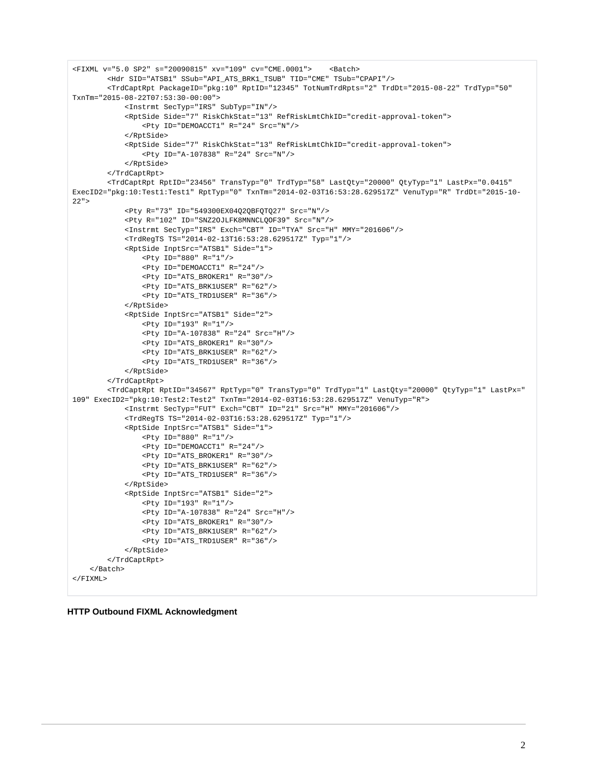```
<FIXML v="5.0 SP2" s="20090815" xv="109" cv="CME.0001"> <Batch>
         <Hdr SID="ATSB1" SSub="API_ATS_BRK1_TSUB" TID="CME" TSub="CPAPI"/>
         <TrdCaptRpt PackageID="pkg:10" RptID="12345" TotNumTrdRpts="2" TrdDt="2015-08-22" TrdTyp="50" 
TxnTm="2015-08-22T07:53:30-00:00">
             <Instrmt SecTyp="IRS" SubTyp="IN"/>
             <RptSide Side="7" RiskChkStat="13" RefRiskLmtChkID="credit-approval-token">
                 <Pty ID="DEMOACCT1" R="24" Src="N"/>
             </RptSide>
             <RptSide Side="7" RiskChkStat="13" RefRiskLmtChkID="credit-approval-token">
                 <Pty ID="A-107838" R="24" Src="N"/>
             </RptSide>
         </TrdCaptRpt>
         <TrdCaptRpt RptID="23456" TransTyp="0" TrdTyp="58" LastQty="20000" QtyTyp="1" LastPx="0.0415" 
ExecID2="pkg:10:Test1:Test1" RptTyp="0" TxnTm="2014-02-03T16:53:28.629517Z" VenuTyp="R" TrdDt="2015-10-
22" <Pty R="73" ID="549300EX04Q2QBFQTQ27" Src="N"/>
             <Pty R="102" ID="SNZ2OJLFK8MNNCLQOF39" Src="N"/>
             <Instrmt SecTyp="IRS" Exch="CBT" ID="TYA" Src="H" MMY="201606"/>
             <TrdRegTS TS="2014-02-13T16:53:28.629517Z" Typ="1"/>
             <RptSide InptSrc="ATSB1" Side="1">
                 <Pty ID="880" R="1"/>
                 <Pty ID="DEMOACCT1" R="24"/>
                 <Pty ID="ATS_BROKER1" R="30"/>
                 <Pty ID="ATS_BRK1USER" R="62"/>
                 <Pty ID="ATS_TRD1USER" R="36"/>
             </RptSide>
             <RptSide InptSrc="ATSB1" Side="2">
                 <Pty ID="193" R="1"/>
                 <Pty ID="A-107838" R="24" Src="H"/>
                 <Pty ID="ATS_BROKER1" R="30"/>
                 <Pty ID="ATS_BRK1USER" R="62"/>
                 <Pty ID="ATS_TRD1USER" R="36"/>
             </RptSide>
         </TrdCaptRpt>
         <TrdCaptRpt RptID="34567" RptTyp="0" TransTyp="0" TrdTyp="1" LastQty="20000" QtyTyp="1" LastPx="
109" ExecID2="pkg:10:Test2:Test2" TxnTm="2014-02-03T16:53:28.629517Z" VenuTyp="R">
             <Instrmt SecTyp="FUT" Exch="CBT" ID="21" Src="H" MMY="201606"/>
             <TrdRegTS TS="2014-02-03T16:53:28.629517Z" Typ="1"/>
             <RptSide InptSrc="ATSB1" Side="1">
                 <Pty ID="880" R="1"/>
                 <Pty ID="DEMOACCT1" R="24"/>
                 <Pty ID="ATS_BROKER1" R="30"/>
                 <Pty ID="ATS_BRK1USER" R="62"/>
                 <Pty ID="ATS_TRD1USER" R="36"/>
             </RptSide>
             <RptSide InptSrc="ATSB1" Side="2">
                 <Pty ID="193" R="1"/>
                 <Pty ID="A-107838" R="24" Src="H"/>
                 <Pty ID="ATS_BROKER1" R="30"/>
                 <Pty ID="ATS_BRK1USER" R="62"/>
                 <Pty ID="ATS_TRD1USER" R="36"/>
             </RptSide>
         </TrdCaptRpt>
     </Batch>
\epsilon/FTYML\sim
```
## **HTTP Outbound FIXML Acknowledgment**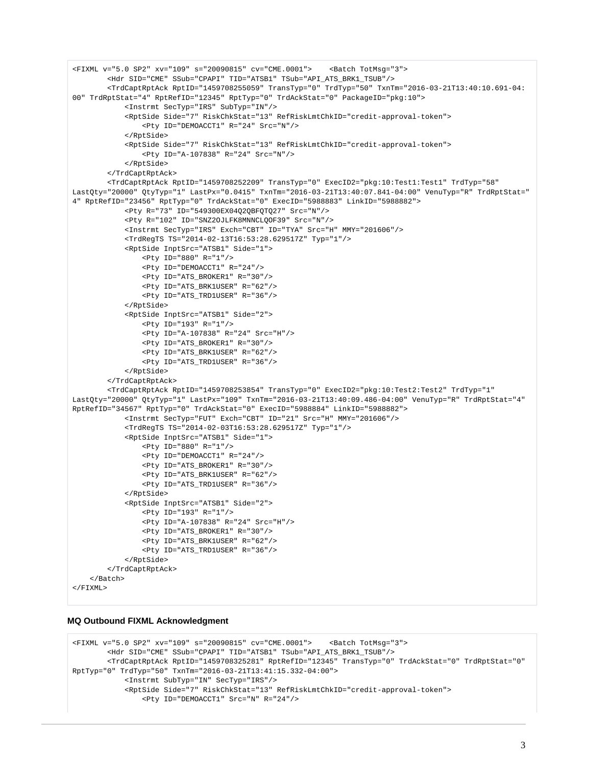```
<FIXML v="5.0 SP2" xv="109" s="20090815" cv="CME.0001"> <Batch TotMsg="3">
         <Hdr SID="CME" SSub="CPAPI" TID="ATSB1" TSub="API_ATS_BRK1_TSUB"/>
         <TrdCaptRptAck RptID="1459708255059" TransTyp="0" TrdTyp="50" TxnTm="2016-03-21T13:40:10.691-04:
00" TrdRptStat="4" RptRefID="12345" RptTyp="0" TrdAckStat="0" PackageID="pkg:10">
             <Instrmt SecTyp="IRS" SubTyp="IN"/>
             <RptSide Side="7" RiskChkStat="13" RefRiskLmtChkID="credit-approval-token">
                 <Pty ID="DEMOACCT1" R="24" Src="N"/>
             </RptSide>
             <RptSide Side="7" RiskChkStat="13" RefRiskLmtChkID="credit-approval-token">
                 <Pty ID="A-107838" R="24" Src="N"/>
             </RptSide>
         </TrdCaptRptAck>
         <TrdCaptRptAck RptID="1459708252209" TransTyp="0" ExecID2="pkg:10:Test1:Test1" TrdTyp="58" 
LastQty="20000" QtyTyp="1" LastPx="0.0415" TxnTm="2016-03-21T13:40:07.841-04:00" VenuTyp="R" TrdRptStat="
4" RptRefID="23456" RptTyp="0" TrdAckStat="0" ExecID="5988883" LinkID="5988882">
             <Pty R="73" ID="549300EX04Q2QBFQTQ27" Src="N"/>
             <Pty R="102" ID="SNZ2OJLFK8MNNCLQOF39" Src="N"/>
             <Instrmt SecTyp="IRS" Exch="CBT" ID="TYA" Src="H" MMY="201606"/>
             <TrdRegTS TS="2014-02-13T16:53:28.629517Z" Typ="1"/>
             <RptSide InptSrc="ATSB1" Side="1">
                 <Pty ID="880" R="1"/>
                 <Pty ID="DEMOACCT1" R="24"/>
                 <Pty ID="ATS_BROKER1" R="30"/>
                 <Pty ID="ATS_BRK1USER" R="62"/>
                 <Pty ID="ATS_TRD1USER" R="36"/>
             </RptSide>
             <RptSide InptSrc="ATSB1" Side="2">
                 <Pty ID="193" R="1"/>
                 <Pty ID="A-107838" R="24" Src="H"/>
                 <Pty ID="ATS_BROKER1" R="30"/>
                 <Pty ID="ATS_BRK1USER" R="62"/>
                 <Pty ID="ATS_TRD1USER" R="36"/>
             </RptSide>
         </TrdCaptRptAck>
         <TrdCaptRptAck RptID="1459708253854" TransTyp="0" ExecID2="pkg:10:Test2:Test2" TrdTyp="1" 
LastQty="20000" QtyTyp="1" LastPx="109" TxnTm="2016-03-21T13:40:09.486-04:00" VenuTyp="R" TrdRptStat="4" 
RptRefID="34567" RptTyp="0" TrdAckStat="0" ExecID="5988884" LinkID="5988882">
             <Instrmt SecTyp="FUT" Exch="CBT" ID="21" Src="H" MMY="201606"/>
             <TrdRegTS TS="2014-02-03T16:53:28.629517Z" Typ="1"/>
             <RptSide InptSrc="ATSB1" Side="1">
                 <Pty ID="880" R="1"/>
                 <Pty ID="DEMOACCT1" R="24"/>
                 <Pty ID="ATS_BROKER1" R="30"/>
                 <Pty ID="ATS_BRK1USER" R="62"/>
                 <Pty ID="ATS_TRD1USER" R="36"/>
             </RptSide>
             <RptSide InptSrc="ATSB1" Side="2">
                 <Pty ID="193" R="1"/>
                 <Pty ID="A-107838" R="24" Src="H"/>
                 <Pty ID="ATS_BROKER1" R="30"/>
                 <Pty ID="ATS_BRK1USER" R="62"/>
                 <Pty ID="ATS_TRD1USER" R="36"/> 
             </RptSide>
         </TrdCaptRptAck>
    \epsilon/Batch>
\epsilon/FTYML\sim
```
## **MQ Outbound FIXML Acknowledgment**

```
<FIXML v="5.0 SP2" xv="109" s="20090815" cv="CME.0001"> <Batch TotMsg="3">
         <Hdr SID="CME" SSub="CPAPI" TID="ATSB1" TSub="API_ATS_BRK1_TSUB"/>
         <TrdCaptRptAck RptID="1459708325281" RptRefID="12345" TransTyp="0" TrdAckStat="0" TrdRptStat="0" 
RptTyp="0" TrdTyp="50" TxnTm="2016-03-21T13:41:15.332-04:00">
             <Instrmt SubTyp="IN" SecTyp="IRS"/>
             <RptSide Side="7" RiskChkStat="13" RefRiskLmtChkID="credit-approval-token">
                 <Pty ID="DEMOACCT1" Src="N" R="24"/>
```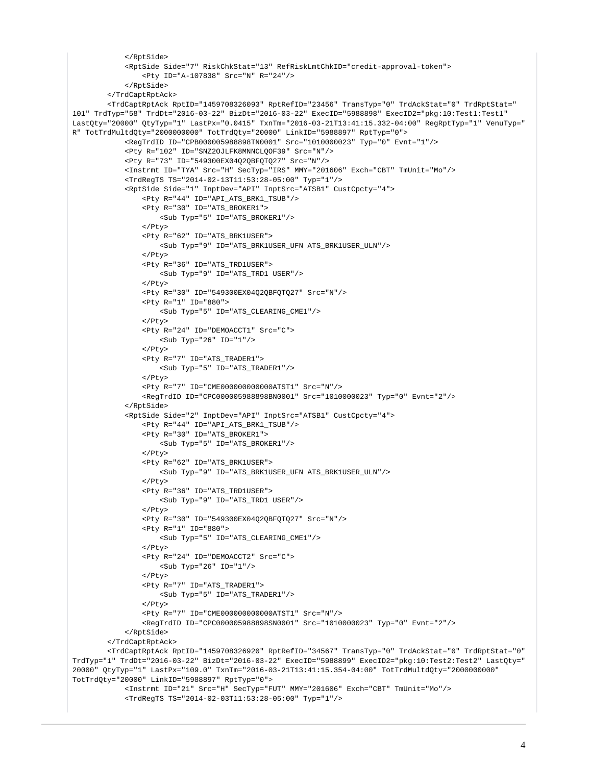```
 </RptSide>
             <RptSide Side="7" RiskChkStat="13" RefRiskLmtChkID="credit-approval-token">
                 <Pty ID="A-107838" Src="N" R="24"/>
             </RptSide>
         </TrdCaptRptAck>
         <TrdCaptRptAck RptID="1459708326093" RptRefID="23456" TransTyp="0" TrdAckStat="0" TrdRptStat="
101" TrdTyp="58" TrdDt="2016-03-22" BizDt="2016-03-22" ExecID="5988898" ExecID2="pkg:10:Test1:Test1" 
LastQty="20000" QtyTyp="1" LastPx="0.0415" TxnTm="2016-03-21T13:41:15.332-04:00" RegRptTyp="1" VenuTyp="
R" TotTrdMultdQty="2000000000" TotTrdQty="20000" LinkID="5988897" RptTyp="0">
             <RegTrdID ID="CPB000005988898TN0001" Src="1010000023" Typ="0" Evnt="1"/>
             <Pty R="102" ID="SNZ2OJLFK8MNNCLQOF39" Src="N"/>
             <Pty R="73" ID="549300EX04Q2QBFQTQ27" Src="N"/>
             <Instrmt ID="TYA" Src="H" SecTyp="IRS" MMY="201606" Exch="CBT" TmUnit="Mo"/>
             <TrdRegTS TS="2014-02-13T11:53:28-05:00" Typ="1"/>
             <RptSide Side="1" InptDev="API" InptSrc="ATSB1" CustCpcty="4">
                 <Pty R="44" ID="API_ATS_BRK1_TSUB"/>
                 <Pty R="30" ID="ATS_BROKER1">
                     <Sub Typ="5" ID="ATS_BROKER1"/>
                 </Pty>
                 <Pty R="62" ID="ATS_BRK1USER">
                     <Sub Typ="9" ID="ATS_BRK1USER_UFN ATS_BRK1USER_ULN"/>
                 </Pty>
                 <Pty R="36" ID="ATS_TRD1USER">
                     <Sub Typ="9" ID="ATS_TRD1 USER"/>
                 </Pty>
                 <Pty R="30" ID="549300EX04Q2QBFQTQ27" Src="N"/>
                 <Pty R="1" ID="880">
                     <Sub Typ="5" ID="ATS_CLEARING_CME1"/>
                  </Pty>
                 <Pty R="24" ID="DEMOACCT1" Src="C">
                     <Sub Typ="26" ID="1"/>
                 </Pty>
                 <Pty R="7" ID="ATS_TRADER1">
                     <Sub Typ="5" ID="ATS_TRADER1"/>
                \epsilon/Pty>
                 <Pty R="7" ID="CME000000000000ATST1" Src="N"/>
                 <RegTrdID ID="CPC000005988898BN0001" Src="1010000023" Typ="0" Evnt="2"/>
             </RptSide>
             <RptSide Side="2" InptDev="API" InptSrc="ATSB1" CustCpcty="4">
                 <Pty R="44" ID="API_ATS_BRK1_TSUB"/>
                 <Pty R="30" ID="ATS_BROKER1">
                     <Sub Typ="5" ID="ATS_BROKER1"/>
                 </Pty>
                 <Pty R="62" ID="ATS_BRK1USER">
                     <Sub Typ="9" ID="ATS_BRK1USER_UFN ATS_BRK1USER_ULN"/>
                 </Pty>
                 <Pty R="36" ID="ATS_TRD1USER">
                     <Sub Typ="9" ID="ATS_TRD1 USER"/>
                  </Pty>
                 <Pty R="30" ID="549300EX04Q2QBFQTQ27" Src="N"/>
                 <Pty R="1" ID="880">
                     <Sub Typ="5" ID="ATS_CLEARING_CME1"/>
                 </Pty>
                 <Pty R="24" ID="DEMOACCT2" Src="C">
                    \text{Sub} Typ="26" ID="1"/>
                  </Pty>
                 <Pty R="7" ID="ATS_TRADER1">
                     <Sub Typ="5" ID="ATS_TRADER1"/>
                 </Pty>
                 <Pty R="7" ID="CME000000000000ATST1" Src="N"/>
                 <RegTrdID ID="CPC000005988898SN0001" Src="1010000023" Typ="0" Evnt="2"/>
             </RptSide>
         </TrdCaptRptAck>
         <TrdCaptRptAck RptID="1459708326920" RptRefID="34567" TransTyp="0" TrdAckStat="0" TrdRptStat="0" 
TrdTyp="1" TrdDt="2016-03-22" BizDt="2016-03-22" ExecID="5988899" ExecID2="pkg:10:Test2:Test2" LastQty="
20000" QtyTyp="1" LastPx="109.0" TxnTm="2016-03-21T13:41:15.354-04:00" TotTrdMultdQty="2000000000" 
TotTrdQty="20000" LinkID="5988897" RptTyp="0">
             <Instrmt ID="21" Src="H" SecTyp="FUT" MMY="201606" Exch="CBT" TmUnit="Mo"/>
             <TrdRegTS TS="2014-02-03T11:53:28-05:00" Typ="1"/>
```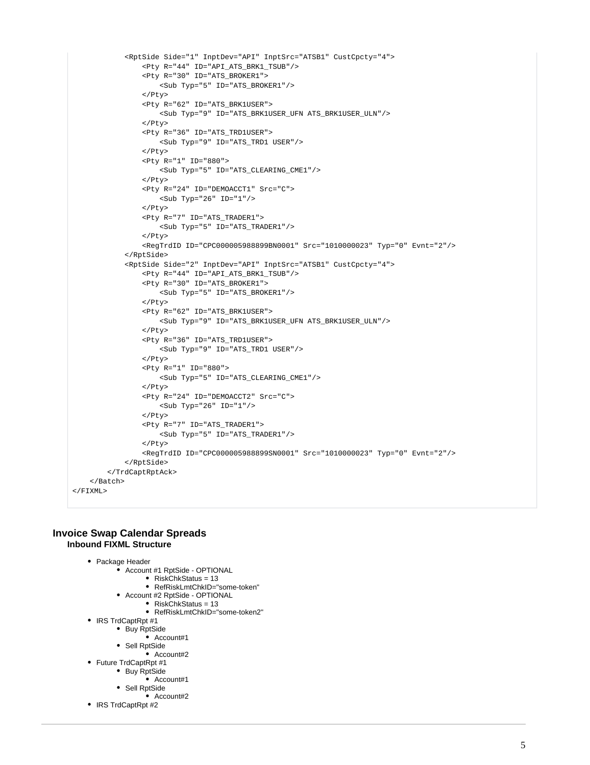```
 <RptSide Side="1" InptDev="API" InptSrc="ATSB1" CustCpcty="4">
                  <Pty R="44" ID="API_ATS_BRK1_TSUB"/>
                  <Pty R="30" ID="ATS_BROKER1">
                     <Sub Typ="5" ID="ATS_BROKER1"/>
                  </Pty>
                  <Pty R="62" ID="ATS_BRK1USER">
                     <Sub Typ="9" ID="ATS_BRK1USER_UFN ATS_BRK1USER_ULN"/>
                  </Pty>
                  <Pty R="36" ID="ATS_TRD1USER">
                     <Sub Typ="9" ID="ATS_TRD1 USER"/>
                 \epsilon/Pty>
                  <Pty R="1" ID="880">
                     <Sub Typ="5" ID="ATS_CLEARING_CME1"/>
                  </Pty>
                  <Pty R="24" ID="DEMOACCT1" Src="C">
                     <Sub Typ="26" ID="1"/>
                  </Pty>
                  <Pty R="7" ID="ATS_TRADER1">
                     <Sub Typ="5" ID="ATS_TRADER1"/>
                  </Pty>
                  <RegTrdID ID="CPC000005988899BN0001" Src="1010000023" Typ="0" Evnt="2"/>
             </RptSide>
             <RptSide Side="2" InptDev="API" InptSrc="ATSB1" CustCpcty="4">
                 <Pty R="44" ID="API_ATS_BRK1_TSUB"/>
                  <Pty R="30" ID="ATS_BROKER1">
                     <Sub Typ="5" ID="ATS_BROKER1"/>
                  </Pty>
                  <Pty R="62" ID="ATS_BRK1USER">
                     <Sub Typ="9" ID="ATS_BRK1USER_UFN ATS_BRK1USER_ULN"/>
                  </Pty>
                  <Pty R="36" ID="ATS_TRD1USER">
                     <Sub Typ="9" ID="ATS_TRD1 USER"/>
                  </Pty>
                  <Pty R="1" ID="880">
                     <Sub Typ="5" ID="ATS_CLEARING_CME1"/>
                  </Pty>
                  <Pty R="24" ID="DEMOACCT2" Src="C">
                     <Sub Typ="26" ID="1"/>
                  </Pty>
                  <Pty R="7" ID="ATS_TRADER1">
                     <Sub Typ="5" ID="ATS_TRADER1"/>
                  </Pty>
                  <RegTrdID ID="CPC000005988899SN0001" Src="1010000023" Typ="0" Evnt="2"/>
             </RptSide>
         </TrdCaptRptAck>
     </Batch>
\epsilon/FTXML>
```
# **Invoice Swap Calendar Spreads Inbound FIXML Structure**

```
• Package Header
```
- Account #1 RptSide OPTIONAL
	- $\bullet$  RiskChkStatus = 13
	- RefRiskLmtChkID="some-token"
- Account #2 RptSide OPTIONAL • RiskChkStatus = 13
	- RefRiskLmtChkID="some-token2"
- IRS TrdCaptRpt #1
	- Buy RptSide
		- Account#1
		- Sell RptSide
			- Account#2
- Future TrdCaptRpt #1
	- Buy RptSide  $\bullet$  Account#1
	- Sell RptSide
		- $\bullet$  Account#2
- IRS TrdCaptRpt #2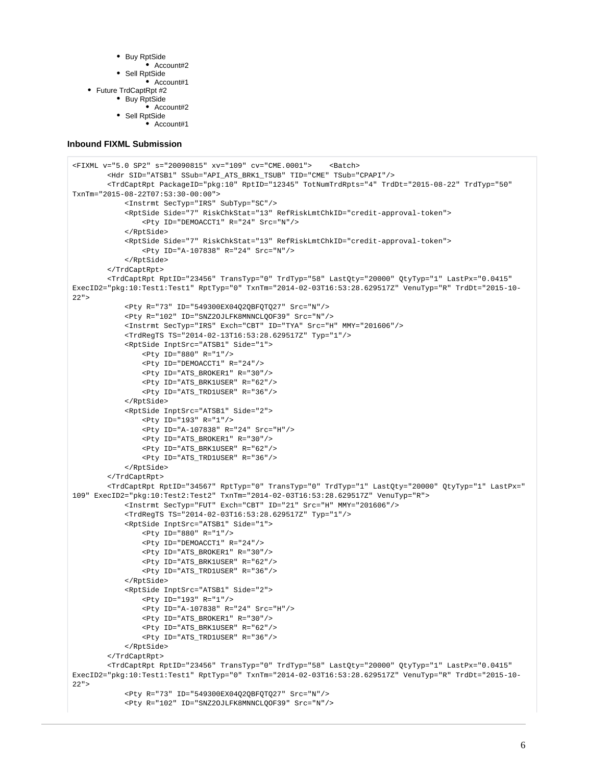- Buy RptSide
	- Account#2
- Sell RptSide
- $\bullet$  Account#1 ● Future TrdCaptRpt #2
	-
	- Buy RptSide Account#2
	- Sell RptSide
	- Account#1

#### **Inbound FIXML Submission**

```
<FIXML v="5.0 SP2" s="20090815" xv="109" cv="CME.0001"> <Batch>
         <Hdr SID="ATSB1" SSub="API_ATS_BRK1_TSUB" TID="CME" TSub="CPAPI"/>
         <TrdCaptRpt PackageID="pkg:10" RptID="12345" TotNumTrdRpts="4" TrdDt="2015-08-22" TrdTyp="50" 
TxnTm="2015-08-22T07:53:30-00:00">
             <Instrmt SecTyp="IRS" SubTyp="SC"/>
             <RptSide Side="7" RiskChkStat="13" RefRiskLmtChkID="credit-approval-token">
                 <Pty ID="DEMOACCT1" R="24" Src="N"/>
             </RptSide>
             <RptSide Side="7" RiskChkStat="13" RefRiskLmtChkID="credit-approval-token">
                 <Pty ID="A-107838" R="24" Src="N"/>
             </RptSide>
         </TrdCaptRpt>
         <TrdCaptRpt RptID="23456" TransTyp="0" TrdTyp="58" LastQty="20000" QtyTyp="1" LastPx="0.0415" 
ExecID2="pkg:10:Test1:Test1" RptTyp="0" TxnTm="2014-02-03T16:53:28.629517Z" VenuTyp="R" TrdDt="2015-10-
22" <Pty R="73" ID="549300EX04Q2QBFQTQ27" Src="N"/>
             <Pty R="102" ID="SNZ2OJLFK8MNNCLQOF39" Src="N"/>
             <Instrmt SecTyp="IRS" Exch="CBT" ID="TYA" Src="H" MMY="201606"/>
             <TrdRegTS TS="2014-02-13T16:53:28.629517Z" Typ="1"/>
             <RptSide InptSrc="ATSB1" Side="1">
                 <Pty ID="880" R="1"/>
                 <Pty ID="DEMOACCT1" R="24"/>
                 <Pty ID="ATS_BROKER1" R="30"/>
                 <Pty ID="ATS_BRK1USER" R="62"/>
                 <Pty ID="ATS_TRD1USER" R="36"/>
             </RptSide>
             <RptSide InptSrc="ATSB1" Side="2">
                 <Pty ID="193" R="1"/>
                 <Pty ID="A-107838" R="24" Src="H"/>
                 <Pty ID="ATS_BROKER1" R="30"/>
                 <Pty ID="ATS_BRK1USER" R="62"/>
                 <Pty ID="ATS_TRD1USER" R="36"/>
             </RptSide>
         </TrdCaptRpt>
         <TrdCaptRpt RptID="34567" RptTyp="0" TransTyp="0" TrdTyp="1" LastQty="20000" QtyTyp="1" LastPx="
109" ExecID2="pkg:10:Test2:Test2" TxnTm="2014-02-03T16:53:28.629517Z" VenuTyp="R">
             <Instrmt SecTyp="FUT" Exch="CBT" ID="21" Src="H" MMY="201606"/>
             <TrdRegTS TS="2014-02-03T16:53:28.629517Z" Typ="1"/>
             <RptSide InptSrc="ATSB1" Side="1">
                 <Pty ID="880" R="1"/>
                 <Pty ID="DEMOACCT1" R="24"/>
                 <Pty ID="ATS_BROKER1" R="30"/>
                 <Pty ID="ATS_BRK1USER" R="62"/>
                 <Pty ID="ATS_TRD1USER" R="36"/>
             </RptSide>
             <RptSide InptSrc="ATSB1" Side="2">
                 <Pty ID="193" R="1"/>
                 <Pty ID="A-107838" R="24" Src="H"/>
                 <Pty ID="ATS_BROKER1" R="30"/>
                 <Pty ID="ATS_BRK1USER" R="62"/>
                 <Pty ID="ATS_TRD1USER" R="36"/>
             </RptSide>
         </TrdCaptRpt>
         <TrdCaptRpt RptID="23456" TransTyp="0" TrdTyp="58" LastQty="20000" QtyTyp="1" LastPx="0.0415" 
ExecID2="pkg:10:Test1:Test1" RptTyp="0" TxnTm="2014-02-03T16:53:28.629517Z" VenuTyp="R" TrdDt="2015-10-
22" <Pty R="73" ID="549300EX04Q2QBFQTQ27" Src="N"/>
             <Pty R="102" ID="SNZ2OJLFK8MNNCLQOF39" Src="N"/>
```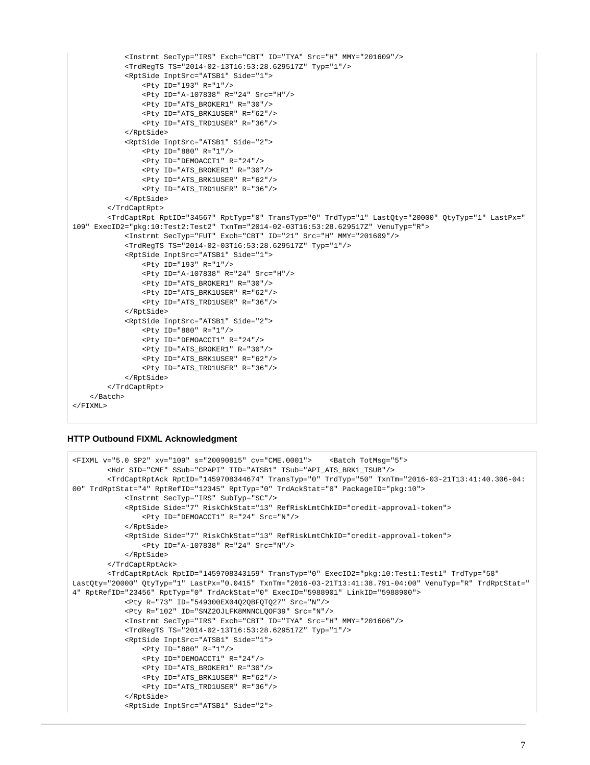```
 <Instrmt SecTyp="IRS" Exch="CBT" ID="TYA" Src="H" MMY="201609"/>
             <TrdRegTS TS="2014-02-13T16:53:28.629517Z" Typ="1"/>
             <RptSide InptSrc="ATSB1" Side="1">
                  <Pty ID="193" R="1"/>
                  <Pty ID="A-107838" R="24" Src="H"/>
                  <Pty ID="ATS_BROKER1" R="30"/>
                  <Pty ID="ATS_BRK1USER" R="62"/>
                  <Pty ID="ATS_TRD1USER" R="36"/>
             </RptSide>
             <RptSide InptSrc="ATSB1" Side="2">
                 <Pty ID="880" R="1"/>
                  <Pty ID="DEMOACCT1" R="24"/>
                  <Pty ID="ATS_BROKER1" R="30"/>
                  <Pty ID="ATS_BRK1USER" R="62"/>
                  <Pty ID="ATS_TRD1USER" R="36"/>
             </RptSide>
         </TrdCaptRpt>
         <TrdCaptRpt RptID="34567" RptTyp="0" TransTyp="0" TrdTyp="1" LastQty="20000" QtyTyp="1" LastPx="
109" ExecID2="pkg:10:Test2:Test2" TxnTm="2014-02-03T16:53:28.629517Z" VenuTyp="R">
             <Instrmt SecTyp="FUT" Exch="CBT" ID="21" Src="H" MMY="201609"/>
             <TrdRegTS TS="2014-02-03T16:53:28.629517Z" Typ="1"/>
             <RptSide InptSrc="ATSB1" Side="1">
                  <Pty ID="193" R="1"/>
                  <Pty ID="A-107838" R="24" Src="H"/>
                  <Pty ID="ATS_BROKER1" R="30"/>
                  <Pty ID="ATS_BRK1USER" R="62"/>
                  <Pty ID="ATS_TRD1USER" R="36"/>
             </RptSide>
             <RptSide InptSrc="ATSB1" Side="2">
                 <Pty ID="880" R="1"/>
                  <Pty ID="DEMOACCT1" R="24"/>
                  <Pty ID="ATS_BROKER1" R="30"/>
                  <Pty ID="ATS_BRK1USER" R="62"/>
                  <Pty ID="ATS_TRD1USER" R="36"/>
             </RptSide>
         </TrdCaptRpt>
    \epsilon/Batch\epsilon\epsilon/FTXML>
```
# **HTTP Outbound FIXML Acknowledgment**

```
<FIXML v="5.0 SP2" xv="109" s="20090815" cv="CME.0001"> <Batch TotMsg="5">
         <Hdr SID="CME" SSub="CPAPI" TID="ATSB1" TSub="API_ATS_BRK1_TSUB"/>
         <TrdCaptRptAck RptID="1459708344674" TransTyp="0" TrdTyp="50" TxnTm="2016-03-21T13:41:40.306-04:
00" TrdRptStat="4" RptRefID="12345" RptTyp="0" TrdAckStat="0" PackageID="pkg:10">
             <Instrmt SecTyp="IRS" SubTyp="SC"/>
             <RptSide Side="7" RiskChkStat="13" RefRiskLmtChkID="credit-approval-token">
                 <Pty ID="DEMOACCT1" R="24" Src="N"/>
             </RptSide>
             <RptSide Side="7" RiskChkStat="13" RefRiskLmtChkID="credit-approval-token">
                 <Pty ID="A-107838" R="24" Src="N"/>
             </RptSide>
         </TrdCaptRptAck>
         <TrdCaptRptAck RptID="1459708343159" TransTyp="0" ExecID2="pkg:10:Test1:Test1" TrdTyp="58" 
LastQty="20000" QtyTyp="1" LastPx="0.0415" TxnTm="2016-03-21T13:41:38.791-04:00" VenuTyp="R" TrdRptStat="
4" RptRefID="23456" RptTyp="0" TrdAckStat="0" ExecID="5988901" LinkID="5988900">
             <Pty R="73" ID="549300EX04Q2QBFQTQ27" Src="N"/>
             <Pty R="102" ID="SNZ2OJLFK8MNNCLQOF39" Src="N"/>
             <Instrmt SecTyp="IRS" Exch="CBT" ID="TYA" Src="H" MMY="201606"/>
             <TrdRegTS TS="2014-02-13T16:53:28.629517Z" Typ="1"/>
             <RptSide InptSrc="ATSB1" Side="1">
                 <Pty ID="880" R="1"/>
                 <Pty ID="DEMOACCT1" R="24"/>
                 <Pty ID="ATS_BROKER1" R="30"/>
                 <Pty ID="ATS_BRK1USER" R="62"/>
                 <Pty ID="ATS_TRD1USER" R="36"/>
             </RptSide>
             <RptSide InptSrc="ATSB1" Side="2">
```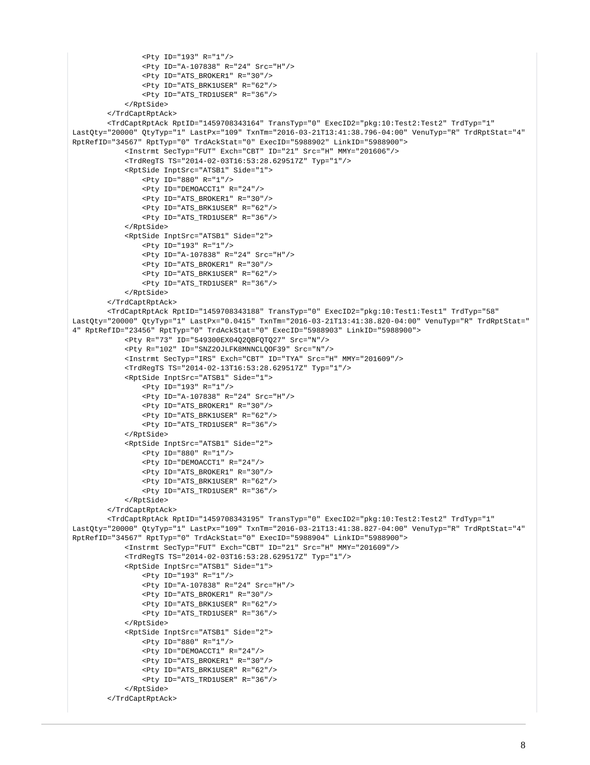```
 <Pty ID="193" R="1"/>
                 <Pty ID="A-107838" R="24" Src="H"/>
                 <Pty ID="ATS_BROKER1" R="30"/>
                 <Pty ID="ATS_BRK1USER" R="62"/>
                 <Pty ID="ATS_TRD1USER" R="36"/>
             </RptSide>
         </TrdCaptRptAck>
         <TrdCaptRptAck RptID="1459708343164" TransTyp="0" ExecID2="pkg:10:Test2:Test2" TrdTyp="1" 
LastQty="20000" QtyTyp="1" LastPx="109" TxnTm="2016-03-21T13:41:38.796-04:00" VenuTyp="R" TrdRptStat="4" 
RptRefID="34567" RptTyp="0" TrdAckStat="0" ExecID="5988902" LinkID="5988900">
             <Instrmt SecTyp="FUT" Exch="CBT" ID="21" Src="H" MMY="201606"/>
             <TrdRegTS TS="2014-02-03T16:53:28.629517Z" Typ="1"/>
             <RptSide InptSrc="ATSB1" Side="1">
                 <Pty ID="880" R="1"/>
                 <Pty ID="DEMOACCT1" R="24"/>
                 <Pty ID="ATS_BROKER1" R="30"/>
                 <Pty ID="ATS_BRK1USER" R="62"/>
                 <Pty ID="ATS_TRD1USER" R="36"/> 
             </RptSide>
             <RptSide InptSrc="ATSB1" Side="2">
                 <Pty ID="193" R="1"/>
                 <Pty ID="A-107838" R="24" Src="H"/>
                 <Pty ID="ATS_BROKER1" R="30"/>
                 <Pty ID="ATS_BRK1USER" R="62"/>
                 <Pty ID="ATS_TRD1USER" R="36"/> 
             </RptSide>
         </TrdCaptRptAck>
         <TrdCaptRptAck RptID="1459708343188" TransTyp="0" ExecID2="pkg:10:Test1:Test1" TrdTyp="58" 
LastQty="20000" QtyTyp="1" LastPx="0.0415" TxnTm="2016-03-21T13:41:38.820-04:00" VenuTyp="R" TrdRptStat="
4" RptRefID="23456" RptTyp="0" TrdAckStat="0" ExecID="5988903" LinkID="5988900">
             <Pty R="73" ID="549300EX04Q2QBFQTQ27" Src="N"/>
             <Pty R="102" ID="SNZ2OJLFK8MNNCLQOF39" Src="N"/>
             <Instrmt SecTyp="IRS" Exch="CBT" ID="TYA" Src="H" MMY="201609"/>
             <TrdRegTS TS="2014-02-13T16:53:28.629517Z" Typ="1"/>
             <RptSide InptSrc="ATSB1" Side="1">
                 <Pty ID="193" R="1"/>
                 <Pty ID="A-107838" R="24" Src="H"/>
                 <Pty ID="ATS_BROKER1" R="30"/>
                 <Pty ID="ATS_BRK1USER" R="62"/>
                 <Pty ID="ATS_TRD1USER" R="36"/>
             </RptSide>
             <RptSide InptSrc="ATSB1" Side="2">
                 <Pty ID="880" R="1"/>
                 <Pty ID="DEMOACCT1" R="24"/>
                 <Pty ID="ATS_BROKER1" R="30"/>
                 <Pty ID="ATS_BRK1USER" R="62"/>
                 <Pty ID="ATS_TRD1USER" R="36"/>
             </RptSide>
         </TrdCaptRptAck>
         <TrdCaptRptAck RptID="1459708343195" TransTyp="0" ExecID2="pkg:10:Test2:Test2" TrdTyp="1" 
LastQty="20000" QtyTyp="1" LastPx="109" TxnTm="2016-03-21T13:41:38.827-04:00" VenuTyp="R" TrdRptStat="4" 
RptRefID="34567" RptTyp="0" TrdAckStat="0" ExecID="5988904" LinkID="5988900">
             <Instrmt SecTyp="FUT" Exch="CBT" ID="21" Src="H" MMY="201609"/>
             <TrdRegTS TS="2014-02-03T16:53:28.629517Z" Typ="1"/>
             <RptSide InptSrc="ATSB1" Side="1">
                 <Pty ID="193" R="1"/>
                 <Pty ID="A-107838" R="24" Src="H"/>
                 <Pty ID="ATS_BROKER1" R="30"/>
                 <Pty ID="ATS_BRK1USER" R="62"/>
                 <Pty ID="ATS_TRD1USER" R="36"/> 
             </RptSide>
             <RptSide InptSrc="ATSB1" Side="2">
                 <Pty ID="880" R="1"/>
                 <Pty ID="DEMOACCT1" R="24"/>
                 <Pty ID="ATS_BROKER1" R="30"/>
                 <Pty ID="ATS_BRK1USER" R="62"/>
                 <Pty ID="ATS_TRD1USER" R="36"/> 
             </RptSide>
         </TrdCaptRptAck>
```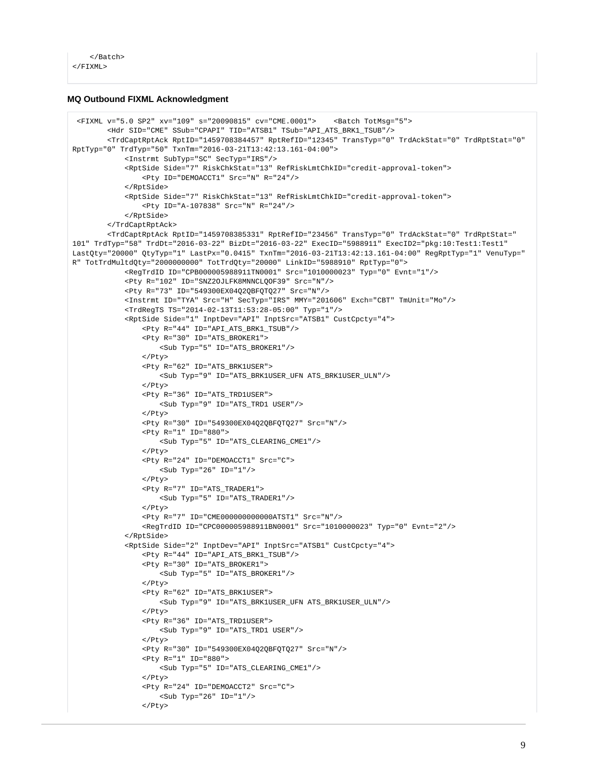```
 </Batch>
\epsilon/FTXML>
```
## **MQ Outbound FIXML Acknowledgment**

```
 <FIXML v="5.0 SP2" xv="109" s="20090815" cv="CME.0001"> <Batch TotMsg="5">
         <Hdr SID="CME" SSub="CPAPI" TID="ATSB1" TSub="API_ATS_BRK1_TSUB"/>
         <TrdCaptRptAck RptID="1459708384457" RptRefID="12345" TransTyp="0" TrdAckStat="0" TrdRptStat="0" 
RptTyp="0" TrdTyp="50" TxnTm="2016-03-21T13:42:13.161-04:00">
             <Instrmt SubTyp="SC" SecTyp="IRS"/>
             <RptSide Side="7" RiskChkStat="13" RefRiskLmtChkID="credit-approval-token">
                 <Pty ID="DEMOACCT1" Src="N" R="24"/>
             </RptSide>
             <RptSide Side="7" RiskChkStat="13" RefRiskLmtChkID="credit-approval-token">
                 <Pty ID="A-107838" Src="N" R="24"/>
             </RptSide>
         </TrdCaptRptAck>
         <TrdCaptRptAck RptID="1459708385331" RptRefID="23456" TransTyp="0" TrdAckStat="0" TrdRptStat="
101" TrdTyp="58" TrdDt="2016-03-22" BizDt="2016-03-22" ExecID="5988911" ExecID2="pkg:10:Test1:Test1" 
LastQty="20000" QtyTyp="1" LastPx="0.0415" TxnTm="2016-03-21T13:42:13.161-04:00" RegRptTyp="1" VenuTyp="
R" TotTrdMultdQty="2000000000" TotTrdQty="20000" LinkID="5988910" RptTyp="0">
             <RegTrdID ID="CPB000005988911TN0001" Src="1010000023" Typ="0" Evnt="1"/>
             <Pty R="102" ID="SNZ2OJLFK8MNNCLQOF39" Src="N"/>
             <Pty R="73" ID="549300EX04Q2QBFQTQ27" Src="N"/>
             <Instrmt ID="TYA" Src="H" SecTyp="IRS" MMY="201606" Exch="CBT" TmUnit="Mo"/>
             <TrdRegTS TS="2014-02-13T11:53:28-05:00" Typ="1"/>
             <RptSide Side="1" InptDev="API" InptSrc="ATSB1" CustCpcty="4">
                 <Pty R="44" ID="API_ATS_BRK1_TSUB"/>
                 <Pty R="30" ID="ATS_BROKER1">
                     <Sub Typ="5" ID="ATS_BROKER1"/>
                 </Pty>
                 <Pty R="62" ID="ATS_BRK1USER">
                     <Sub Typ="9" ID="ATS_BRK1USER_UFN ATS_BRK1USER_ULN"/>
                 </Pty>
                 <Pty R="36" ID="ATS_TRD1USER">
                     <Sub Typ="9" ID="ATS_TRD1 USER"/>
                </Pty>
                 <Pty R="30" ID="549300EX04Q2QBFQTQ27" Src="N"/>
                  <Pty R="1" ID="880">
                     <Sub Typ="5" ID="ATS_CLEARING_CME1"/>
                 </Pty>
                 <Pty R="24" ID="DEMOACCT1" Src="C">
                     <Sub Typ="26" ID="1"/>
                </Pty>
                 <Pty R="7" ID="ATS_TRADER1">
                     <Sub Typ="5" ID="ATS_TRADER1"/>
                </Pty>
                 <Pty R="7" ID="CME000000000000ATST1" Src="N"/>
                 <RegTrdID ID="CPC000005988911BN0001" Src="1010000023" Typ="0" Evnt="2"/>
             </RptSide>
             <RptSide Side="2" InptDev="API" InptSrc="ATSB1" CustCpcty="4">
                 <Pty R="44" ID="API_ATS_BRK1_TSUB"/>
                 <Pty R="30" ID="ATS_BROKER1">
                     <Sub Typ="5" ID="ATS_BROKER1"/>
                 </Pty>
                 <Pty R="62" ID="ATS_BRK1USER">
                     <Sub Typ="9" ID="ATS_BRK1USER_UFN ATS_BRK1USER_ULN"/>
                </Pty>
                 <Pty R="36" ID="ATS_TRD1USER">
                     <Sub Typ="9" ID="ATS_TRD1 USER"/>
                </Pty>
                 <Pty R="30" ID="549300EX04Q2QBFQTQ27" Src="N"/>
                Pty R="1" ID="880" <Sub Typ="5" ID="ATS_CLEARING_CME1"/>
                  </Pty>
                 <Pty R="24" ID="DEMOACCT2" Src="C">
                     <Sub Typ="26" ID="1"/>
                 </Pty>
```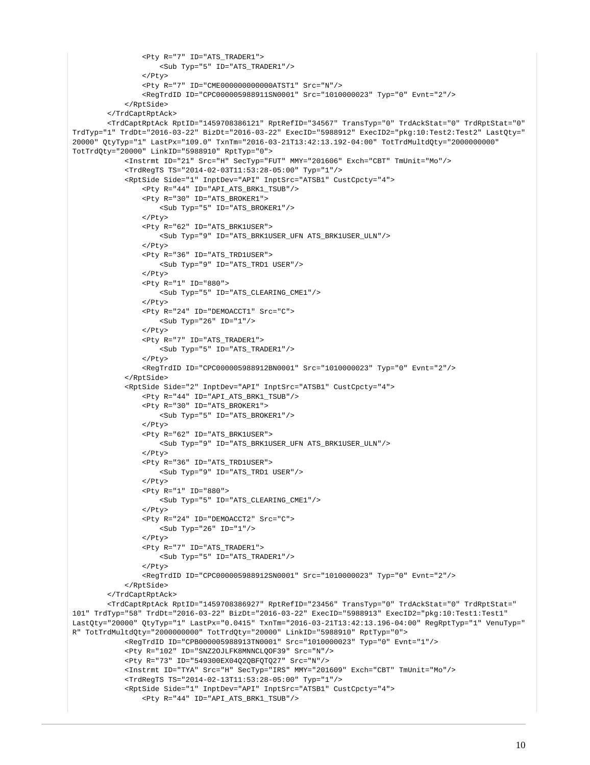```
 <Pty R="7" ID="ATS_TRADER1">
                     <Sub Typ="5" ID="ATS_TRADER1"/>
                  </Pty>
                 <Pty R="7" ID="CME000000000000ATST1" Src="N"/>
                 <RegTrdID ID="CPC000005988911SN0001" Src="1010000023" Typ="0" Evnt="2"/>
             </RptSide>
         </TrdCaptRptAck>
         <TrdCaptRptAck RptID="1459708386121" RptRefID="34567" TransTyp="0" TrdAckStat="0" TrdRptStat="0" 
TrdTyp="1" TrdDt="2016-03-22" BizDt="2016-03-22" ExecID="5988912" ExecID2="pkg:10:Test2:Test2" LastQty="
20000" QtyTyp="1" LastPx="109.0" TxnTm="2016-03-21T13:42:13.192-04:00" TotTrdMultdQty="2000000000" 
TotTrdQty="20000" LinkID="5988910" RptTyp="0">
             <Instrmt ID="21" Src="H" SecTyp="FUT" MMY="201606" Exch="CBT" TmUnit="Mo"/>
             <TrdRegTS TS="2014-02-03T11:53:28-05:00" Typ="1"/>
             <RptSide Side="1" InptDev="API" InptSrc="ATSB1" CustCpcty="4">
                 <Pty R="44" ID="API_ATS_BRK1_TSUB"/>
                 <Pty R="30" ID="ATS_BROKER1">
                     <Sub Typ="5" ID="ATS_BROKER1"/>
                 </Pty>
                  <Pty R="62" ID="ATS_BRK1USER">
                     <Sub Typ="9" ID="ATS_BRK1USER_UFN ATS_BRK1USER_ULN"/>
                \langle/Ptv>
                 <Pty R="36" ID="ATS_TRD1USER">
                     <Sub Typ="9" ID="ATS_TRD1 USER"/>
                \epsilon/Dty>
                 <Pty R="1" ID="880">
                     <Sub Typ="5" ID="ATS_CLEARING_CME1"/>
                 </Pty>
                 <Pty R="24" ID="DEMOACCT1" Src="C">
                     <Sub Typ="26" ID="1"/>
                \epsilon/Pty>
                 <Pty R="7" ID="ATS_TRADER1">
                     <Sub Typ="5" ID="ATS_TRADER1"/>
                 </Pty>
                 <RegTrdID ID="CPC000005988912BN0001" Src="1010000023" Typ="0" Evnt="2"/>
             </RptSide>
             <RptSide Side="2" InptDev="API" InptSrc="ATSB1" CustCpcty="4">
                 <Pty R="44" ID="API_ATS_BRK1_TSUB"/>
                 <Pty R="30" ID="ATS_BROKER1">
                     <Sub Typ="5" ID="ATS_BROKER1"/>
                \langle/Ptv>
                 <Pty R="62" ID="ATS_BRK1USER">
                     <Sub Typ="9" ID="ATS_BRK1USER_UFN ATS_BRK1USER_ULN"/>
                 </Pty>
                 <Pty R="36" ID="ATS_TRD1USER">
                     <Sub Typ="9" ID="ATS_TRD1 USER"/>
                 </Pty>
                 <Pty R="1" ID="880">
                     <Sub Typ="5" ID="ATS_CLEARING_CME1"/>
                  </Pty>
                 <Pty R="24" ID="DEMOACCT2" Src="C">
                     <Sub Typ="26" ID="1"/>
                 </Pty>
                 <Pty R="7" ID="ATS_TRADER1">
                     <Sub Typ="5" ID="ATS_TRADER1"/>
                \langle/Ptv>
                 <RegTrdID ID="CPC000005988912SN0001" Src="1010000023" Typ="0" Evnt="2"/>
             </RptSide>
         </TrdCaptRptAck>
         <TrdCaptRptAck RptID="1459708386927" RptRefID="23456" TransTyp="0" TrdAckStat="0" TrdRptStat="
101" TrdTyp="58" TrdDt="2016-03-22" BizDt="2016-03-22" ExecID="5988913" ExecID2="pkg:10:Test1:Test1" 
LastQty="20000" QtyTyp="1" LastPx="0.0415" TxnTm="2016-03-21T13:42:13.196-04:00" RegRptTyp="1" VenuTyp="
R" TotTrdMultdQty="2000000000" TotTrdQty="20000" LinkID="5988910" RptTyp="0">
             <RegTrdID ID="CPB000005988913TN0001" Src="1010000023" Typ="0" Evnt="1"/>
             <Pty R="102" ID="SNZ2OJLFK8MNNCLQOF39" Src="N"/>
             <Pty R="73" ID="549300EX04Q2QBFQTQ27" Src="N"/>
             <Instrmt ID="TYA" Src="H" SecTyp="IRS" MMY="201609" Exch="CBT" TmUnit="Mo"/>
             <TrdRegTS TS="2014-02-13T11:53:28-05:00" Typ="1"/>
             <RptSide Side="1" InptDev="API" InptSrc="ATSB1" CustCpcty="4">
                 <Pty R="44" ID="API_ATS_BRK1_TSUB"/>
```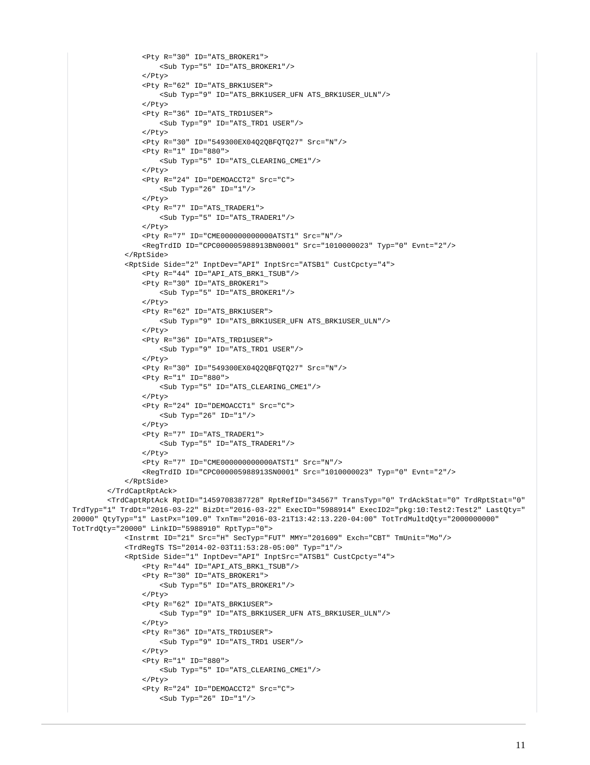```
 <Pty R="30" ID="ATS_BROKER1">
                      <Sub Typ="5" ID="ATS_BROKER1"/>
                  </Pty>
                  <Pty R="62" ID="ATS_BRK1USER">
                     <Sub Typ="9" ID="ATS_BRK1USER_UFN ATS_BRK1USER_ULN"/>
                  </Pty>
                  <Pty R="36" ID="ATS_TRD1USER">
                     <Sub Typ="9" ID="ATS_TRD1 USER"/>
                  </Pty>
                  <Pty R="30" ID="549300EX04Q2QBFQTQ27" Src="N"/>
                  <Pty R="1" ID="880">
                     <Sub Typ="5" ID="ATS_CLEARING_CME1"/>
                  </Pty>
                  <Pty R="24" ID="DEMOACCT2" Src="C">
                    \text{Sub Type} "26" ID="1"/>
                  </Pty>
                  <Pty R="7" ID="ATS_TRADER1">
                     <Sub Typ="5" ID="ATS_TRADER1"/>
                  </Pty>
                  <Pty R="7" ID="CME000000000000ATST1" Src="N"/>
                  <RegTrdID ID="CPC000005988913BN0001" Src="1010000023" Typ="0" Evnt="2"/>
             </RptSide>
             <RptSide Side="2" InptDev="API" InptSrc="ATSB1" CustCpcty="4">
                 <Pty R="44" ID="API_ATS_BRK1_TSUB"/>
                  <Pty R="30" ID="ATS_BROKER1">
                     <Sub Typ="5" ID="ATS_BROKER1"/>
                  </Pty>
                  <Pty R="62" ID="ATS_BRK1USER">
                      <Sub Typ="9" ID="ATS_BRK1USER_UFN ATS_BRK1USER_ULN"/>
                 \epsilon/Ptys
                  <Pty R="36" ID="ATS_TRD1USER">
                     <Sub Typ="9" ID="ATS_TRD1 USER"/>
                  </Pty>
                  <Pty R="30" ID="549300EX04Q2QBFQTQ27" Src="N"/>
                  <Pty R="1" ID="880">
                      <Sub Typ="5" ID="ATS_CLEARING_CME1"/>
                 \epsilon/Dtys
                  <Pty R="24" ID="DEMOACCT1" Src="C">
                     <Sub Typ="26" ID="1"/>
                 \langle/Ptv>
                  <Pty R="7" ID="ATS_TRADER1">
                      <Sub Typ="5" ID="ATS_TRADER1"/>
                  </Pty>
                  <Pty R="7" ID="CME000000000000ATST1" Src="N"/>
                  <RegTrdID ID="CPC000005988913SN0001" Src="1010000023" Typ="0" Evnt="2"/>
             </RptSide>
         </TrdCaptRptAck>
         <TrdCaptRptAck RptID="1459708387728" RptRefID="34567" TransTyp="0" TrdAckStat="0" TrdRptStat="0" 
TrdTyp="1" TrdDt="2016-03-22" BizDt="2016-03-22" ExecID="5988914" ExecID2="pkg:10:Test2:Test2" LastQty="
20000" QtyTyp="1" LastPx="109.0" TxnTm="2016-03-21T13:42:13.220-04:00" TotTrdMultdQty="2000000000" 
TotTrdQty="20000" LinkID="5988910" RptTyp="0">
             <Instrmt ID="21" Src="H" SecTyp="FUT" MMY="201609" Exch="CBT" TmUnit="Mo"/>
             <TrdRegTS TS="2014-02-03T11:53:28-05:00" Typ="1"/>
             <RptSide Side="1" InptDev="API" InptSrc="ATSB1" CustCpcty="4">
                  <Pty R="44" ID="API_ATS_BRK1_TSUB"/>
                  <Pty R="30" ID="ATS_BROKER1">
                     <Sub Typ="5" ID="ATS_BROKER1"/>
                  </Pty>
                  <Pty R="62" ID="ATS_BRK1USER">
                      <Sub Typ="9" ID="ATS_BRK1USER_UFN ATS_BRK1USER_ULN"/>
                  </Pty>
                  <Pty R="36" ID="ATS_TRD1USER">
                     <Sub Typ="9" ID="ATS_TRD1 USER"/>
                 \langle/Ptv>
                  <Pty R="1" ID="880">
                      <Sub Typ="5" ID="ATS_CLEARING_CME1"/>
                 \langle/Ptv>
                  <Pty R="24" ID="DEMOACCT2" Src="C">
                      <Sub Typ="26" ID="1"/>
```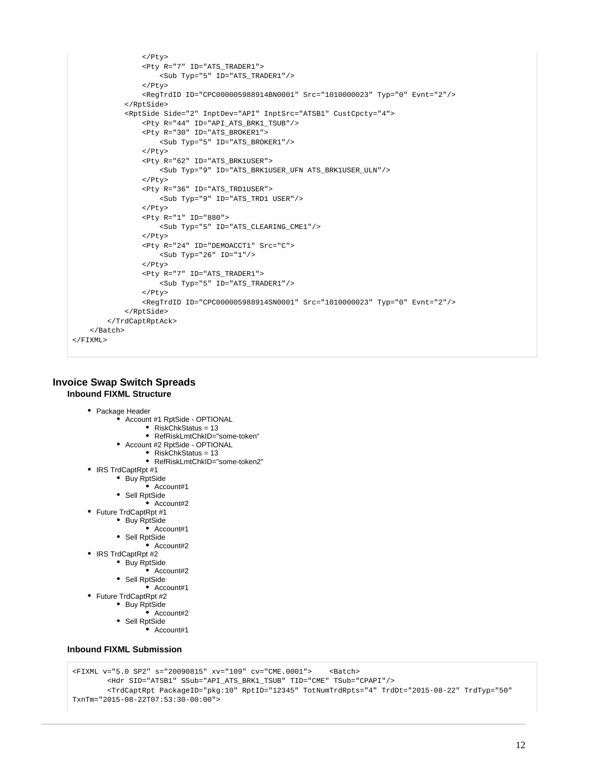```
 </Pty>
                  <Pty R="7" ID="ATS_TRADER1">
                     <Sub Typ="5" ID="ATS TRADER1"/>
                 \epsilon/Pty>
                  <RegTrdID ID="CPC000005988914BN0001" Src="1010000023" Typ="0" Evnt="2"/>
             </RptSide>
             <RptSide Side="2" InptDev="API" InptSrc="ATSB1" CustCpcty="4">
                  <Pty R="44" ID="API_ATS_BRK1_TSUB"/>
                  <Pty R="30" ID="ATS_BROKER1">
                      <Sub Typ="5" ID="ATS_BROKER1"/>
                 \epsilon/Ptys
                  <Pty R="62" ID="ATS_BRK1USER">
                      <Sub Typ="9" ID="ATS_BRK1USER_UFN ATS_BRK1USER_ULN"/>
                  </Pty>
                  <Pty R="36" ID="ATS_TRD1USER">
                      <Sub Typ="9" ID="ATS_TRD1 USER"/>
                  </Pty>
                  <Pty R="1" ID="880">
                     <Sub Typ="5" ID="ATS_CLEARING_CME1"/>
                  </Pty>
                  <Pty R="24" ID="DEMOACCT1" Src="C">
                     \text{Sub Type} "26" ID="1"/>
                  </Pty>
                  <Pty R="7" ID="ATS_TRADER1">
                     <Sub Typ="5" ID="ATS_TRADER1"/>
                  </Pty>
                  <RegTrdID ID="CPC000005988914SN0001" Src="1010000023" Typ="0" Evnt="2"/>
             </RptSide>
         </TrdCaptRptAck>
     </Batch>
</FIXML>
```
# **Invoice Swap Switch Spreads Inbound FIXML Structure**

- Package Header
	- Account #1 RptSide OPTIONAL
		- RiskChkStatus = 13
		- RefRiskLmtChkID="some-token"
		- Account #2 RptSide OPTIONAL
			- RiskChkStatus = 13
			- RefRiskLmtChkID="some-token2"
- IRS TrdCaptRpt #1
	- Buy RptSide
		- Account#1
	- Sell RptSide
	- $\bullet$  Account#2
- Future TrdCaptRpt #1
	- Buy RptSide
		- Account#1
		- Sell RptSide
			- $\bullet$  Account#2
- IRS TrdCaptRpt #2
	- Buy RptSide
		- Account#2
		- Sell RptSide
	- Account#1
- Future TrdCaptRpt #2 • Buy RptSide
	- $\bullet$  Account#2
	- Sell RptSide
		- Account#1

## **Inbound FIXML Submission**

```
<FIXML v="5.0 SP2" s="20090815" xv="109" cv="CME.0001"> <Batch>
         <Hdr SID="ATSB1" SSub="API_ATS_BRK1_TSUB" TID="CME" TSub="CPAPI"/>
         <TrdCaptRpt PackageID="pkg:10" RptID="12345" TotNumTrdRpts="4" TrdDt="2015-08-22" TrdTyp="50" 
TxnTm="2015-08-22T07:53:30-00:00">
```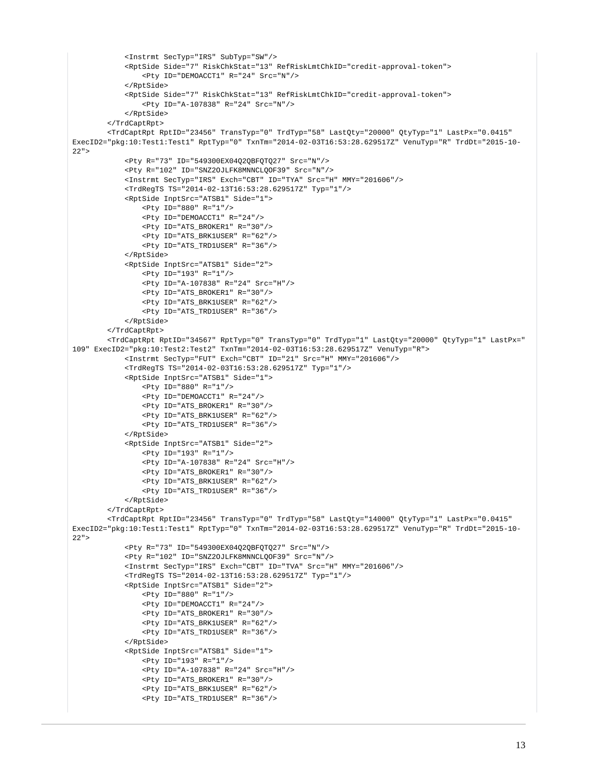```
 <Instrmt SecTyp="IRS" SubTyp="SW"/>
             <RptSide Side="7" RiskChkStat="13" RefRiskLmtChkID="credit-approval-token">
                 <Pty ID="DEMOACCT1" R="24" Src="N"/>
             </RptSide>
             <RptSide Side="7" RiskChkStat="13" RefRiskLmtChkID="credit-approval-token">
                 <Pty ID="A-107838" R="24" Src="N"/>
             </RptSide>
         </TrdCaptRpt>
         <TrdCaptRpt RptID="23456" TransTyp="0" TrdTyp="58" LastQty="20000" QtyTyp="1" LastPx="0.0415" 
ExecID2="pkg:10:Test1:Test1" RptTyp="0" TxnTm="2014-02-03T16:53:28.629517Z" VenuTyp="R" TrdDt="2015-10-
22" <Pty R="73" ID="549300EX04Q2QBFQTQ27" Src="N"/>
             <Pty R="102" ID="SNZ2OJLFK8MNNCLQOF39" Src="N"/>
             <Instrmt SecTyp="IRS" Exch="CBT" ID="TYA" Src="H" MMY="201606"/>
             <TrdRegTS TS="2014-02-13T16:53:28.629517Z" Typ="1"/>
             <RptSide InptSrc="ATSB1" Side="1">
                 <Pty ID="880" R="1"/>
                 <Pty ID="DEMOACCT1" R="24"/>
                 <Pty ID="ATS_BROKER1" R="30"/>
                 <Pty ID="ATS_BRK1USER" R="62"/>
                 <Pty ID="ATS_TRD1USER" R="36"/>
             </RptSide>
             <RptSide InptSrc="ATSB1" Side="2">
                 <Pty ID="193" R="1"/>
                 <Pty ID="A-107838" R="24" Src="H"/>
                 <Pty ID="ATS_BROKER1" R="30"/>
                 <Pty ID="ATS_BRK1USER" R="62"/>
                 <Pty ID="ATS_TRD1USER" R="36"/>
             </RptSide>
         </TrdCaptRpt>
         <TrdCaptRpt RptID="34567" RptTyp="0" TransTyp="0" TrdTyp="1" LastQty="20000" QtyTyp="1" LastPx="
109" ExecID2="pkg:10:Test2:Test2" TxnTm="2014-02-03T16:53:28.629517Z" VenuTyp="R">
             <Instrmt SecTyp="FUT" Exch="CBT" ID="21" Src="H" MMY="201606"/>
             <TrdRegTS TS="2014-02-03T16:53:28.629517Z" Typ="1"/>
             <RptSide InptSrc="ATSB1" Side="1">
                 <Pty ID="880" R="1"/>
                 <Pty ID="DEMOACCT1" R="24"/>
                 <Pty ID="ATS_BROKER1" R="30"/>
                 <Pty ID="ATS_BRK1USER" R="62"/>
                 <Pty ID="ATS_TRD1USER" R="36"/>
             </RptSide>
             <RptSide InptSrc="ATSB1" Side="2">
                 <Pty ID="193" R="1"/>
                 <Pty ID="A-107838" R="24" Src="H"/>
                 <Pty ID="ATS_BROKER1" R="30"/>
                 <Pty ID="ATS_BRK1USER" R="62"/>
                 <Pty ID="ATS_TRD1USER" R="36"/>
             </RptSide>
         </TrdCaptRpt>
         <TrdCaptRpt RptID="23456" TransTyp="0" TrdTyp="58" LastQty="14000" QtyTyp="1" LastPx="0.0415" 
ExecID2="pkg:10:Test1:Test1" RptTyp="0" TxnTm="2014-02-03T16:53:28.629517Z" VenuTyp="R" TrdDt="2015-10-
22" <Pty R="73" ID="549300EX04Q2QBFQTQ27" Src="N"/>
             <Pty R="102" ID="SNZ2OJLFK8MNNCLQOF39" Src="N"/>
             <Instrmt SecTyp="IRS" Exch="CBT" ID="TVA" Src="H" MMY="201606"/>
             <TrdRegTS TS="2014-02-13T16:53:28.629517Z" Typ="1"/>
             <RptSide InptSrc="ATSB1" Side="2">
                 <Pty ID="880" R="1"/>
                 <Pty ID="DEMOACCT1" R="24"/>
                 <Pty ID="ATS_BROKER1" R="30"/>
                 <Pty ID="ATS_BRK1USER" R="62"/>
                 <Pty ID="ATS_TRD1USER" R="36"/>
             </RptSide>
             <RptSide InptSrc="ATSB1" Side="1">
                 <Pty ID="193" R="1"/>
                 <Pty ID="A-107838" R="24" Src="H"/>
                 <Pty ID="ATS_BROKER1" R="30"/>
                 <Pty ID="ATS_BRK1USER" R="62"/>
                 <Pty ID="ATS_TRD1USER" R="36"/>
```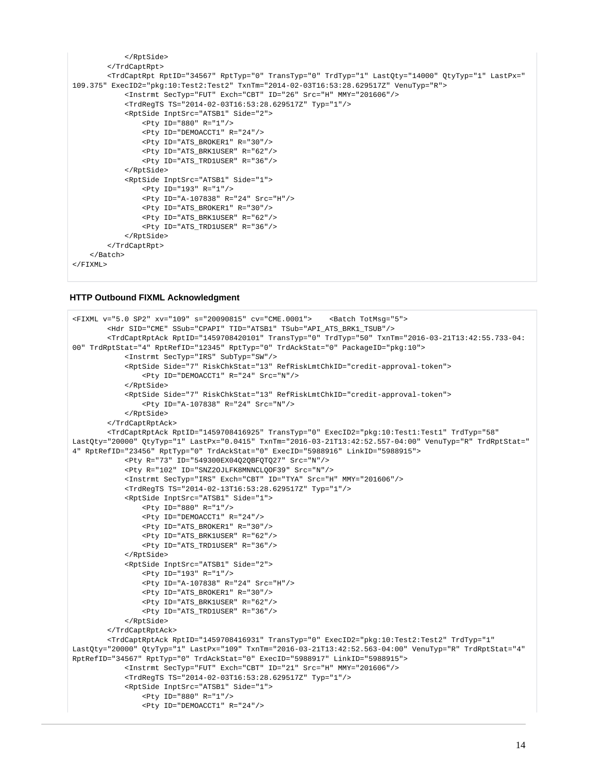```
 </RptSide>
         </TrdCaptRpt>
         <TrdCaptRpt RptID="34567" RptTyp="0" TransTyp="0" TrdTyp="1" LastQty="14000" QtyTyp="1" LastPx="
109.375" ExecID2="pkg:10:Test2:Test2" TxnTm="2014-02-03T16:53:28.629517Z" VenuTyp="R">
             <Instrmt SecTyp="FUT" Exch="CBT" ID="26" Src="H" MMY="201606"/>
             <TrdRegTS TS="2014-02-03T16:53:28.629517Z" Typ="1"/>
             <RptSide InptSrc="ATSB1" Side="2">
                 <Pty ID="880" R="1"/>
                  <Pty ID="DEMOACCT1" R="24"/>
                 <Pty ID="ATS_BROKER1" R="30"/>
                 <Pty ID="ATS_BRK1USER" R="62"/>
                 <Pty ID="ATS_TRD1USER" R="36"/>
             </RptSide>
             <RptSide InptSrc="ATSB1" Side="1">
                 <Pty ID="193" R="1"/>
                 <Pty ID="A-107838" R="24" Src="H"/>
                 <Pty ID="ATS_BROKER1" R="30"/>
                 <Pty ID="ATS_BRK1USER" R="62"/>
                 <Pty ID="ATS_TRD1USER" R="36"/>
             </RptSide>
         </TrdCaptRpt>
     </Batch>
</FIXML>
```
# **HTTP Outbound FIXML Acknowledgment**

```
<FIXML v="5.0 SP2" xv="109" s="20090815" cv="CME.0001"> <Batch TotMsg="5">
         <Hdr SID="CME" SSub="CPAPI" TID="ATSB1" TSub="API_ATS_BRK1_TSUB"/>
         <TrdCaptRptAck RptID="1459708420101" TransTyp="0" TrdTyp="50" TxnTm="2016-03-21T13:42:55.733-04:
00" TrdRptStat="4" RptRefID="12345" RptTyp="0" TrdAckStat="0" PackageID="pkg:10">
             <Instrmt SecTyp="IRS" SubTyp="SW"/>
             <RptSide Side="7" RiskChkStat="13" RefRiskLmtChkID="credit-approval-token">
                 <Pty ID="DEMOACCT1" R="24" Src="N"/>
             </RptSide>
             <RptSide Side="7" RiskChkStat="13" RefRiskLmtChkID="credit-approval-token">
                 <Pty ID="A-107838" R="24" Src="N"/>
             </RptSide>
         </TrdCaptRptAck>
         <TrdCaptRptAck RptID="1459708416925" TransTyp="0" ExecID2="pkg:10:Test1:Test1" TrdTyp="58" 
LastQty="20000" QtyTyp="1" LastPx="0.0415" TxnTm="2016-03-21T13:42:52.557-04:00" VenuTyp="R" TrdRptStat="
4" RptRefID="23456" RptTyp="0" TrdAckStat="0" ExecID="5988916" LinkID="5988915">
             <Pty R="73" ID="549300EX04Q2QBFQTQ27" Src="N"/>
             <Pty R="102" ID="SNZ2OJLFK8MNNCLQOF39" Src="N"/>
             <Instrmt SecTyp="IRS" Exch="CBT" ID="TYA" Src="H" MMY="201606"/>
             <TrdRegTS TS="2014-02-13T16:53:28.629517Z" Typ="1"/>
             <RptSide InptSrc="ATSB1" Side="1">
                 <Pty ID="880" R="1"/>
                 <Pty ID="DEMOACCT1" R="24"/>
                 <Pty ID="ATS_BROKER1" R="30"/>
                 <Pty ID="ATS_BRK1USER" R="62"/>
                 <Pty ID="ATS_TRD1USER" R="36"/>
             </RptSide>
             <RptSide InptSrc="ATSB1" Side="2">
                 <Pty ID="193" R="1"/>
                 <Pty ID="A-107838" R="24" Src="H"/>
                 <Pty ID="ATS_BROKER1" R="30"/>
                 <Pty ID="ATS_BRK1USER" R="62"/>
                 <Pty ID="ATS_TRD1USER" R="36"/>
             </RptSide>
         </TrdCaptRptAck>
         <TrdCaptRptAck RptID="1459708416931" TransTyp="0" ExecID2="pkg:10:Test2:Test2" TrdTyp="1" 
LastQty="20000" QtyTyp="1" LastPx="109" TxnTm="2016-03-21T13:42:52.563-04:00" VenuTyp="R" TrdRptStat="4" 
RptRefID="34567" RptTyp="0" TrdAckStat="0" ExecID="5988917" LinkID="5988915">
             <Instrmt SecTyp="FUT" Exch="CBT" ID="21" Src="H" MMY="201606"/>
             <TrdRegTS TS="2014-02-03T16:53:28.629517Z" Typ="1"/>
             <RptSide InptSrc="ATSB1" Side="1">
                 <Pty ID="880" R="1"/>
                 <Pty ID="DEMOACCT1" R="24"/>
```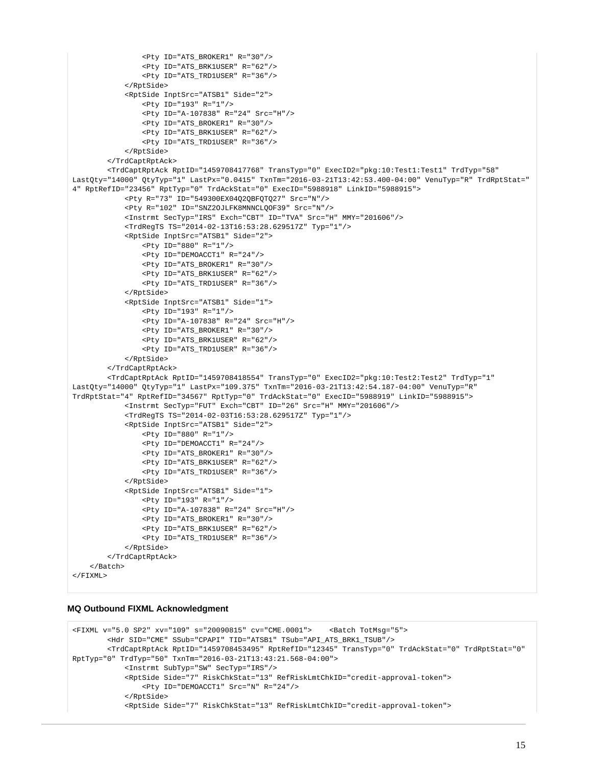```
 <Pty ID="ATS_BROKER1" R="30"/>
                 <Pty ID="ATS_BRK1USER" R="62"/>
                 <Pty ID="ATS_TRD1USER" R="36"/> 
             </RptSide>
             <RptSide InptSrc="ATSB1" Side="2">
                 <Pty ID="193" R="1"/>
                 <Pty ID="A-107838" R="24" Src="H"/>
                 <Pty ID="ATS_BROKER1" R="30"/>
                 <Pty ID="ATS_BRK1USER" R="62"/>
                 <Pty ID="ATS_TRD1USER" R="36"/> 
             </RptSide>
         </TrdCaptRptAck>
         <TrdCaptRptAck RptID="1459708417768" TransTyp="0" ExecID2="pkg:10:Test1:Test1" TrdTyp="58" 
LastQty="14000" QtyTyp="1" LastPx="0.0415" TxnTm="2016-03-21T13:42:53.400-04:00" VenuTyp="R" TrdRptStat="
4" RptRefID="23456" RptTyp="0" TrdAckStat="0" ExecID="5988918" LinkID="5988915">
             <Pty R="73" ID="549300EX04Q2QBFQTQ27" Src="N"/>
             <Pty R="102" ID="SNZ2OJLFK8MNNCLQOF39" Src="N"/>
             <Instrmt SecTyp="IRS" Exch="CBT" ID="TVA" Src="H" MMY="201606"/>
             <TrdRegTS TS="2014-02-13T16:53:28.629517Z" Typ="1"/>
             <RptSide InptSrc="ATSB1" Side="2">
                 <Pty ID="880" R="1"/>
                 <Pty ID="DEMOACCT1" R="24"/>
                 <Pty ID="ATS_BROKER1" R="30"/>
                 <Pty ID="ATS_BRK1USER" R="62"/>
                 <Pty ID="ATS_TRD1USER" R="36"/>
             </RptSide>
             <RptSide InptSrc="ATSB1" Side="1">
                 <Pty ID="193" R="1"/>
                 <Pty ID="A-107838" R="24" Src="H"/>
                 <Pty ID="ATS_BROKER1" R="30"/>
                 <Pty ID="ATS_BRK1USER" R="62"/>
                 <Pty ID="ATS_TRD1USER" R="36"/>
             </RptSide>
         </TrdCaptRptAck>
         <TrdCaptRptAck RptID="1459708418554" TransTyp="0" ExecID2="pkg:10:Test2:Test2" TrdTyp="1" 
LastQty="14000" QtyTyp="1" LastPx="109.375" TxnTm="2016-03-21T13:42:54.187-04:00" VenuTyp="R" 
TrdRptStat="4" RptRefID="34567" RptTyp="0" TrdAckStat="0" ExecID="5988919" LinkID="5988915">
             <Instrmt SecTyp="FUT" Exch="CBT" ID="26" Src="H" MMY="201606"/>
             <TrdRegTS TS="2014-02-03T16:53:28.629517Z" Typ="1"/>
             <RptSide InptSrc="ATSB1" Side="2">
                 <Pty ID="880" R="1"/>
                 <Pty ID="DEMOACCT1" R="24"/>
                 <Pty ID="ATS_BROKER1" R="30"/>
                 <Pty ID="ATS_BRK1USER" R="62"/>
                 <Pty ID="ATS_TRD1USER" R="36"/> 
             </RptSide>
             <RptSide InptSrc="ATSB1" Side="1">
                 <Pty ID="193" R="1"/>
                 <Pty ID="A-107838" R="24" Src="H"/>
                 <Pty ID="ATS_BROKER1" R="30"/>
                 <Pty ID="ATS_BRK1USER" R="62"/>
                 <Pty ID="ATS_TRD1USER" R="36"/> 
             </RptSide>
         </TrdCaptRptAck>
     </Batch>
\epsilon/FTYML\sim
```
#### **MQ Outbound FIXML Acknowledgment**

```
<FIXML v="5.0 SP2" xv="109" s="20090815" cv="CME.0001"> <Batch TotMsg="5">
         <Hdr SID="CME" SSub="CPAPI" TID="ATSB1" TSub="API_ATS_BRK1_TSUB"/>
         <TrdCaptRptAck RptID="1459708453495" RptRefID="12345" TransTyp="0" TrdAckStat="0" TrdRptStat="0" 
RptTyp="0" TrdTyp="50" TxnTm="2016-03-21T13:43:21.568-04:00">
             <Instrmt SubTyp="SW" SecTyp="IRS"/>
             <RptSide Side="7" RiskChkStat="13" RefRiskLmtChkID="credit-approval-token">
                 <Pty ID="DEMOACCT1" Src="N" R="24"/>
             </RptSide>
             <RptSide Side="7" RiskChkStat="13" RefRiskLmtChkID="credit-approval-token">
```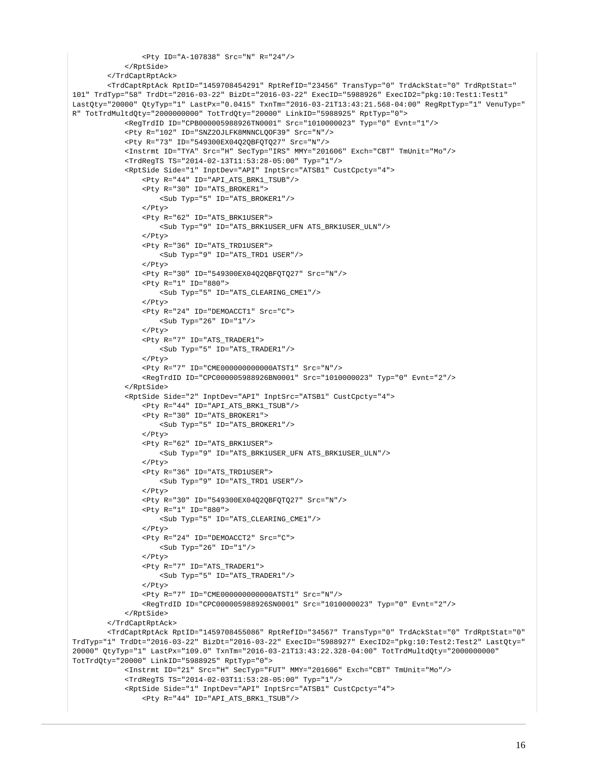```
 <Pty ID="A-107838" Src="N" R="24"/>
             </RptSide>
         </TrdCaptRptAck>
         <TrdCaptRptAck RptID="1459708454291" RptRefID="23456" TransTyp="0" TrdAckStat="0" TrdRptStat="
101" TrdTyp="58" TrdDt="2016-03-22" BizDt="2016-03-22" ExecID="5988926" ExecID2="pkg:10:Test1:Test1" 
LastQty="20000" QtyTyp="1" LastPx="0.0415" TxnTm="2016-03-21T13:43:21.568-04:00" RegRptTyp="1" VenuTyp="
R" TotTrdMultdQty="2000000000" TotTrdQty="20000" LinkID="5988925" RptTyp="0">
             <RegTrdID ID="CPB000005988926TN0001" Src="1010000023" Typ="0" Evnt="1"/>
             <Pty R="102" ID="SNZ2OJLFK8MNNCLQOF39" Src="N"/>
             <Pty R="73" ID="549300EX04Q2QBFQTQ27" Src="N"/>
             <Instrmt ID="TYA" Src="H" SecTyp="IRS" MMY="201606" Exch="CBT" TmUnit="Mo"/>
             <TrdRegTS TS="2014-02-13T11:53:28-05:00" Typ="1"/>
             <RptSide Side="1" InptDev="API" InptSrc="ATSB1" CustCpcty="4">
                 <Pty R="44" ID="API_ATS_BRK1_TSUB"/>
                 <Pty R="30" ID="ATS_BROKER1">
                     <Sub Typ="5" ID="ATS_BROKER1"/>
                </Pty>
                 <Pty R="62" ID="ATS_BRK1USER">
                     <Sub Typ="9" ID="ATS_BRK1USER_UFN ATS_BRK1USER_ULN"/>
                 </Pty>
                 <Pty R="36" ID="ATS_TRD1USER">
                     <Sub Typ="9" ID="ATS_TRD1 USER"/>
                  </Pty>
                 <Pty R="30" ID="549300EX04Q2QBFQTQ27" Src="N"/>
                 <Pty R="1" ID="880">
                     <Sub Typ="5" ID="ATS_CLEARING_CME1"/>
                 </Pty>
                 <Pty R="24" ID="DEMOACCT1" Src="C">
                     <Sub Typ="26" ID="1"/>
                \epsilon/Ptys
                 <Pty R="7" ID="ATS_TRADER1">
                     <Sub Typ="5" ID="ATS_TRADER1"/>
                 </Pty>
                 <Pty R="7" ID="CME000000000000ATST1" Src="N"/>
                  <RegTrdID ID="CPC000005988926BN0001" Src="1010000023" Typ="0" Evnt="2"/>
             </RptSide>
             <RptSide Side="2" InptDev="API" InptSrc="ATSB1" CustCpcty="4">
                 <Pty R="44" ID="API_ATS_BRK1_TSUB"/>
                 <Pty R="30" ID="ATS_BROKER1">
                     <Sub Typ="5" ID="ATS_BROKER1"/>
                 </Pty>
                  <Pty R="62" ID="ATS_BRK1USER">
                     <Sub Typ="9" ID="ATS_BRK1USER_UFN ATS_BRK1USER_ULN"/>
                \epsilon/Pty>
                 <Pty R="36" ID="ATS_TRD1USER">
                     <Sub Typ="9" ID="ATS_TRD1 USER"/>
                \epsilon/Pty>
                 <Pty R="30" ID="549300EX04Q2QBFQTQ27" Src="N"/>
                  <Pty R="1" ID="880">
                     <Sub Typ="5" ID="ATS_CLEARING_CME1"/>
                \langle/Ptv>
                 <Pty R="24" ID="DEMOACCT2" Src="C">
                     <Sub Typ="26" ID="1"/>
                 </Pty>
                 <Pty R="7" ID="ATS_TRADER1">
                     <Sub Typ="5" ID="ATS_TRADER1"/>
                \epsilon/Dtys
                 <Pty R="7" ID="CME000000000000ATST1" Src="N"/>
                 <RegTrdID ID="CPC000005988926SN0001" Src="1010000023" Typ="0" Evnt="2"/>
             </RptSide>
         </TrdCaptRptAck>
         <TrdCaptRptAck RptID="1459708455086" RptRefID="34567" TransTyp="0" TrdAckStat="0" TrdRptStat="0" 
TrdTyp="1" TrdDt="2016-03-22" BizDt="2016-03-22" ExecID="5988927" ExecID2="pkg:10:Test2:Test2" LastQty="
20000" QtyTyp="1" LastPx="109.0" TxnTm="2016-03-21T13:43:22.328-04:00" TotTrdMultdQty="2000000000" 
TotTrdQty="20000" LinkID="5988925" RptTyp="0">
             <Instrmt ID="21" Src="H" SecTyp="FUT" MMY="201606" Exch="CBT" TmUnit="Mo"/>
             <TrdRegTS TS="2014-02-03T11:53:28-05:00" Typ="1"/>
             <RptSide Side="1" InptDev="API" InptSrc="ATSB1" CustCpcty="4">
                 <Pty R="44" ID="API_ATS_BRK1_TSUB"/>
```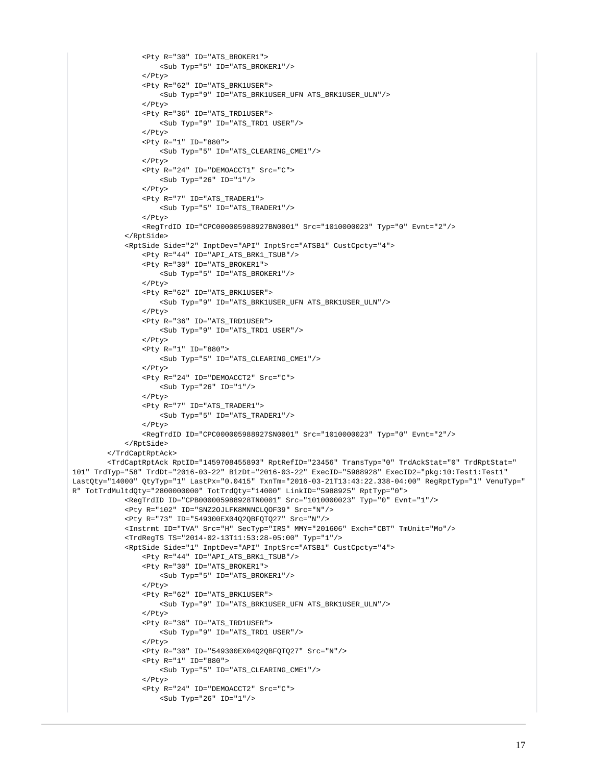```
 <Pty R="30" ID="ATS_BROKER1">
                      <Sub Typ="5" ID="ATS_BROKER1"/>
                  </Pty>
                  <Pty R="62" ID="ATS_BRK1USER">
                     <Sub Typ="9" ID="ATS_BRK1USER_UFN ATS_BRK1USER_ULN"/>
                  </Pty>
                  <Pty R="36" ID="ATS_TRD1USER">
                     <Sub Typ="9" ID="ATS_TRD1 USER"/>
                  </Pty>
                  <Pty R="1" ID="880">
                     <Sub Typ="5" ID="ATS_CLEARING_CME1"/>
                  </Pty>
                  <Pty R="24" ID="DEMOACCT1" Src="C">
                     \text{Sub Type} "26" ID="1"/>
                  </Pty>
                  <Pty R="7" ID="ATS_TRADER1">
                     <Sub Typ="5" ID="ATS_TRADER1"/>
                  </Pty>
                  <RegTrdID ID="CPC000005988927BN0001" Src="1010000023" Typ="0" Evnt="2"/>
              </RptSide>
              <RptSide Side="2" InptDev="API" InptSrc="ATSB1" CustCpcty="4">
                  <Pty R="44" ID="API_ATS_BRK1_TSUB"/>
                  <Pty R="30" ID="ATS_BROKER1">
                     <Sub Typ="5" ID="ATS_BROKER1"/>
                  </Pty>
                  <Pty R="62" ID="ATS_BRK1USER">
                      <Sub Typ="9" ID="ATS_BRK1USER_UFN ATS_BRK1USER_ULN"/>
                  </Pty>
                  <Pty R="36" ID="ATS_TRD1USER">
                     <Sub Typ="9" ID="ATS_TRD1 USER"/>
                  </Pty>
                  <Pty R="1" ID="880">
                      <Sub Typ="5" ID="ATS_CLEARING_CME1"/>
                 \epsilon/Pty>
                  <Pty R="24" ID="DEMOACCT2" Src="C">
                     <Sub Typ="26" ID="1"/>
                  </Pty>
                  <Pty R="7" ID="ATS_TRADER1">
                     <Sub Typ="5" ID="ATS_TRADER1"/>
                 \langle/Ptv>
                  <RegTrdID ID="CPC000005988927SN0001" Src="1010000023" Typ="0" Evnt="2"/>
              </RptSide>
         </TrdCaptRptAck>
         <TrdCaptRptAck RptID="1459708455893" RptRefID="23456" TransTyp="0" TrdAckStat="0" TrdRptStat="
101" TrdTyp="58" TrdDt="2016-03-22" BizDt="2016-03-22" ExecID="5988928" ExecID2="pkg:10:Test1:Test1" 
LastQty="14000" QtyTyp="1" LastPx="0.0415" TxnTm="2016-03-21T13:43:22.338-04:00" RegRptTyp="1" VenuTyp="
R" TotTrdMultdQty="2800000000" TotTrdQty="14000" LinkID="5988925" RptTyp="0">
              <RegTrdID ID="CPB000005988928TN0001" Src="1010000023" Typ="0" Evnt="1"/>
              <Pty R="102" ID="SNZ2OJLFK8MNNCLQOF39" Src="N"/>
              <Pty R="73" ID="549300EX04Q2QBFQTQ27" Src="N"/>
              <Instrmt ID="TVA" Src="H" SecTyp="IRS" MMY="201606" Exch="CBT" TmUnit="Mo"/>
              <TrdRegTS TS="2014-02-13T11:53:28-05:00" Typ="1"/>
              <RptSide Side="1" InptDev="API" InptSrc="ATSB1" CustCpcty="4">
                  <Pty R="44" ID="API_ATS_BRK1_TSUB"/>
                  <Pty R="30" ID="ATS_BROKER1">
                     <Sub Typ="5" ID="ATS_BROKER1"/>
                 2/D+3/2 <Pty R="62" ID="ATS_BRK1USER">
                     <Sub Typ="9" ID="ATS_BRK1USER_UFN ATS_BRK1USER_ULN"/>
                 \langle/Ptv>
                  <Pty R="36" ID="ATS_TRD1USER">
                      <Sub Typ="9" ID="ATS_TRD1 USER"/>
                  </Pty>
                  <Pty R="30" ID="549300EX04Q2QBFQTQ27" Src="N"/>
                  <Pty R="1" ID="880">
                      <Sub Typ="5" ID="ATS_CLEARING_CME1"/>
                 \langle/Ptv>
                  <Pty R="24" ID="DEMOACCT2" Src="C">
                      <Sub Typ="26" ID="1"/>
```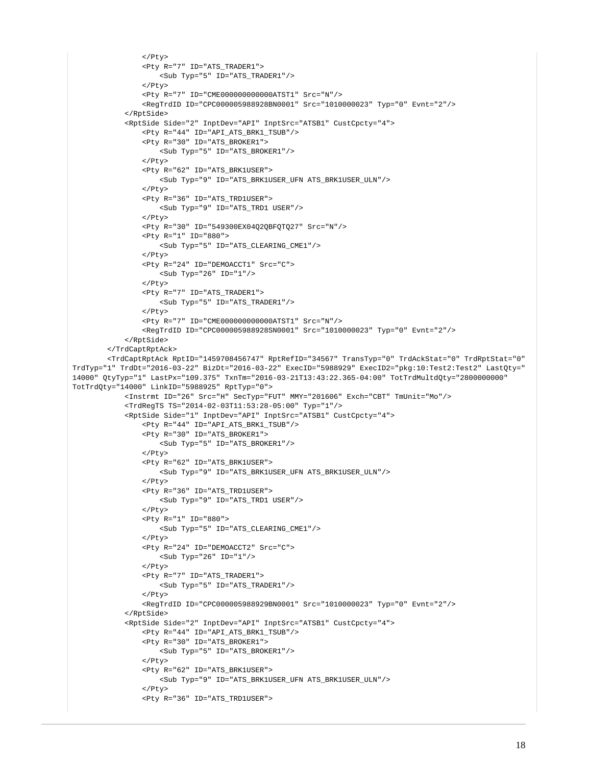```
\langle/Ptv>
                  <Pty R="7" ID="ATS_TRADER1">
                     <Sub Typ="5" ID="ATS TRADER1"/>
                 \epsilon/Pty>
                  <Pty R="7" ID="CME000000000000ATST1" Src="N"/>
                  <RegTrdID ID="CPC000005988928BN0001" Src="1010000023" Typ="0" Evnt="2"/>
             </RptSide>
             <RptSide Side="2" InptDev="API" InptSrc="ATSB1" CustCpcty="4">
                  <Pty R="44" ID="API_ATS_BRK1_TSUB"/>
                  <Pty R="30" ID="ATS_BROKER1">
                     <Sub Typ="5" ID="ATS_BROKER1"/>
                  </Pty>
                  <Pty R="62" ID="ATS_BRK1USER">
                      <Sub Typ="9" ID="ATS_BRK1USER_UFN ATS_BRK1USER_ULN"/>
                  </Pty>
                  <Pty R="36" ID="ATS_TRD1USER">
                     <Sub Typ="9" ID="ATS_TRD1 USER"/>
                  </Pty>
                  <Pty R="30" ID="549300EX04Q2QBFQTQ27" Src="N"/>
                  <Pty R="1" ID="880">
                      <Sub Typ="5" ID="ATS_CLEARING_CME1"/>
                  </Pty>
                  <Pty R="24" ID="DEMOACCT1" Src="C">
                     <Sub Typ="26" ID="1"/>
                  </Pty>
                  <Pty R="7" ID="ATS_TRADER1">
                     \texttt{<Sub Type="5" ID="ATS_TRADER1"}/\texttt{>} </Pty>
                  <Pty R="7" ID="CME000000000000ATST1" Src="N"/>
                  <RegTrdID ID="CPC000005988928SN0001" Src="1010000023" Typ="0" Evnt="2"/>
             </RptSide>
         </TrdCaptRptAck>
         <TrdCaptRptAck RptID="1459708456747" RptRefID="34567" TransTyp="0" TrdAckStat="0" TrdRptStat="0" 
TrdTyp="1" TrdDt="2016-03-22" BizDt="2016-03-22" ExecID="5988929" ExecID2="pkg:10:Test2:Test2" LastQty="
14000" QtyTyp="1" LastPx="109.375" TxnTm="2016-03-21T13:43:22.365-04:00" TotTrdMultdQty="2800000000" 
TotTrdQty="14000" LinkID="5988925" RptTyp="0">
             <Instrmt ID="26" Src="H" SecTyp="FUT" MMY="201606" Exch="CBT" TmUnit="Mo"/>
             <TrdRegTS TS="2014-02-03T11:53:28-05:00" Typ="1"/>
             <RptSide Side="1" InptDev="API" InptSrc="ATSB1" CustCpcty="4">
                  <Pty R="44" ID="API_ATS_BRK1_TSUB"/>
                  <Pty R="30" ID="ATS_BROKER1">
                      <Sub Typ="5" ID="ATS_BROKER1"/>
                  </Pty>
                  <Pty R="62" ID="ATS_BRK1USER">
                     <Sub Typ="9" ID="ATS_BRK1USER_UFN ATS_BRK1USER_ULN"/>
                  </Pty>
                  <Pty R="36" ID="ATS_TRD1USER">
                     <Sub Typ="9" ID="ATS_TRD1 USER"/>
                  </Pty>
                  <Pty R="1" ID="880">
                     <Sub Typ="5" ID="ATS_CLEARING_CME1"/>
                  </Pty>
                  <Pty R="24" ID="DEMOACCT2" Src="C">
                     \text{Sub} Typ="26" ID="1"/>
                  </Pty>
                  <Pty R="7" ID="ATS_TRADER1">
                      <Sub Typ="5" ID="ATS_TRADER1"/>
                 \epsilon/Pty>
                  <RegTrdID ID="CPC000005988929BN0001" Src="1010000023" Typ="0" Evnt="2"/>
             </RptSide>
             <RptSide Side="2" InptDev="API" InptSrc="ATSB1" CustCpcty="4">
                  <Pty R="44" ID="API_ATS_BRK1_TSUB"/>
                  <Pty R="30" ID="ATS_BROKER1">
                     <Sub Typ="5" ID="ATS_BROKER1"/>
                  </Pty>
                  <Pty R="62" ID="ATS_BRK1USER">
                      <Sub Typ="9" ID="ATS_BRK1USER_UFN ATS_BRK1USER_ULN"/>
                  </Pty>
                  <Pty R="36" ID="ATS_TRD1USER">
```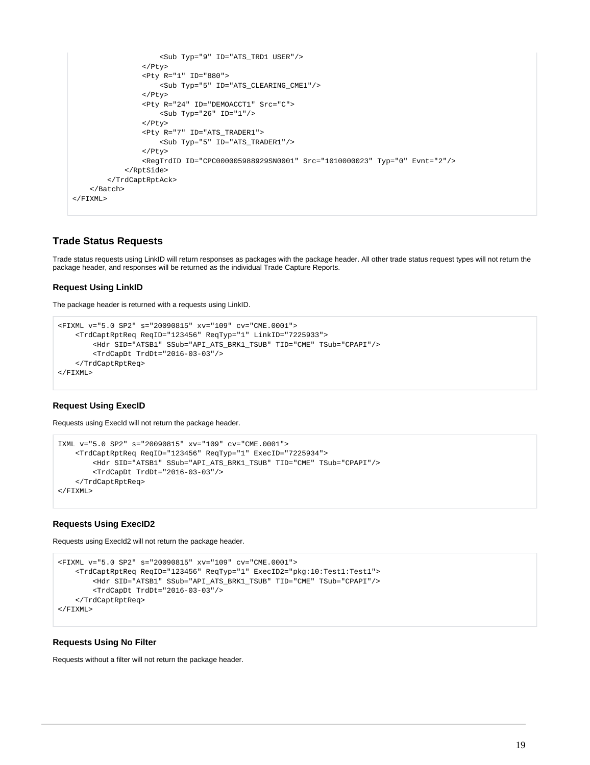```
 <Sub Typ="9" ID="ATS_TRD1 USER"/>
                  </Pty>
                  <Pty R="1" ID="880">
                      <Sub Typ="5" ID="ATS_CLEARING_CME1"/>
                  </Pty>
                  <Pty R="24" ID="DEMOACCT1" Src="C">
                      <Sub Typ="26" ID="1"/>
                  </Pty>
                  <Pty R="7" ID="ATS_TRADER1">
                      <Sub Typ="5" ID="ATS_TRADER1"/>
                 \epsilon/Ptys
                  <RegTrdID ID="CPC000005988929SN0001" Src="1010000023" Typ="0" Evnt="2"/>
              </RptSide>
         </TrdCaptRptAck>
     </Batch>
</FIXML>
```
# **Trade Status Requests**

Trade status requests using LinkID will return responses as packages with the package header. All other trade status request types will not return the package header, and responses will be returned as the individual Trade Capture Reports.

## **Request Using LinkID**

The package header is returned with a requests using LinkID.

```
<FIXML v="5.0 SP2" s="20090815" xv="109" cv="CME.0001"> 
     <TrdCaptRptReq ReqID="123456" ReqTyp="1" LinkID="7225933">
         <Hdr SID="ATSB1" SSub="API_ATS_BRK1_TSUB" TID="CME" TSub="CPAPI"/>
         <TrdCapDt TrdDt="2016-03-03"/>
     </TrdCaptRptReq>
</FIXML>
```
# **Request Using ExecID**

Requests using ExecId will not return the package header.

```
IXML v="5.0 SP2" s="20090815" xv="109" cv="CME.0001"> 
     <TrdCaptRptReq ReqID="123456" ReqTyp="1" ExecID="7225934">
         <Hdr SID="ATSB1" SSub="API_ATS_BRK1_TSUB" TID="CME" TSub="CPAPI"/>
         <TrdCapDt TrdDt="2016-03-03"/>
     </TrdCaptRptReq>
</FIXML>
```
## **Requests Using ExecID2**

Requests using ExecId2 will not return the package header.

```
<FIXML v="5.0 SP2" s="20090815" xv="109" cv="CME.0001"> 
     <TrdCaptRptReq ReqID="123456" ReqTyp="1" ExecID2="pkg:10:Test1:Test1">
         <Hdr SID="ATSB1" SSub="API_ATS_BRK1_TSUB" TID="CME" TSub="CPAPI"/>
         <TrdCapDt TrdDt="2016-03-03"/>
     </TrdCaptRptReq>
</FIXML>
```
# **Requests Using No Filter**

Requests without a filter will not return the package header.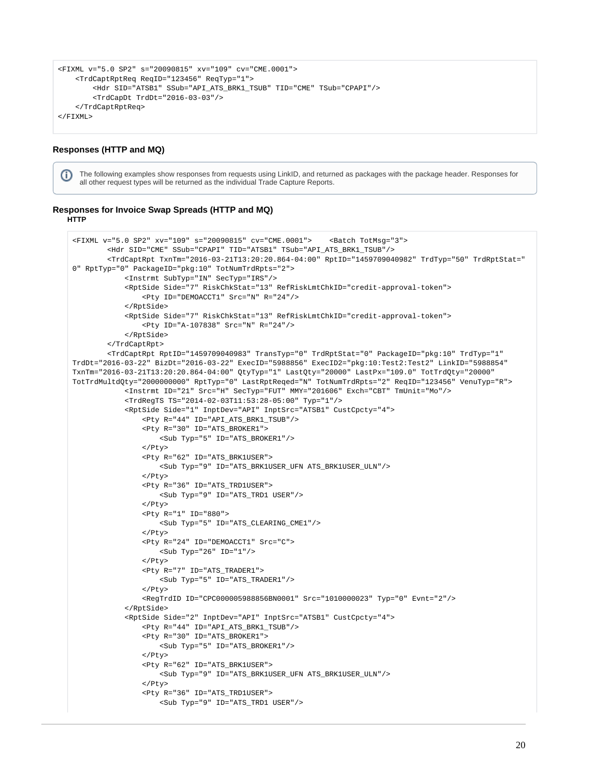```
<FIXML v="5.0 SP2" s="20090815" xv="109" cv="CME.0001"> 
     <TrdCaptRptReq ReqID="123456" ReqTyp="1">
         <Hdr SID="ATSB1" SSub="API_ATS_BRK1_TSUB" TID="CME" TSub="CPAPI"/>
         <TrdCapDt TrdDt="2016-03-03"/>
     </TrdCaptRptReq>
</FIXML>
```
## **Responses (HTTP and MQ)**

The following examples show responses from requests using LinkID, and returned as packages with the package header. Responses for (i) all other request types will be returned as the individual Trade Capture Reports.

#### **Responses for Invoice Swap Spreads (HTTP and MQ) HTTP**

```
<FIXML v="5.0 SP2" xv="109" s="20090815" cv="CME.0001"> <Batch TotMsg="3">
         <Hdr SID="CME" SSub="CPAPI" TID="ATSB1" TSub="API_ATS_BRK1_TSUB"/>
         <TrdCaptRpt TxnTm="2016-03-21T13:20:20.864-04:00" RptID="1459709040982" TrdTyp="50" TrdRptStat="
0" RptTyp="0" PackageID="pkg:10" TotNumTrdRpts="2">
             <Instrmt SubTyp="IN" SecTyp="IRS"/>
             <RptSide Side="7" RiskChkStat="13" RefRiskLmtChkID="credit-approval-token">
                 <Pty ID="DEMOACCT1" Src="N" R="24"/>
             </RptSide>
             <RptSide Side="7" RiskChkStat="13" RefRiskLmtChkID="credit-approval-token">
                 <Pty ID="A-107838" Src="N" R="24"/>
             </RptSide>
         </TrdCaptRpt>
         <TrdCaptRpt RptID="1459709040983" TransTyp="0" TrdRptStat="0" PackageID="pkg:10" TrdTyp="1" 
TrdDt="2016-03-22" BizDt="2016-03-22" ExecID="5988856" ExecID2="pkg:10:Test2:Test2" LinkID="5988854" 
TxnTm="2016-03-21T13:20:20.864-04:00" QtyTyp="1" LastQty="20000" LastPx="109.0" TotTrdQty="20000" 
TotTrdMultdQty="2000000000" RptTyp="0" LastRptReqed="N" TotNumTrdRpts="2" ReqID="123456" VenuTyp="R">
             <Instrmt ID="21" Src="H" SecTyp="FUT" MMY="201606" Exch="CBT" TmUnit="Mo"/>
             <TrdRegTS TS="2014-02-03T11:53:28-05:00" Typ="1"/>
             <RptSide Side="1" InptDev="API" InptSrc="ATSB1" CustCpcty="4">
                 <Pty R="44" ID="API_ATS_BRK1_TSUB"/>
                 <Pty R="30" ID="ATS_BROKER1">
                      <Sub Typ="5" ID="ATS_BROKER1"/>
                  </Pty>
                 <Pty R="62" ID="ATS_BRK1USER">
                     <Sub Typ="9" ID="ATS_BRK1USER_UFN ATS_BRK1USER_ULN"/>
                  </Pty>
                 <Pty R="36" ID="ATS_TRD1USER">
                     <Sub Typ="9" ID="ATS_TRD1 USER"/>
                  </Pty>
                 <Pty R="1" ID="880">
                     <Sub Typ="5" ID="ATS_CLEARING_CME1"/>
                 </Pty>
                 <Pty R="24" ID="DEMOACCT1" Src="C">
                    <Sub Typ="26" ID="1"/>
                 </Pty>
                  <Pty R="7" ID="ATS_TRADER1">
                    \texttt{<Sub Type="5" ID="ATS_TRADER1"}/\texttt{>} </Pty>
                 <RegTrdID ID="CPC000005988856BN0001" Src="1010000023" Typ="0" Evnt="2"/>
             </RptSide>
             <RptSide Side="2" InptDev="API" InptSrc="ATSB1" CustCpcty="4">
                 <Pty R="44" ID="API_ATS_BRK1_TSUB"/>
                <br/> <Pty R="30" ID="ATS_BROKER1">
                     <Sub Typ="5" ID="ATS_BROKER1"/>
                 </Pty>
                 <Pty R="62" ID="ATS_BRK1USER">
                      <Sub Typ="9" ID="ATS_BRK1USER_UFN ATS_BRK1USER_ULN"/>
                \epsilon/Pty>
                 <Pty R="36" ID="ATS_TRD1USER">
                      <Sub Typ="9" ID="ATS_TRD1 USER"/>
```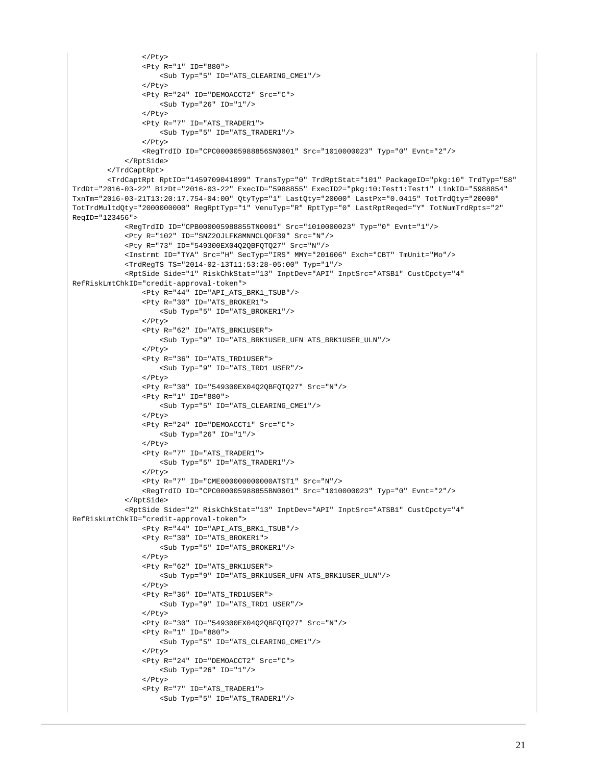```
\langle/Ptv>
                  <Pty R="1" ID="880">
                      <Sub Typ="5" ID="ATS_CLEARING_CME1"/>
                 \epsilon/Pty>
                  <Pty R="24" ID="DEMOACCT2" Src="C">
                     <Sub Typ="26" ID="1"/>
                  </Pty>
                  <Pty R="7" ID="ATS_TRADER1">
                      <Sub Typ="5" ID="ATS_TRADER1"/>
                  </Pty>
                  <RegTrdID ID="CPC000005988856SN0001" Src="1010000023" Typ="0" Evnt="2"/>
              </RptSide>
         </TrdCaptRpt>
         <TrdCaptRpt RptID="1459709041899" TransTyp="0" TrdRptStat="101" PackageID="pkg:10" TrdTyp="58" 
TrdDt="2016-03-22" BizDt="2016-03-22" ExecID="5988855" ExecID2="pkg:10:Test1:Test1" LinkID="5988854" 
TxnTm="2016-03-21T13:20:17.754-04:00" QtyTyp="1" LastQty="20000" LastPx="0.0415" TotTrdQty="20000" 
TotTrdMultdQty="2000000000" RegRptTyp="1" VenuTyp="R" RptTyp="0" LastRptReqed="Y" TotNumTrdRpts="2" 
ReqID="123456">
              <RegTrdID ID="CPB000005988855TN0001" Src="1010000023" Typ="0" Evnt="1"/>
              <Pty R="102" ID="SNZ2OJLFK8MNNCLQOF39" Src="N"/>
              <Pty R="73" ID="549300EX04Q2QBFQTQ27" Src="N"/>
              <Instrmt ID="TYA" Src="H" SecTyp="IRS" MMY="201606" Exch="CBT" TmUnit="Mo"/>
              <TrdRegTS TS="2014-02-13T11:53:28-05:00" Typ="1"/>
              <RptSide Side="1" RiskChkStat="13" InptDev="API" InptSrc="ATSB1" CustCpcty="4" 
RefRiskLmtChkID="credit-approval-token">
                  <Pty R="44" ID="API_ATS_BRK1_TSUB"/>
                  <Pty R="30" ID="ATS_BROKER1">
                      <Sub Typ="5" ID="ATS_BROKER1"/>
                  </Pty>
                  <Pty R="62" ID="ATS_BRK1USER">
                      <Sub Typ="9" ID="ATS_BRK1USER_UFN ATS_BRK1USER_ULN"/>
                  </Pty>
                  <Pty R="36" ID="ATS_TRD1USER">
                      <Sub Typ="9" ID="ATS_TRD1 USER"/>
                 \epsilon/Pty>
                  <Pty R="30" ID="549300EX04Q2QBFQTQ27" Src="N"/>
                  <Pty R="1" ID="880">
                     <Sub Typ="5" ID="ATS_CLEARING_CME1"/>
                  </Pty>
                  <Pty R="24" ID="DEMOACCT1" Src="C">
                     \text{Sub} Typ="26" ID="1"/>
                 \langle/Ptv>
                  <Pty R="7" ID="ATS_TRADER1">
                      <Sub Typ="5" ID="ATS_TRADER1"/>
                  </Pty>
                  <Pty R="7" ID="CME000000000000ATST1" Src="N"/>
                  <RegTrdID ID="CPC000005988855BN0001" Src="1010000023" Typ="0" Evnt="2"/>
              </RptSide>
              <RptSide Side="2" RiskChkStat="13" InptDev="API" InptSrc="ATSB1" CustCpcty="4" 
RefRiskLmtChkID="credit-approval-token">
                  <Pty R="44" ID="API_ATS_BRK1_TSUB"/>
                  <Pty R="30" ID="ATS_BROKER1">
                      <Sub Typ="5" ID="ATS_BROKER1"/>
                  </Pty>
                  <Pty R="62" ID="ATS_BRK1USER">
                      <Sub Typ="9" ID="ATS_BRK1USER_UFN ATS_BRK1USER_ULN"/>
                 2/D+3/2 <Pty R="36" ID="ATS_TRD1USER">
                      <Sub Typ="9" ID="ATS_TRD1 USER"/>
                 \langle/Ptv>
                  <Pty R="30" ID="549300EX04Q2QBFQTQ27" Src="N"/>
                  <Pty R="1" ID="880">
                      <Sub Typ="5" ID="ATS_CLEARING_CME1"/>
                 \langle/Ptv>
                  <Pty R="24" ID="DEMOACCT2" Src="C">
                      <Sub Typ="26" ID="1"/>
                 \langle/Ptv>
                  <Pty R="7" ID="ATS_TRADER1">
                      <Sub Typ="5" ID="ATS_TRADER1"/>
```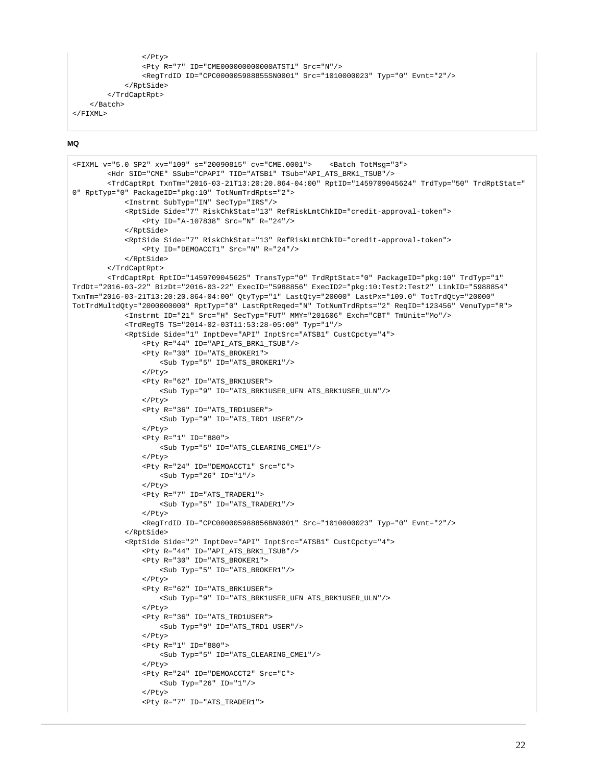```
\langle/Ptv>
                  <Pty R="7" ID="CME000000000000ATST1" Src="N"/>
                  <RegTrdID ID="CPC000005988855SN0001" Src="1010000023" Typ="0" Evnt="2"/>
              </RptSide>
         </TrdCaptRpt>
     </Batch>
</FIXML>
```

```
<FIXML v="5.0 SP2" xv="109" s="20090815" cv="CME.0001"> <Batch TotMsg="3">
         <Hdr SID="CME" SSub="CPAPI" TID="ATSB1" TSub="API_ATS_BRK1_TSUB"/>
         <TrdCaptRpt TxnTm="2016-03-21T13:20:20.864-04:00" RptID="1459709045624" TrdTyp="50" TrdRptStat="
0" RptTyp="0" PackageID="pkg:10" TotNumTrdRpts="2">
             <Instrmt SubTyp="IN" SecTyp="IRS"/>
             <RptSide Side="7" RiskChkStat="13" RefRiskLmtChkID="credit-approval-token">
                 <Pty ID="A-107838" Src="N" R="24"/>
             </RptSide>
             <RptSide Side="7" RiskChkStat="13" RefRiskLmtChkID="credit-approval-token">
                 <Pty ID="DEMOACCT1" Src="N" R="24"/>
             </RptSide>
         </TrdCaptRpt>
         <TrdCaptRpt RptID="1459709045625" TransTyp="0" TrdRptStat="0" PackageID="pkg:10" TrdTyp="1" 
TrdDt="2016-03-22" BizDt="2016-03-22" ExecID="5988856" ExecID2="pkg:10:Test2:Test2" LinkID="5988854" 
TxnTm="2016-03-21T13:20:20.864-04:00" QtyTyp="1" LastQty="20000" LastPx="109.0" TotTrdQty="20000" 
TotTrdMultdQty="2000000000" RptTyp="0" LastRptReqed="N" TotNumTrdRpts="2" ReqID="123456" VenuTyp="R">
             <Instrmt ID="21" Src="H" SecTyp="FUT" MMY="201606" Exch="CBT" TmUnit="Mo"/>
             <TrdRegTS TS="2014-02-03T11:53:28-05:00" Typ="1"/>
             <RptSide Side="1" InptDev="API" InptSrc="ATSB1" CustCpcty="4">
                 <Pty R="44" ID="API_ATS_BRK1_TSUB"/>
                 <Pty R="30" ID="ATS_BROKER1">
                     <Sub Typ="5" ID="ATS_BROKER1"/>
                 </Pty>
                 <Pty R="62" ID="ATS_BRK1USER">
                     <Sub Typ="9" ID="ATS_BRK1USER_UFN ATS_BRK1USER_ULN"/>
                 </Pty>
                 <Pty R="36" ID="ATS_TRD1USER">
                     <Sub Typ="9" ID="ATS_TRD1 USER"/>
                 </Pty>
                 <Pty R="1" ID="880">
                     <Sub Typ="5" ID="ATS_CLEARING_CME1"/>
                 </Pty>
                 <Pty R="24" ID="DEMOACCT1" Src="C">
                     <Sub Typ="26" ID="1"/>
                 </Pty>
                 <Pty R="7" ID="ATS_TRADER1">
                     <Sub Typ="5" ID="ATS_TRADER1"/>
                 </Pty>
                 <RegTrdID ID="CPC000005988856BN0001" Src="1010000023" Typ="0" Evnt="2"/>
             </RptSide>
             <RptSide Side="2" InptDev="API" InptSrc="ATSB1" CustCpcty="4">
                 <Pty R="44" ID="API_ATS_BRK1_TSUB"/>
                 <Pty R="30" ID="ATS_BROKER1">
                     <Sub Typ="5" ID="ATS_BROKER1"/>
                 </Pty>
                 <Pty R="62" ID="ATS_BRK1USER">
                     <Sub Typ="9" ID="ATS_BRK1USER_UFN ATS_BRK1USER_ULN"/>
                 </Pty>
                 <Pty R="36" ID="ATS_TRD1USER">
                     <Sub Typ="9" ID="ATS_TRD1 USER"/>
                \langle/Ptv>
                 <Pty R="1" ID="880">
                     <Sub Typ="5" ID="ATS_CLEARING_CME1"/>
                 </Pty>
                 <Pty R="24" ID="DEMOACCT2" Src="C">
                     <Sub Typ="26" ID="1"/>
                 </Pty>
                 <Pty R="7" ID="ATS_TRADER1">
```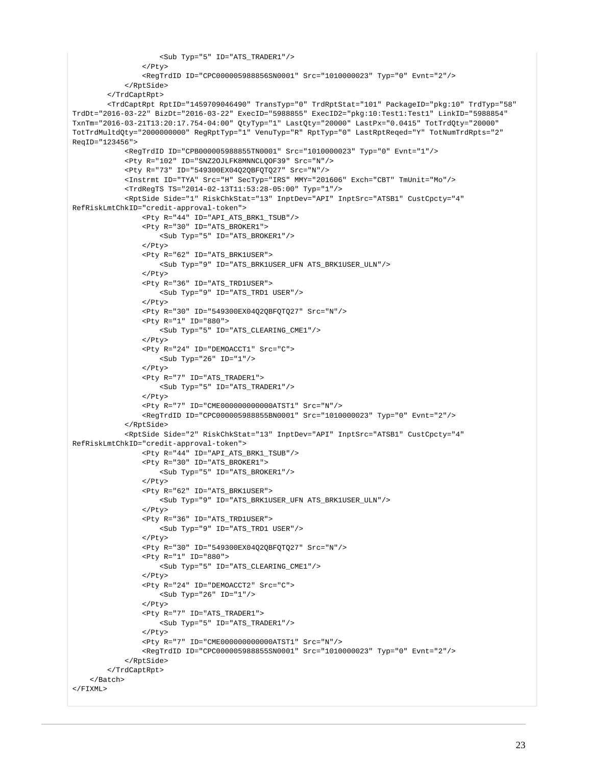```
 <Sub Typ="5" ID="ATS_TRADER1"/>
                  </Pty>
                  <RegTrdID ID="CPC000005988856SN0001" Src="1010000023" Typ="0" Evnt="2"/>
             </RptSide>
         </TrdCaptRpt>
         <TrdCaptRpt RptID="1459709046490" TransTyp="0" TrdRptStat="101" PackageID="pkg:10" TrdTyp="58" 
TrdDt="2016-03-22" BizDt="2016-03-22" ExecID="5988855" ExecID2="pkg:10:Test1:Test1" LinkID="5988854" 
TxnTm="2016-03-21T13:20:17.754-04:00" QtyTyp="1" LastQty="20000" LastPx="0.0415" TotTrdQty="20000" 
TotTrdMultdQty="2000000000" RegRptTyp="1" VenuTyp="R" RptTyp="0" LastRptReqed="Y" TotNumTrdRpts="2" 
ReqID="123456">
             <RegTrdID ID="CPB000005988855TN0001" Src="1010000023" Typ="0" Evnt="1"/>
             <Pty R="102" ID="SNZ2OJLFK8MNNCLQOF39" Src="N"/>
             <Pty R="73" ID="549300EX04Q2QBFQTQ27" Src="N"/>
             <Instrmt ID="TYA" Src="H" SecTyp="IRS" MMY="201606" Exch="CBT" TmUnit="Mo"/>
             <TrdRegTS TS="2014-02-13T11:53:28-05:00" Typ="1"/>
             <RptSide Side="1" RiskChkStat="13" InptDev="API" InptSrc="ATSB1" CustCpcty="4" 
RefRiskLmtChkID="credit-approval-token">
                  <Pty R="44" ID="API_ATS_BRK1_TSUB"/>
                  <Pty R="30" ID="ATS_BROKER1">
                      <Sub Typ="5" ID="ATS_BROKER1"/>
                 \langle/Ptv>
                  <Pty R="62" ID="ATS_BRK1USER">
                      <Sub Typ="9" ID="ATS_BRK1USER_UFN ATS_BRK1USER_ULN"/>
                 \epsilon/Dty>
                  <Pty R="36" ID="ATS_TRD1USER">
                     <Sub Typ="9" ID="ATS_TRD1 USER"/>
                  </Pty>
                  <Pty R="30" ID="549300EX04Q2QBFQTQ27" Src="N"/>
                  <Pty R="1" ID="880">
                     <Sub Typ="5" ID="ATS_CLEARING_CME1"/>
                  </Pty>
                  <Pty R="24" ID="DEMOACCT1" Src="C">
                     <Sub Typ="26" ID="1"/>
                 \epsilon/Pty>
                  <Pty R="7" ID="ATS_TRADER1">
                      <Sub Typ="5" ID="ATS_TRADER1"/>
                 \epsilon/Dtys
                  <Pty R="7" ID="CME000000000000ATST1" Src="N"/>
                  <RegTrdID ID="CPC000005988855BN0001" Src="1010000023" Typ="0" Evnt="2"/>
             </RptSide>
             <RptSide Side="2" RiskChkStat="13" InptDev="API" InptSrc="ATSB1" CustCpcty="4" 
RefRiskLmtChkID="credit-approval-token">
                  <Pty R="44" ID="API_ATS_BRK1_TSUB"/>
                  <Pty R="30" ID="ATS_BROKER1">
                     <Sub Typ="5" ID="ATS_BROKER1"/>
                  </Pty>
                  <Pty R="62" ID="ATS_BRK1USER">
                     <Sub Typ="9" ID="ATS_BRK1USER_UFN ATS_BRK1USER_ULN"/>
                  </Pty>
                  <Pty R="36" ID="ATS_TRD1USER">
                     <Sub Typ="9" ID="ATS_TRD1 USER"/>
                  </Pty>
                  <Pty R="30" ID="549300EX04Q2QBFQTQ27" Src="N"/>
                  <Pty R="1" ID="880">
                      <Sub Typ="5" ID="ATS_CLEARING_CME1"/>
                 \langle/Ptv>
                  <Pty R="24" ID="DEMOACCT2" Src="C">
                     <Sub Typ="26" ID="1"/>
                  </Pty>
                  <Pty R="7" ID="ATS_TRADER1">
                      <Sub Typ="5" ID="ATS_TRADER1"/>
                  </Pty>
                  <Pty R="7" ID="CME000000000000ATST1" Src="N"/>
                  <RegTrdID ID="CPC000005988855SN0001" Src="1010000023" Typ="0" Evnt="2"/>
             </RptSide>
         </TrdCaptRpt>
     </Batch>
</FIXML>
```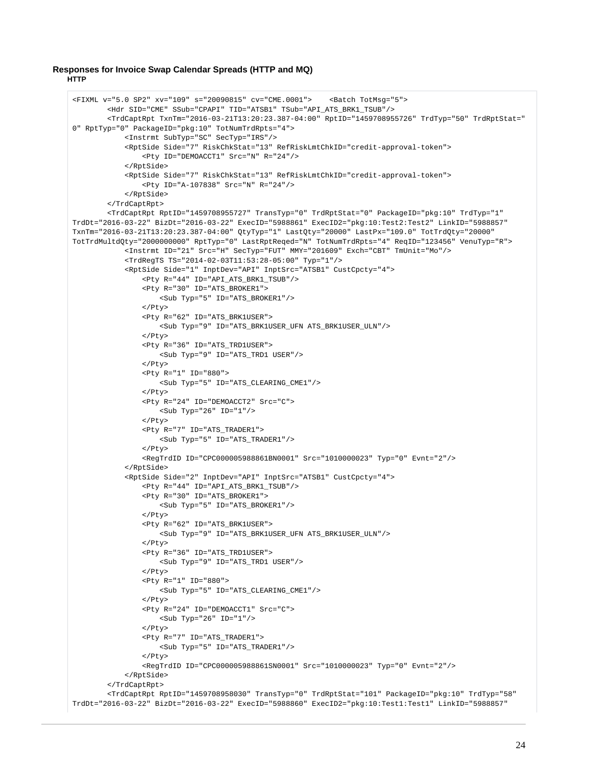## **Responses for Invoice Swap Calendar Spreads (HTTP and MQ) HTTP**

```
<FIXML v="5.0 SP2" xv="109" s="20090815" cv="CME.0001"> <Batch TotMsg="5">
         <Hdr SID="CME" SSub="CPAPI" TID="ATSB1" TSub="API_ATS_BRK1_TSUB"/>
         <TrdCaptRpt TxnTm="2016-03-21T13:20:23.387-04:00" RptID="1459708955726" TrdTyp="50" TrdRptStat="
0" RptTyp="0" PackageID="pkg:10" TotNumTrdRpts="4">
             <Instrmt SubTyp="SC" SecTyp="IRS"/>
             <RptSide Side="7" RiskChkStat="13" RefRiskLmtChkID="credit-approval-token">
                 <Pty ID="DEMOACCT1" Src="N" R="24"/>
             </RptSide>
             <RptSide Side="7" RiskChkStat="13" RefRiskLmtChkID="credit-approval-token">
                 <Pty ID="A-107838" Src="N" R="24"/>
             </RptSide>
         </TrdCaptRpt>
         <TrdCaptRpt RptID="1459708955727" TransTyp="0" TrdRptStat="0" PackageID="pkg:10" TrdTyp="1" 
TrdDt="2016-03-22" BizDt="2016-03-22" ExecID="5988861" ExecID2="pkg:10:Test2:Test2" LinkID="5988857" 
TxnTm="2016-03-21T13:20:23.387-04:00" QtyTyp="1" LastQty="20000" LastPx="109.0" TotTrdQty="20000" 
TotTrdMultdQty="2000000000" RptTyp="0" LastRptReqed="N" TotNumTrdRpts="4" ReqID="123456" VenuTyp="R">
             <Instrmt ID="21" Src="H" SecTyp="FUT" MMY="201609" Exch="CBT" TmUnit="Mo"/>
             <TrdRegTS TS="2014-02-03T11:53:28-05:00" Typ="1"/>
             <RptSide Side="1" InptDev="API" InptSrc="ATSB1" CustCpcty="4">
                 <Pty R="44" ID="API_ATS_BRK1_TSUB"/>
                 <Pty R="30" ID="ATS_BROKER1">
                     <Sub Typ="5" ID="ATS_BROKER1"/>
                 </Pty>
                 <Pty R="62" ID="ATS_BRK1USER">
                     <Sub Typ="9" ID="ATS_BRK1USER_UFN ATS_BRK1USER_ULN"/>
                \epsilon/Pty>
                 <Pty R="36" ID="ATS_TRD1USER">
                     <Sub Typ="9" ID="ATS_TRD1 USER"/>
                 </Pty>
                 <Pty R="1" ID="880">
                    <Sub Typ="5" ID="ATS CLEARING CME1"/>
                 </Pty>
                 <Pty R="24" ID="DEMOACCT2" Src="C">
                     <Sub Typ="26" ID="1"/>
                 </Pty>
                 <Pty R="7" ID="ATS_TRADER1">
                     <Sub Typ="5" ID="ATS_TRADER1"/>
                 </Pty>
                 <RegTrdID ID="CPC000005988861BN0001" Src="1010000023" Typ="0" Evnt="2"/>
             </RptSide>
             <RptSide Side="2" InptDev="API" InptSrc="ATSB1" CustCpcty="4">
                 <Pty R="44" ID="API_ATS_BRK1_TSUB"/>
                 <Pty R="30" ID="ATS_BROKER1">
                     <Sub Typ="5" ID="ATS_BROKER1"/>
                 </Pty>
                 <Pty R="62" ID="ATS_BRK1USER">
                     <Sub Typ="9" ID="ATS_BRK1USER_UFN ATS_BRK1USER_ULN"/>
                 </Pty>
                 <Pty R="36" ID="ATS_TRD1USER">
                     <Sub Typ="9" ID="ATS_TRD1 USER"/>
                 </Pty>
                 <Pty R="1" ID="880">
                     <Sub Typ="5" ID="ATS_CLEARING_CME1"/>
                 </Pty>
                 <Pty R="24" ID="DEMOACCT1" Src="C">
                     <Sub Typ="26" ID="1"/>
                 </Pty>
                 <Pty R="7" ID="ATS_TRADER1">
                     <Sub Typ="5" ID="ATS_TRADER1"/>
                </Pty>
                 <RegTrdID ID="CPC000005988861SN0001" Src="1010000023" Typ="0" Evnt="2"/>
             </RptSide>
         </TrdCaptRpt>
         <TrdCaptRpt RptID="1459708958030" TransTyp="0" TrdRptStat="101" PackageID="pkg:10" TrdTyp="58" 
TrdDt="2016-03-22" BizDt="2016-03-22" ExecID="5988860" ExecID2="pkg:10:Test1:Test1" LinkID="5988857"
```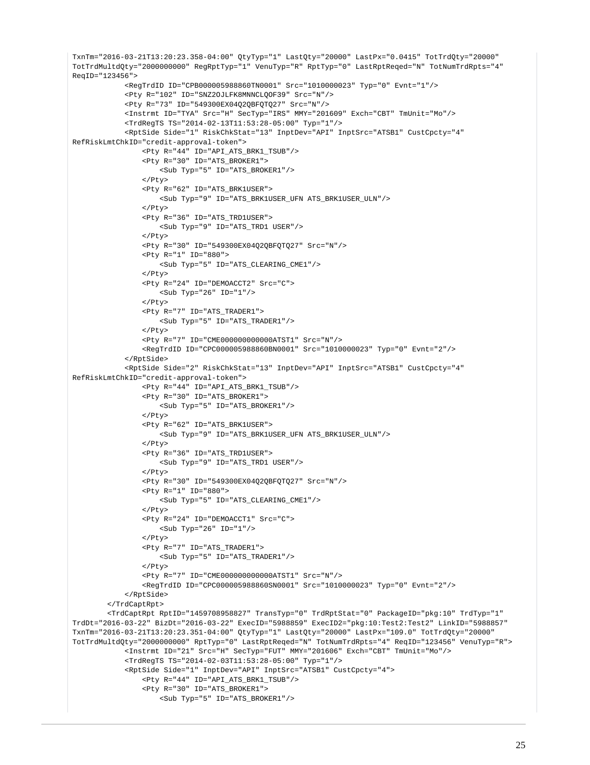```
TxnTm="2016-03-21T13:20:23.358-04:00" QtyTyp="1" LastQty="20000" LastPx="0.0415" TotTrdQty="20000" 
TotTrdMultdQty="2000000000" RegRptTyp="1" VenuTyp="R" RptTyp="0" LastRptReqed="N" TotNumTrdRpts="4" 
ReqID="123456">
             <RegTrdID ID="CPB000005988860TN0001" Src="1010000023" Typ="0" Evnt="1"/>
             <Pty R="102" ID="SNZ2OJLFK8MNNCLQOF39" Src="N"/>
             <Pty R="73" ID="549300EX04Q2QBFQTQ27" Src="N"/>
             <Instrmt ID="TYA" Src="H" SecTyp="IRS" MMY="201609" Exch="CBT" TmUnit="Mo"/>
             <TrdRegTS TS="2014-02-13T11:53:28-05:00" Typ="1"/>
             <RptSide Side="1" RiskChkStat="13" InptDev="API" InptSrc="ATSB1" CustCpcty="4" 
RefRiskLmtChkID="credit-approval-token">
                 <Pty R="44" ID="API_ATS_BRK1_TSUB"/>
                 <Pty R="30" ID="ATS_BROKER1">
                     <Sub Typ="5" ID="ATS_BROKER1"/>
                 </Pty>
                 <Pty R="62" ID="ATS_BRK1USER">
                     <Sub Typ="9" ID="ATS_BRK1USER_UFN ATS_BRK1USER_ULN"/>
                </Pty>
                 <Pty R="36" ID="ATS_TRD1USER">
                     <Sub Typ="9" ID="ATS_TRD1 USER"/>
                 </Pty>
                 <Pty R="30" ID="549300EX04Q2QBFQTQ27" Src="N"/>
                 <Pty R="1" ID="880">
                     <Sub Typ="5" ID="ATS_CLEARING_CME1"/>
                \epsilon/Dty>
                 <Pty R="24" ID="DEMOACCT2" Src="C">
                    \text{Sub Type} "26" ID="1"/>
                 </Pty>
                 <Pty R="7" ID="ATS_TRADER1">
                     <Sub Typ="5" ID="ATS_TRADER1"/>
                \epsilon/Pty>
                 <Pty R="7" ID="CME000000000000ATST1" Src="N"/>
                 <RegTrdID ID="CPC000005988860BN0001" Src="1010000023" Typ="0" Evnt="2"/>
             </RptSide>
             <RptSide Side="2" RiskChkStat="13" InptDev="API" InptSrc="ATSB1" CustCpcty="4" 
RefRiskLmtChkID="credit-approval-token">
                 <Pty R="44" ID="API_ATS_BRK1_TSUB"/>
                 <Pty R="30" ID="ATS_BROKER1">
                     <Sub Typ="5" ID="ATS_BROKER1"/>
                 </Pty>
                 <Pty R="62" ID="ATS_BRK1USER">
                     <Sub Typ="9" ID="ATS_BRK1USER_UFN ATS_BRK1USER_ULN"/>
                \langle/Ptv>
                  <Pty R="36" ID="ATS_TRD1USER">
                     <Sub Typ="9" ID="ATS_TRD1 USER"/>
                 </Pty>
                 <Pty R="30" ID="549300EX04Q2QBFQTQ27" Src="N"/>
                 <Pty R="1" ID="880">
                     <Sub Typ="5" ID="ATS_CLEARING_CME1"/>
                  </Pty>
                 <Pty R="24" ID="DEMOACCT1" Src="C">
                     <Sub Typ="26" ID="1"/>
                 </Pty>
                 <Pty R="7" ID="ATS_TRADER1">
                     <Sub Typ="5" ID="ATS_TRADER1"/>
                \langle/Ptv>
                 <Pty R="7" ID="CME000000000000ATST1" Src="N"/>
                 <RegTrdID ID="CPC000005988860SN0001" Src="1010000023" Typ="0" Evnt="2"/>
             </RptSide>
         </TrdCaptRpt>
         <TrdCaptRpt RptID="1459708958827" TransTyp="0" TrdRptStat="0" PackageID="pkg:10" TrdTyp="1" 
TrdDt="2016-03-22" BizDt="2016-03-22" ExecID="5988859" ExecID2="pkg:10:Test2:Test2" LinkID="5988857" 
TxnTm="2016-03-21T13:20:23.351-04:00" QtyTyp="1" LastQty="20000" LastPx="109.0" TotTrdQty="20000" 
TotTrdMultdQty="2000000000" RptTyp="0" LastRptReqed="N" TotNumTrdRpts="4" ReqID="123456" VenuTyp="R">
             <Instrmt ID="21" Src="H" SecTyp="FUT" MMY="201606" Exch="CBT" TmUnit="Mo"/>
             <TrdRegTS TS="2014-02-03T11:53:28-05:00" Typ="1"/>
             <RptSide Side="1" InptDev="API" InptSrc="ATSB1" CustCpcty="4">
                 <Pty R="44" ID="API_ATS_BRK1_TSUB"/>
                 <Pty R="30" ID="ATS_BROKER1">
                      <Sub Typ="5" ID="ATS_BROKER1"/>
```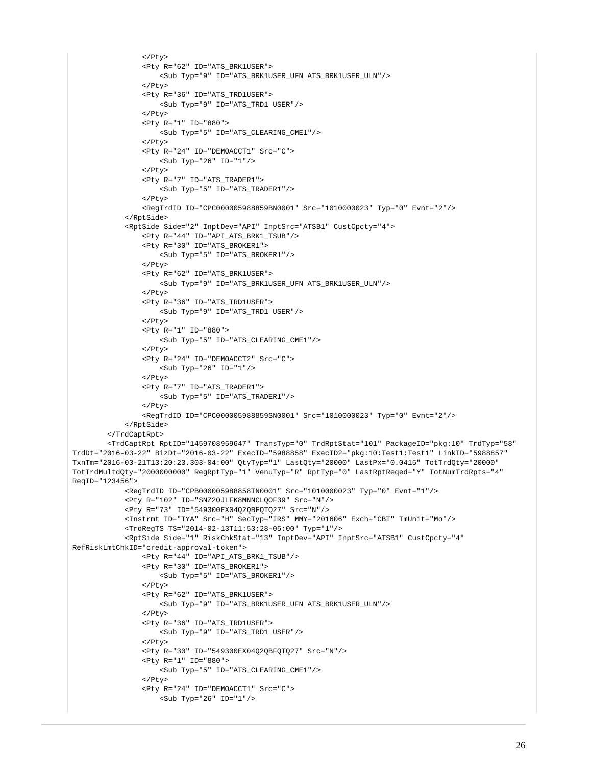```
\langle/Ptv>
                  <Pty R="62" ID="ATS_BRK1USER">
                      <Sub Typ="9" ID="ATS_BRK1USER_UFN ATS_BRK1USER_ULN"/>
                 \epsilon/Pty>
                  <Pty R="36" ID="ATS_TRD1USER">
                     <Sub Typ="9" ID="ATS_TRD1 USER"/>
                  </Pty>
                  <Pty R="1" ID="880">
                      <Sub Typ="5" ID="ATS_CLEARING_CME1"/>
                  </Pty>
                  <Pty R="24" ID="DEMOACCT1" Src="C">
                    <Sub Typ="26" ID="1"/>
                  </Pty>
                  <Pty R="7" ID="ATS_TRADER1">
                      <Sub Typ="5" ID="ATS_TRADER1"/>
                  </Pty>
                  <RegTrdID ID="CPC000005988859BN0001" Src="1010000023" Typ="0" Evnt="2"/>
             </RptSide>
             <RptSide Side="2" InptDev="API" InptSrc="ATSB1" CustCpcty="4">
                  <Pty R="44" ID="API_ATS_BRK1_TSUB"/>
                  <Pty R="30" ID="ATS_BROKER1">
                     <Sub Typ="5" ID="ATS_BROKER1"/>
                  </Pty>
                  <Pty R="62" ID="ATS_BRK1USER">
                     <Sub Typ="9" ID="ATS_BRK1USER_UFN ATS_BRK1USER_ULN"/>
                 </Pty>
                  <Pty R="36" ID="ATS_TRD1USER">
                      <Sub Typ="9" ID="ATS_TRD1 USER"/>
                  </Pty>
                  <Pty R="1" ID="880">
                     <Sub Typ="5" ID="ATS_CLEARING_CME1"/>
                  </Pty>
                  <Pty R="24" ID="DEMOACCT2" Src="C">
                     <Sub Typ="26" ID="1"/>
                  </Pty>
                  <Pty R="7" ID="ATS_TRADER1">
                     <Sub Typ="5" ID="ATS_TRADER1"/>
                  </Pty>
                  <RegTrdID ID="CPC000005988859SN0001" Src="1010000023" Typ="0" Evnt="2"/>
             </RptSide>
         </TrdCaptRpt>
         <TrdCaptRpt RptID="1459708959647" TransTyp="0" TrdRptStat="101" PackageID="pkg:10" TrdTyp="58" 
TrdDt="2016-03-22" BizDt="2016-03-22" ExecID="5988858" ExecID2="pkg:10:Test1:Test1" LinkID="5988857" 
TxnTm="2016-03-21T13:20:23.303-04:00" QtyTyp="1" LastQty="20000" LastPx="0.0415" TotTrdQty="20000" 
TotTrdMultdQty="2000000000" RegRptTyp="1" VenuTyp="R" RptTyp="0" LastRptReqed="Y" TotNumTrdRpts="4" 
ReqID="123456">
             <RegTrdID ID="CPB000005988858TN0001" Src="1010000023" Typ="0" Evnt="1"/>
             <Pty R="102" ID="SNZ2OJLFK8MNNCLQOF39" Src="N"/>
             <Pty R="73" ID="549300EX04Q2QBFQTQ27" Src="N"/>
             <Instrmt ID="TYA" Src="H" SecTyp="IRS" MMY="201606" Exch="CBT" TmUnit="Mo"/>
             <TrdRegTS TS="2014-02-13T11:53:28-05:00" Typ="1"/>
             <RptSide Side="1" RiskChkStat="13" InptDev="API" InptSrc="ATSB1" CustCpcty="4" 
RefRiskLmtChkID="credit-approval-token">
                  <Pty R="44" ID="API_ATS_BRK1_TSUB"/>
                  <Pty R="30" ID="ATS_BROKER1">
                      <Sub Typ="5" ID="ATS_BROKER1"/>
                 2/D+3/2 <Pty R="62" ID="ATS_BRK1USER">
                     <Sub Typ="9" ID="ATS_BRK1USER_UFN ATS_BRK1USER_ULN"/>
                 \langle/Ptv>
                  <Pty R="36" ID="ATS_TRD1USER">
                      <Sub Typ="9" ID="ATS_TRD1 USER"/>
                  </Pty>
                  <Pty R="30" ID="549300EX04Q2QBFQTQ27" Src="N"/>
                  <Pty R="1" ID="880">
                      <Sub Typ="5" ID="ATS_CLEARING_CME1"/>
                 \langle/Ptv>
                  <Pty R="24" ID="DEMOACCT1" Src="C">
                      <Sub Typ="26" ID="1"/>
```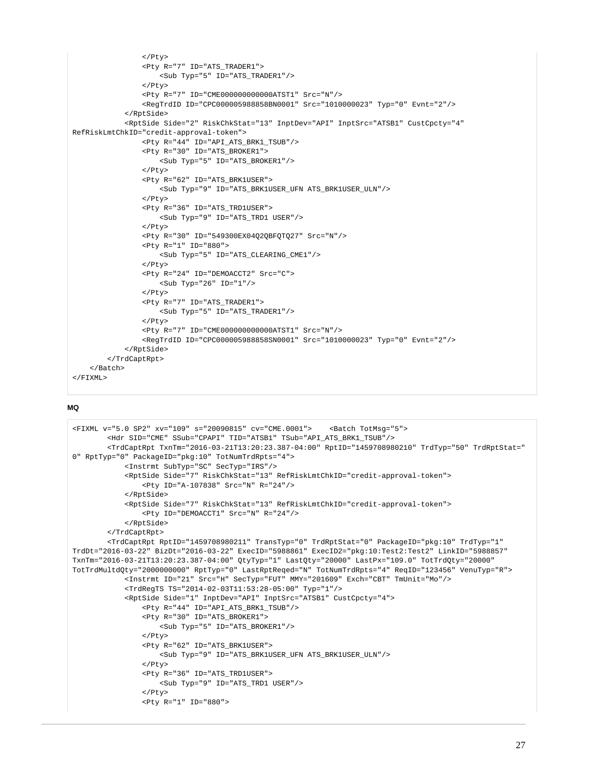```
\langle/Ptv>
                  <Pty R="7" ID="ATS_TRADER1">
                      <Sub Typ="5" ID="ATS_TRADER1"/>
                 \epsilon/Pty>
                  <Pty R="7" ID="CME000000000000ATST1" Src="N"/>
                  <RegTrdID ID="CPC000005988858BN0001" Src="1010000023" Typ="0" Evnt="2"/>
              </RptSide>
              <RptSide Side="2" RiskChkStat="13" InptDev="API" InptSrc="ATSB1" CustCpcty="4" 
RefRiskLmtChkID="credit-approval-token">
                  <Pty R="44" ID="API_ATS_BRK1_TSUB"/>
                 -<br> <Pty R="30" ID="ATS_BROKER1">
                      <Sub Typ="5" ID="ATS_BROKER1"/>
                  </Pty>
                  <Pty R="62" ID="ATS_BRK1USER">
                      <Sub Typ="9" ID="ATS_BRK1USER_UFN ATS_BRK1USER_ULN"/>
                  </Pty>
                  <Pty R="36" ID="ATS_TRD1USER">
                      <Sub Typ="9" ID="ATS_TRD1 USER"/>
                  </Pty>
                  <Pty R="30" ID="549300EX04Q2QBFQTQ27" Src="N"/>
                  <Pty R="1" ID="880">
                     <Sub Typ="5" ID="ATS CLEARING CME1"/>
                  </Pty>
                  <Pty R="24" ID="DEMOACCT2" Src="C">
                     \text{Sub Type} "26" ID="1"/>
                  </Pty>
                  <Pty R="7" ID="ATS_TRADER1">
                      <Sub Typ="5" ID="ATS_TRADER1"/>
                  </Pty>
                  <Pty R="7" ID="CME000000000000ATST1" Src="N"/>
                  <RegTrdID ID="CPC000005988858SN0001" Src="1010000023" Typ="0" Evnt="2"/>
              </RptSide>
         </TrdCaptRpt>
     </Batch>
\epsilon/FTXML>
```

```
<FIXML v="5.0 SP2" xv="109" s="20090815" cv="CME.0001"> <Batch TotMsg="5">
         <Hdr SID="CME" SSub="CPAPI" TID="ATSB1" TSub="API_ATS_BRK1_TSUB"/>
         <TrdCaptRpt TxnTm="2016-03-21T13:20:23.387-04:00" RptID="1459708980210" TrdTyp="50" TrdRptStat="
0" RptTyp="0" PackageID="pkg:10" TotNumTrdRpts="4">
             <Instrmt SubTyp="SC" SecTyp="IRS"/>
             <RptSide Side="7" RiskChkStat="13" RefRiskLmtChkID="credit-approval-token">
                 <Pty ID="A-107838" Src="N" R="24"/>
             </RptSide>
             <RptSide Side="7" RiskChkStat="13" RefRiskLmtChkID="credit-approval-token">
                 <Pty ID="DEMOACCT1" Src="N" R="24"/>
             </RptSide>
         </TrdCaptRpt>
         <TrdCaptRpt RptID="1459708980211" TransTyp="0" TrdRptStat="0" PackageID="pkg:10" TrdTyp="1" 
TrdDt="2016-03-22" BizDt="2016-03-22" ExecID="5988861" ExecID2="pkg:10:Test2:Test2" LinkID="5988857" 
TxnTm="2016-03-21T13:20:23.387-04:00" QtyTyp="1" LastQty="20000" LastPx="109.0" TotTrdQty="20000" 
TotTrdMultdQty="2000000000" RptTyp="0" LastRptReqed="N" TotNumTrdRpts="4" ReqID="123456" VenuTyp="R">
             <Instrmt ID="21" Src="H" SecTyp="FUT" MMY="201609" Exch="CBT" TmUnit="Mo"/>
             <TrdRegTS TS="2014-02-03T11:53:28-05:00" Typ="1"/>
             <RptSide Side="1" InptDev="API" InptSrc="ATSB1" CustCpcty="4">
                 <Pty R="44" ID="API_ATS_BRK1_TSUB"/>
                 <Pty R="30" ID="ATS_BROKER1">
                     <Sub Typ="5" ID="ATS_BROKER1"/>
                \langle/Ptv>
                 <Pty R="62" ID="ATS_BRK1USER">
                     <Sub Typ="9" ID="ATS_BRK1USER_UFN ATS_BRK1USER_ULN"/>
                 </Pty>
                 <Pty R="36" ID="ATS_TRD1USER">
                     <Sub Typ="9" ID="ATS_TRD1 USER"/>
                 </Pty>
                 <Pty R="1" ID="880">
```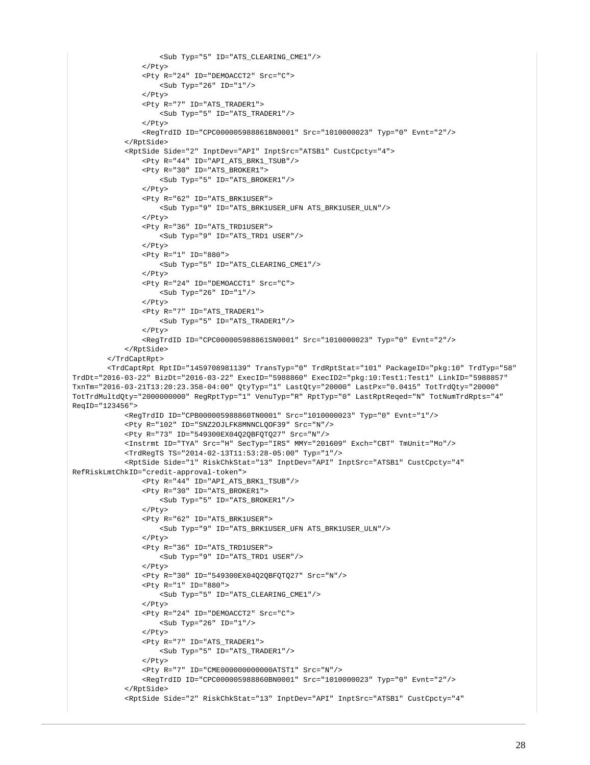```
 <Sub Typ="5" ID="ATS_CLEARING_CME1"/>
                  </Pty>
                  <Pty R="24" ID="DEMOACCT2" Src="C">
                     <Sub Typ="26" ID="1"/>
                  </Pty>
                  <Pty R="7" ID="ATS_TRADER1">
                     <Sub Typ="5" ID="ATS_TRADER1"/>
                 </Pty>
                  <RegTrdID ID="CPC000005988861BN0001" Src="1010000023" Typ="0" Evnt="2"/>
             </RptSide>
             <RptSide Side="2" InptDev="API" InptSrc="ATSB1" CustCpcty="4">
                 <Pty R="44" ID="API_ATS_BRK1_TSUB"/>
                  <Pty R="30" ID="ATS_BROKER1">
                      <Sub Typ="5" ID="ATS_BROKER1"/>
                  </Pty>
                  <Pty R="62" ID="ATS_BRK1USER">
                     <Sub Typ="9" ID="ATS_BRK1USER_UFN ATS_BRK1USER_ULN"/>
                  </Pty>
                  <Pty R="36" ID="ATS_TRD1USER">
                      <Sub Typ="9" ID="ATS_TRD1 USER"/>
                 \langle/Ptv>
                  <Pty R="1" ID="880">
                      <Sub Typ="5" ID="ATS_CLEARING_CME1"/>
                 \epsilon/Dty>
                  <Pty R="24" ID="DEMOACCT1" Src="C">
                    <Sub Typ="26" ID="1"/>
                  </Pty>
                  <Pty R="7" ID="ATS_TRADER1">
                      <Sub Typ="5" ID="ATS_TRADER1"/>
                 \epsilon/Pty>
                  <RegTrdID ID="CPC000005988861SN0001" Src="1010000023" Typ="0" Evnt="2"/>
             </RptSide>
         </TrdCaptRpt>
         <TrdCaptRpt RptID="1459708981139" TransTyp="0" TrdRptStat="101" PackageID="pkg:10" TrdTyp="58" 
TrdDt="2016-03-22" BizDt="2016-03-22" ExecID="5988860" ExecID2="pkg:10:Test1:Test1" LinkID="5988857" 
TxnTm="2016-03-21T13:20:23.358-04:00" QtyTyp="1" LastQty="20000" LastPx="0.0415" TotTrdQty="20000" 
TotTrdMultdQty="2000000000" RegRptTyp="1" VenuTyp="R" RptTyp="0" LastRptReqed="N" TotNumTrdRpts="4" 
ReqID="123456">
             <RegTrdID ID="CPB000005988860TN0001" Src="1010000023" Typ="0" Evnt="1"/>
             <Pty R="102" ID="SNZ2OJLFK8MNNCLQOF39" Src="N"/>
             <Pty R="73" ID="549300EX04Q2QBFQTQ27" Src="N"/>
             <Instrmt ID="TYA" Src="H" SecTyp="IRS" MMY="201609" Exch="CBT" TmUnit="Mo"/>
             <TrdRegTS TS="2014-02-13T11:53:28-05:00" Typ="1"/>
             <RptSide Side="1" RiskChkStat="13" InptDev="API" InptSrc="ATSB1" CustCpcty="4" 
RefRiskLmtChkID="credit-approval-token">
                 <Pty R="44" ID="API_ATS_BRK1_TSUB"/>
                 <Pty R="30" ID="ATS_BROKER1">
                     <Sub Typ="5" ID="ATS_BROKER1"/>
                  </Pty>
                  <Pty R="62" ID="ATS_BRK1USER">
                     <Sub Typ="9" ID="ATS_BRK1USER_UFN ATS_BRK1USER_ULN"/>
                  </Pty>
                  <Pty R="36" ID="ATS_TRD1USER">
                      <Sub Typ="9" ID="ATS_TRD1 USER"/>
                 \langle/Ptv>
                  <Pty R="30" ID="549300EX04Q2QBFQTQ27" Src="N"/>
                  <Pty R="1" ID="880">
                     <Sub Typ="5" ID="ATS_CLEARING_CME1"/>
                  </Pty>
                  <Pty R="24" ID="DEMOACCT2" Src="C">
                     <Sub Typ="26" ID="1"/>
                  </Pty>
                  <Pty R="7" ID="ATS_TRADER1">
                     <Sub Typ="5" ID="ATS_TRADER1"/>
                  </Pty>
                  <Pty R="7" ID="CME000000000000ATST1" Src="N"/>
                  <RegTrdID ID="CPC000005988860BN0001" Src="1010000023" Typ="0" Evnt="2"/>
             </RptSide>
             <RptSide Side="2" RiskChkStat="13" InptDev="API" InptSrc="ATSB1" CustCpcty="4"
```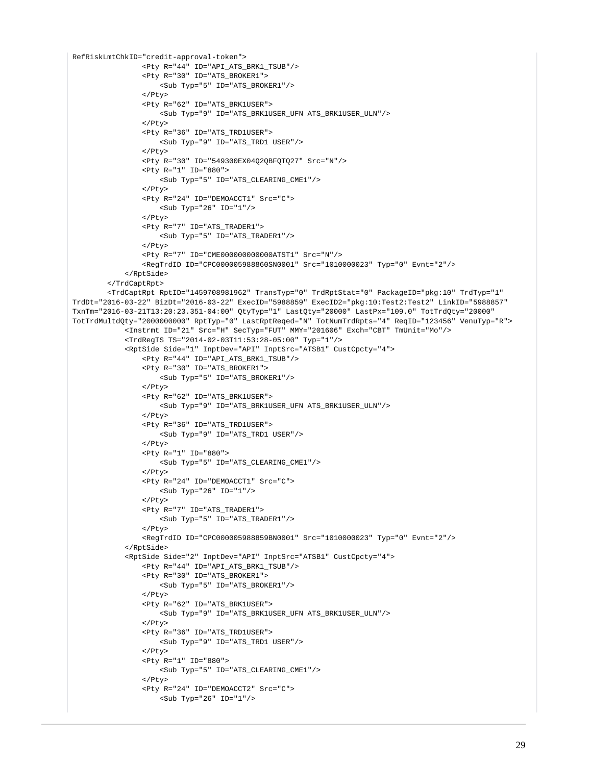```
RefRiskLmtChkID="credit-approval-token">
                  <Pty R="44" ID="API_ATS_BRK1_TSUB"/>
                 -<br><Pty R="30" ID="ATS_BROKER1">
                     <Sub Typ="5" ID="ATS_BROKER1"/>
                 \langlePty>
                  <Pty R="62" ID="ATS_BRK1USER">
                      <Sub Typ="9" ID="ATS_BRK1USER_UFN ATS_BRK1USER_ULN"/>
                  </Pty>
                  <Pty R="36" ID="ATS_TRD1USER">
                     <Sub Typ="9" ID="ATS_TRD1 USER"/>
                 \epsilon/Pty>
                  <Pty R="30" ID="549300EX04Q2QBFQTQ27" Src="N"/>
                  <Pty R="1" ID="880">
                      <Sub Typ="5" ID="ATS_CLEARING_CME1"/>
                  </Pty>
                  <Pty R="24" ID="DEMOACCT1" Src="C">
                     <Sub Typ="26" ID="1"/>
                  </Pty>
                  <Pty R="7" ID="ATS_TRADER1">
                      <Sub Typ="5" ID="ATS_TRADER1"/>
                 \langle/Ptv>
                  <Pty R="7" ID="CME000000000000ATST1" Src="N"/>
                  <RegTrdID ID="CPC000005988860SN0001" Src="1010000023" Typ="0" Evnt="2"/>
             </RptSide>
         </TrdCaptRpt>
         <TrdCaptRpt RptID="1459708981962" TransTyp="0" TrdRptStat="0" PackageID="pkg:10" TrdTyp="1" 
TrdDt="2016-03-22" BizDt="2016-03-22" ExecID="5988859" ExecID2="pkg:10:Test2:Test2" LinkID="5988857" 
TxnTm="2016-03-21T13:20:23.351-04:00" QtyTyp="1" LastQty="20000" LastPx="109.0" TotTrdQty="20000" 
TotTrdMultdQty="2000000000" RptTyp="0" LastRptReqed="N" TotNumTrdRpts="4" ReqID="123456" VenuTyp="R">
             <Instrmt ID="21" Src="H" SecTyp="FUT" MMY="201606" Exch="CBT" TmUnit="Mo"/>
             <TrdRegTS TS="2014-02-03T11:53:28-05:00" Typ="1"/>
             <RptSide Side="1" InptDev="API" InptSrc="ATSB1" CustCpcty="4">
                  <Pty R="44" ID="API_ATS_BRK1_TSUB"/>
                  <Pty R="30" ID="ATS_BROKER1">
                     <Sub Typ="5" ID="ATS_BROKER1"/>
                  </Pty>
                  <Pty R="62" ID="ATS_BRK1USER">
                     <Sub Typ="9" ID="ATS_BRK1USER_UFN ATS_BRK1USER_ULN"/>
                  </Pty>
                  <Pty R="36" ID="ATS_TRD1USER">
                      <Sub Typ="9" ID="ATS_TRD1 USER"/>
                 \langle/Ptv>
                  <Pty R="1" ID="880">
                     <Sub Typ="5" ID="ATS_CLEARING_CME1"/>
                  </Pty>
                  <Pty R="24" ID="DEMOACCT1" Src="C">
                     <Sub Typ="26" ID="1"/>
                  </Pty>
                  <Pty R="7" ID="ATS_TRADER1">
                     <Sub Typ="5" ID="ATS_TRADER1"/>
                  </Pty>
                  <RegTrdID ID="CPC000005988859BN0001" Src="1010000023" Typ="0" Evnt="2"/>
             </RptSide>
             <RptSide Side="2" InptDev="API" InptSrc="ATSB1" CustCpcty="4">
                  <Pty R="44" ID="API_ATS_BRK1_TSUB"/>
                  <Pty R="30" ID="ATS_BROKER1">
                     <Sub Typ="5" ID="ATS_BROKER1"/>
                  </Pty>
                  <Pty R="62" ID="ATS_BRK1USER">
                     <Sub Typ="9" ID="ATS_BRK1USER_UFN ATS_BRK1USER_ULN"/>
                  </Pty>
                  <Pty R="36" ID="ATS_TRD1USER">
                     <Sub Typ="9" ID="ATS_TRD1 USER"/>
                 \langle/Ptv>
                  <Pty R="1" ID="880">
                      <Sub Typ="5" ID="ATS_CLEARING_CME1"/>
                 \langle/Ptv>
                  <Pty R="24" ID="DEMOACCT2" Src="C">
                      <Sub Typ="26" ID="1"/>
```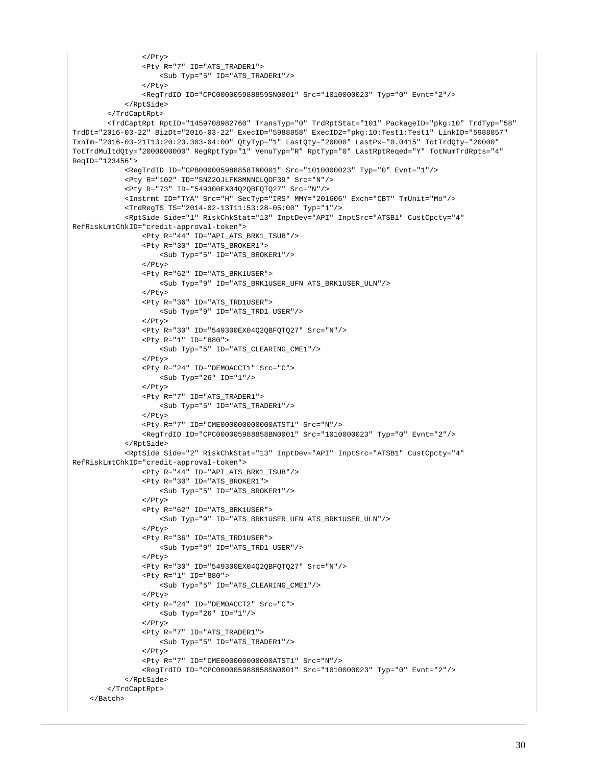```
\langle/Ptv>
                  <Pty R="7" ID="ATS_TRADER1">
                     <Sub Typ="5" ID="ATS TRADER1"/>
                 \epsilon/Pty>
                  <RegTrdID ID="CPC000005988859SN0001" Src="1010000023" Typ="0" Evnt="2"/>
             </RptSide>
         </TrdCaptRpt>
         <TrdCaptRpt RptID="1459708982760" TransTyp="0" TrdRptStat="101" PackageID="pkg:10" TrdTyp="58" 
TrdDt="2016-03-22" BizDt="2016-03-22" ExecID="5988858" ExecID2="pkg:10:Test1:Test1" LinkID="5988857" 
TxnTm="2016-03-21T13:20:23.303-04:00" QtyTyp="1" LastQty="20000" LastPx="0.0415" TotTrdQty="20000" 
TotTrdMultdQty="2000000000" RegRptTyp="1" VenuTyp="R" RptTyp="0" LastRptReqed="Y" TotNumTrdRpts="4" 
ReqID="123456">
             <RegTrdID ID="CPB000005988858TN0001" Src="1010000023" Typ="0" Evnt="1"/>
             <Pty R="102" ID="SNZ2OJLFK8MNNCLQOF39" Src="N"/>
             <Pty R="73" ID="549300EX04Q2QBFQTQ27" Src="N"/>
             <Instrmt ID="TYA" Src="H" SecTyp="IRS" MMY="201606" Exch="CBT" TmUnit="Mo"/>
             <TrdRegTS TS="2014-02-13T11:53:28-05:00" Typ="1"/>
             <RptSide Side="1" RiskChkStat="13" InptDev="API" InptSrc="ATSB1" CustCpcty="4" 
RefRiskLmtChkID="credit-approval-token">
                  <Pty R="44" ID="API_ATS_BRK1_TSUB"/>
                  <Pty R="30" ID="ATS_BROKER1">
                      <Sub Typ="5" ID="ATS_BROKER1"/>
                  </Pty>
                  <Pty R="62" ID="ATS_BRK1USER">
                     <Sub Typ="9" ID="ATS_BRK1USER_UFN ATS_BRK1USER_ULN"/>
                 </Pty>
                  <Pty R="36" ID="ATS_TRD1USER">
                      <Sub Typ="9" ID="ATS_TRD1 USER"/>
                  </Pty>
                  <Pty R="30" ID="549300EX04Q2QBFQTQ27" Src="N"/>
                  <Pty R="1" ID="880">
                     <Sub Typ="5" ID="ATS_CLEARING_CME1"/>
                  </Pty>
                  <Pty R="24" ID="DEMOACCT1" Src="C">
                    \text{Sub Type} "26" ID="1"/>
                  </Pty>
                  <Pty R="7" ID="ATS_TRADER1">
                     <Sub Typ="5" ID="ATS_TRADER1"/>
                  </Pty>
                  <Pty R="7" ID="CME000000000000ATST1" Src="N"/>
                  <RegTrdID ID="CPC000005988858BN0001" Src="1010000023" Typ="0" Evnt="2"/>
             </RptSide>
             <RptSide Side="2" RiskChkStat="13" InptDev="API" InptSrc="ATSB1" CustCpcty="4" 
RefRiskLmtChkID="credit-approval-token">
                  <Pty R="44" ID="API_ATS_BRK1_TSUB"/>
                  <Pty R="30" ID="ATS_BROKER1">
                      <Sub Typ="5" ID="ATS_BROKER1"/>
                  </Pty>
                  <Pty R="62" ID="ATS_BRK1USER">
                     <Sub Typ="9" ID="ATS_BRK1USER_UFN ATS_BRK1USER_ULN"/>
                 \langle/Ptv>
                  <Pty R="36" ID="ATS_TRD1USER">
                      <Sub Typ="9" ID="ATS_TRD1 USER"/>
                  </Pty>
                  <Pty R="30" ID="549300EX04Q2QBFQTQ27" Src="N"/>
                  <Pty R="1" ID="880">
                     <Sub Typ="5" ID="ATS_CLEARING_CME1"/>
                  </Pty>
                  <Pty R="24" ID="DEMOACCT2" Src="C">
                     <Sub Typ="26" ID="1"/>
                  </Pty>
                  <Pty R="7" ID="ATS_TRADER1">
                     <Sub Typ="5" ID="ATS_TRADER1"/>
                 \langle/Ptv>
                  <Pty R="7" ID="CME000000000000ATST1" Src="N"/>
                  <RegTrdID ID="CPC000005988858SN0001" Src="1010000023" Typ="0" Evnt="2"/>
             </RptSide>
         </TrdCaptRpt>
     </Batch>
```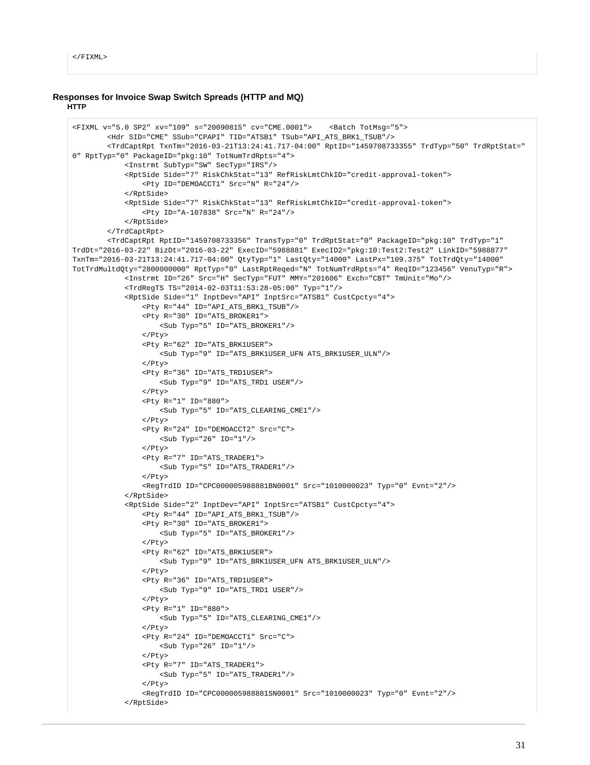```
</FIXML>
```
#### **Responses for Invoice Swap Switch Spreads (HTTP and MQ) HTTP**

```
<FIXML v="5.0 SP2" xv="109" s="20090815" cv="CME.0001"> <Batch TotMsg="5">
         <Hdr SID="CME" SSub="CPAPI" TID="ATSB1" TSub="API_ATS_BRK1_TSUB"/>
         <TrdCaptRpt TxnTm="2016-03-21T13:24:41.717-04:00" RptID="1459708733355" TrdTyp="50" TrdRptStat="
0" RptTyp="0" PackageID="pkg:10" TotNumTrdRpts="4">
             <Instrmt SubTyp="SW" SecTyp="IRS"/>
             <RptSide Side="7" RiskChkStat="13" RefRiskLmtChkID="credit-approval-token">
                 <Pty ID="DEMOACCT1" Src="N" R="24"/>
             </RptSide>
             <RptSide Side="7" RiskChkStat="13" RefRiskLmtChkID="credit-approval-token">
                 <Pty ID="A-107838" Src="N" R="24"/>
             </RptSide>
         </TrdCaptRpt>
         <TrdCaptRpt RptID="1459708733356" TransTyp="0" TrdRptStat="0" PackageID="pkg:10" TrdTyp="1" 
TrdDt="2016-03-22" BizDt="2016-03-22" ExecID="5988881" ExecID2="pkg:10:Test2:Test2" LinkID="5988877" 
TxnTm="2016-03-21T13:24:41.717-04:00" QtyTyp="1" LastQty="14000" LastPx="109.375" TotTrdQty="14000" 
TotTrdMultdQty="2800000000" RptTyp="0" LastRptReqed="N" TotNumTrdRpts="4" ReqID="123456" VenuTyp="R">
             <Instrmt ID="26" Src="H" SecTyp="FUT" MMY="201606" Exch="CBT" TmUnit="Mo"/>
             <TrdRegTS TS="2014-02-03T11:53:28-05:00" Typ="1"/>
             <RptSide Side="1" InptDev="API" InptSrc="ATSB1" CustCpcty="4">
                 <Pty R="44" ID="API_ATS_BRK1_TSUB"/>
                 <Pty R="30" ID="ATS_BROKER1">
                     <Sub Typ="5" ID="ATS_BROKER1"/>
                 </Pty>
                 <Pty R="62" ID="ATS_BRK1USER">
                     <Sub Typ="9" ID="ATS_BRK1USER_UFN ATS_BRK1USER_ULN"/>
                \epsilon/Pty>
                 <Pty R="36" ID="ATS_TRD1USER">
                     <Sub Typ="9" ID="ATS_TRD1 USER"/>
                \epsilon/Pty>
                 <Pty R="1" ID="880">
                     <Sub Typ="5" ID="ATS_CLEARING_CME1"/>
                 </Pty>
                 <Pty R="24" ID="DEMOACCT2" Src="C">
                     <Sub Typ="26" ID="1"/>
                 </Pty>
                 <Pty R="7" ID="ATS_TRADER1">
                     <Sub Typ="5" ID="ATS_TRADER1"/>
                </Pty>
                 <RegTrdID ID="CPC000005988881BN0001" Src="1010000023" Typ="0" Evnt="2"/>
             </RptSide>
             <RptSide Side="2" InptDev="API" InptSrc="ATSB1" CustCpcty="4">
                 <Pty R="44" ID="API_ATS_BRK1_TSUB"/>
                 <Pty R="30" ID="ATS_BROKER1">
                     <Sub Typ="5" ID="ATS_BROKER1"/>
                 </Pty>
                 <Pty R="62" ID="ATS_BRK1USER">
                     <Sub Typ="9" ID="ATS_BRK1USER_UFN ATS_BRK1USER_ULN"/>
                </Pty>
                 <Pty R="36" ID="ATS_TRD1USER">
                     <Sub Typ="9" ID="ATS_TRD1 USER"/>
                 </Pty>
                 <Pty R="1" ID="880">
                     <Sub Typ="5" ID="ATS_CLEARING_CME1"/>
                 </Pty>
                  <Pty R="24" ID="DEMOACCT1" Src="C">
                     <Sub Typ="26" ID="1"/>
                </Pty>
                 <Pty R="7" ID="ATS_TRADER1">
                     <Sub Typ="5" ID="ATS_TRADER1"/>
                 </Pty>
                  <RegTrdID ID="CPC000005988881SN0001" Src="1010000023" Typ="0" Evnt="2"/>
             </RptSide>
```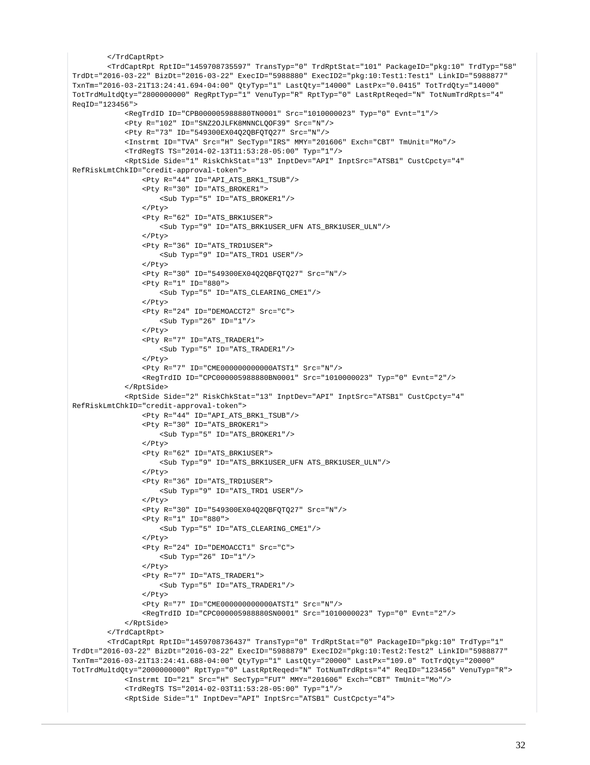```
 </TrdCaptRpt>
         <TrdCaptRpt RptID="1459708735597" TransTyp="0" TrdRptStat="101" PackageID="pkg:10" TrdTyp="58" 
TrdDt="2016-03-22" BizDt="2016-03-22" ExecID="5988880" ExecID2="pkg:10:Test1:Test1" LinkID="5988877" 
TxnTm="2016-03-21T13:24:41.694-04:00" QtyTyp="1" LastQty="14000" LastPx="0.0415" TotTrdQty="14000" 
TotTrdMultdQty="2800000000" RegRptTyp="1" VenuTyp="R" RptTyp="0" LastRptReqed="N" TotNumTrdRpts="4" 
ReqID="123456">
             <RegTrdID ID="CPB000005988880TN0001" Src="1010000023" Typ="0" Evnt="1"/>
             <Pty R="102" ID="SNZ2OJLFK8MNNCLQOF39" Src="N"/>
             <Pty R="73" ID="549300EX04Q2QBFQTQ27" Src="N"/>
             <Instrmt ID="TVA" Src="H" SecTyp="IRS" MMY="201606" Exch="CBT" TmUnit="Mo"/>
             <TrdRegTS TS="2014-02-13T11:53:28-05:00" Typ="1"/>
             <RptSide Side="1" RiskChkStat="13" InptDev="API" InptSrc="ATSB1" CustCpcty="4" 
RefRiskLmtChkID="credit-approval-token">
                 <Pty R="44" ID="API_ATS_BRK1_TSUB"/>
                  <Pty R="30" ID="ATS_BROKER1">
                      <Sub Typ="5" ID="ATS_BROKER1"/>
                 </Pty>
                  <Pty R="62" ID="ATS_BRK1USER">
                     <Sub Typ="9" ID="ATS_BRK1USER_UFN ATS_BRK1USER_ULN"/>
                  </Pty>
                  <Pty R="36" ID="ATS_TRD1USER">
                      <Sub Typ="9" ID="ATS_TRD1 USER"/>
                  </Pty>
                  <Pty R="30" ID="549300EX04Q2QBFQTQ27" Src="N"/>
                  <Pty R="1" ID="880">
                     <Sub Typ="5" ID="ATS_CLEARING_CME1"/>
                  </Pty>
                  <Pty R="24" ID="DEMOACCT2" Src="C">
                      <Sub Typ="26" ID="1"/>
                 \epsilon/Ptys
                  <Pty R="7" ID="ATS_TRADER1">
                     <Sub Typ="5" ID="ATS_TRADER1"/>
                  </Pty>
                  <Pty R="7" ID="CME000000000000ATST1" Src="N"/>
                  <RegTrdID ID="CPC000005988880BN0001" Src="1010000023" Typ="0" Evnt="2"/>
             </RptSide>
             <RptSide Side="2" RiskChkStat="13" InptDev="API" InptSrc="ATSB1" CustCpcty="4" 
RefRiskLmtChkID="credit-approval-token">
                 <Pty R="44" ID="API_ATS_BRK1_TSUB"/>
                  <Pty R="30" ID="ATS_BROKER1">
                      <Sub Typ="5" ID="ATS_BROKER1"/>
                 \langle/Ptv>
                  <Pty R="62" ID="ATS_BRK1USER">
                     <Sub Typ="9" ID="ATS_BRK1USER_UFN ATS_BRK1USER_ULN"/>
                  </Pty>
                  <Pty R="36" ID="ATS_TRD1USER">
                     <Sub Typ="9" ID="ATS_TRD1 USER"/>
                  </Pty>
                  <Pty R="30" ID="549300EX04Q2QBFQTQ27" Src="N"/>
                  <Pty R="1" ID="880">
                     <Sub Typ="5" ID="ATS_CLEARING_CME1"/>
                  </Pty>
                  <Pty R="24" ID="DEMOACCT1" Src="C">
                     <Sub Typ="26" ID="1"/>
                 \langle/Ptv>
                  <Pty R="7" ID="ATS_TRADER1">
                     <Sub Typ="5" ID="ATS_TRADER1"/>
                  </Pty>
                  <Pty R="7" ID="CME000000000000ATST1" Src="N"/>
                  <RegTrdID ID="CPC000005988880SN0001" Src="1010000023" Typ="0" Evnt="2"/>
             </RptSide>
         </TrdCaptRpt>
         <TrdCaptRpt RptID="1459708736437" TransTyp="0" TrdRptStat="0" PackageID="pkg:10" TrdTyp="1" 
TrdDt="2016-03-22" BizDt="2016-03-22" ExecID="5988879" ExecID2="pkg:10:Test2:Test2" LinkID="5988877" 
TxnTm="2016-03-21T13:24:41.688-04:00" QtyTyp="1" LastQty="20000" LastPx="109.0" TotTrdQty="20000" 
TotTrdMultdQty="2000000000" RptTyp="0" LastRptReqed="N" TotNumTrdRpts="4" ReqID="123456" VenuTyp="R">
             <Instrmt ID="21" Src="H" SecTyp="FUT" MMY="201606" Exch="CBT" TmUnit="Mo"/>
             <TrdRegTS TS="2014-02-03T11:53:28-05:00" Typ="1"/>
             <RptSide Side="1" InptDev="API" InptSrc="ATSB1" CustCpcty="4">
```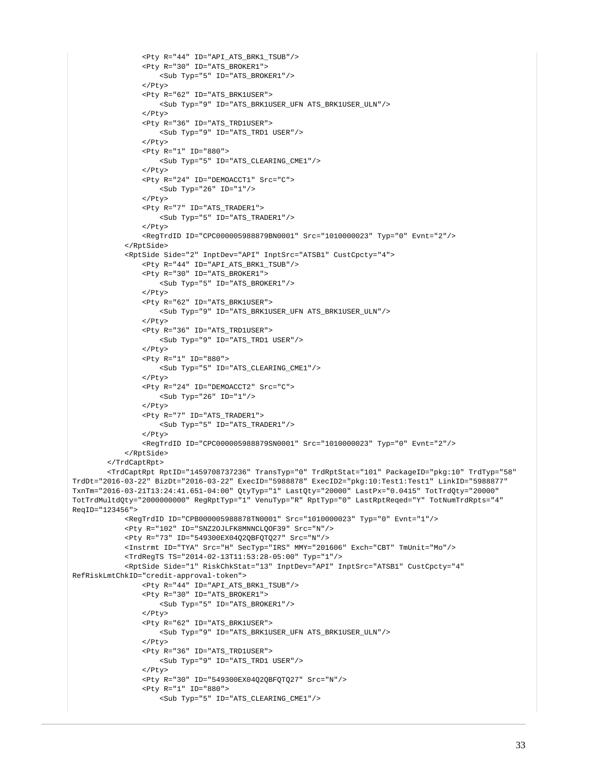```
 <Pty R="44" ID="API_ATS_BRK1_TSUB"/>
                    <Pty R="30" ID="ATS_BROKER1">
                        <Sub Typ="5" ID="ATS_BROKER1"/>
                   \epsilon/Pty>
                    <Pty R="62" ID="ATS_BRK1USER">
                        <Sub Typ="9" ID="ATS_BRK1USER_UFN ATS_BRK1USER_ULN"/>
                    </Pty>
                    <Pty R="36" ID="ATS_TRD1USER">
                        <Sub Typ="9" ID="ATS_TRD1 USER"/>
                    </Pty>
                    <Pty R="1" ID="880">
                        <Sub Typ="5" ID="ATS_CLEARING_CME1"/>
                    </Pty>
                    <Pty R="24" ID="DEMOACCT1" Src="C">
                        <Sub Typ="26" ID="1"/>
                    </Pty>
                    <Pty R="7" ID="ATS_TRADER1">
                        <Sub Typ="5" ID="ATS_TRADER1"/>
                    </Pty>
                    <RegTrdID ID="CPC000005988879BN0001" Src="1010000023" Typ="0" Evnt="2"/>
               </RptSide>
               <RptSide Side="2" InptDev="API" InptSrc="ATSB1" CustCpcty="4">
                    <Pty R="44" ID="API_ATS_BRK1_TSUB"/>
                   \overline{P} \overline{P} \overline{P} \overline{P} \overline{P} \overline{P} \overline{P} \overline{P} \overline{P} \overline{P} \overline{P} \overline{P} \overline{P} \overline{P} \overline{P} \overline{P} \overline{P} \overline{P} \overline{P} \overline{P} \overline{P} \overline{P} \overline{P} \overline{P} \overline{ <Sub Typ="5" ID="ATS_BROKER1"/>
                    </Pty>
                    <Pty R="62" ID="ATS_BRK1USER">
                        <Sub Typ="9" ID="ATS_BRK1USER_UFN ATS_BRK1USER_ULN"/>
                    </Pty>
                    <Pty R="36" ID="ATS_TRD1USER">
                        <Sub Typ="9" ID="ATS_TRD1 USER"/>
                    </Pty>
                    <Pty R="1" ID="880">
                        <Sub Typ="5" ID="ATS_CLEARING_CME1"/>
                   \epsilon/Pty>
                    <Pty R="24" ID="DEMOACCT2" Src="C">
                       $\mbox{\tt <Sub}~$Type="26"~ID="1"/{\smallgt} </Pty>
                    <Pty R="7" ID="ATS_TRADER1">
                        <Sub Typ="5" ID="ATS_TRADER1"/>
                    </Pty>
                    <RegTrdID ID="CPC000005988879SN0001" Src="1010000023" Typ="0" Evnt="2"/>
               </RptSide>
          </TrdCaptRpt>
          <TrdCaptRpt RptID="1459708737236" TransTyp="0" TrdRptStat="101" PackageID="pkg:10" TrdTyp="58" 
TrdDt="2016-03-22" BizDt="2016-03-22" ExecID="5988878" ExecID2="pkg:10:Test1:Test1" LinkID="5988877" 
TxnTm="2016-03-21T13:24:41.651-04:00" QtyTyp="1" LastQty="20000" LastPx="0.0415" TotTrdQty="20000" 
TotTrdMultdQty="2000000000" RegRptTyp="1" VenuTyp="R" RptTyp="0" LastRptReqed="Y" TotNumTrdRpts="4" 
ReqID="123456">
               <RegTrdID ID="CPB000005988878TN0001" Src="1010000023" Typ="0" Evnt="1"/>
               <Pty R="102" ID="SNZ2OJLFK8MNNCLQOF39" Src="N"/>
               <Pty R="73" ID="549300EX04Q2QBFQTQ27" Src="N"/>
               <Instrmt ID="TYA" Src="H" SecTyp="IRS" MMY="201606" Exch="CBT" TmUnit="Mo"/>
               <TrdRegTS TS="2014-02-13T11:53:28-05:00" Typ="1"/>
               <RptSide Side="1" RiskChkStat="13" InptDev="API" InptSrc="ATSB1" CustCpcty="4" 
RefRiskLmtChkID="credit-approval-token">
                   <Pty R="44" ID="API_ATS_BRK1_TSUB"/>
                    <Pty R="30" ID="ATS_BROKER1">
                        <Sub Typ="5" ID="ATS_BROKER1"/>
                   \langle/Ptv>
                    <Pty R="62" ID="ATS_BRK1USER">
                        <Sub Typ="9" ID="ATS_BRK1USER_UFN ATS_BRK1USER_ULN"/>
                    </Pty>
                    <Pty R="36" ID="ATS_TRD1USER">
                        <Sub Typ="9" ID="ATS_TRD1 USER"/>
                    </Pty>
                    <Pty R="30" ID="549300EX04Q2QBFQTQ27" Src="N"/>
                    <Pty R="1" ID="880">
                        <Sub Typ="5" ID="ATS_CLEARING_CME1"/>
```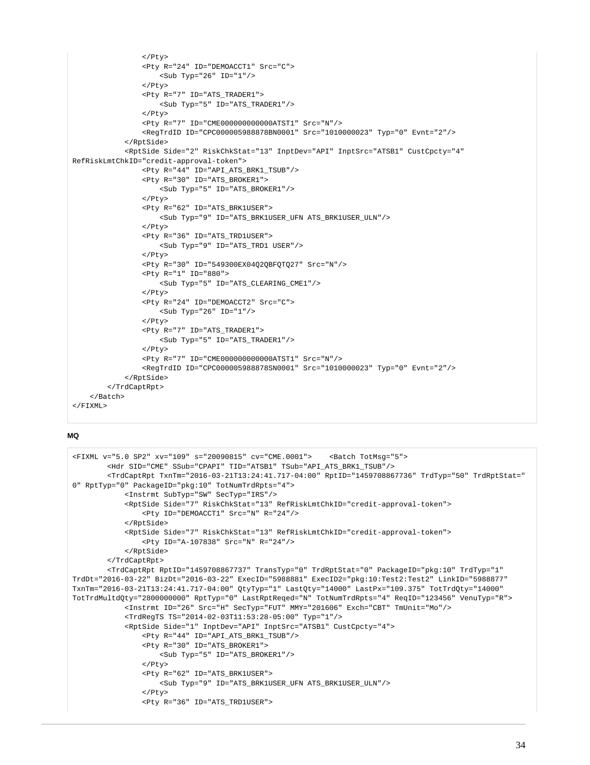```
\langle/Ptv>
                  <Pty R="24" ID="DEMOACCT1" Src="C">
                     s-Sub Typ="26" ID="1"/>
                 \epsilon/Pty>
                  <Pty R="7" ID="ATS_TRADER1">
                      <Sub Typ="5" ID="ATS_TRADER1"/>
                  </Pty>
                  <Pty R="7" ID="CME000000000000ATST1" Src="N"/>
                  <RegTrdID ID="CPC000005988878BN0001" Src="1010000023" Typ="0" Evnt="2"/>
              </RptSide>
              <RptSide Side="2" RiskChkStat="13" InptDev="API" InptSrc="ATSB1" CustCpcty="4" 
RefRiskLmtChkID="credit-approval-token">
                  <Pty R="44" ID="API_ATS_BRK1_TSUB"/>
                  <Pty R="30" ID="ATS_BROKER1">
                      <Sub Typ="5" ID="ATS_BROKER1"/>
                  </Pty>
                  <Pty R="62" ID="ATS_BRK1USER">
                      <Sub Typ="9" ID="ATS_BRK1USER_UFN ATS_BRK1USER_ULN"/>
                  </Pty>
                  <Pty R="36" ID="ATS_TRD1USER">
                      <Sub Typ="9" ID="ATS_TRD1 USER"/>
                  </Pty>
                  <Pty R="30" ID="549300EX04Q2QBFQTQ27" Src="N"/>
                  <Pty R="1" ID="880">
                      <Sub Typ="5" ID="ATS_CLEARING_CME1"/>
                 </Pty>
                  <Pty R="24" ID="DEMOACCT2" Src="C">
                     \text{Sub Type} "26" ID="1"/>
                  </Pty>
                  <Pty R="7" ID="ATS_TRADER1">
                      <Sub Typ="5" ID="ATS_TRADER1"/>
                  </Pty>
                  <Pty R="7" ID="CME000000000000ATST1" Src="N"/>
                  <RegTrdID ID="CPC000005988878SN0001" Src="1010000023" Typ="0" Evnt="2"/>
              </RptSide>
         </TrdCaptRpt>
    \epsilon/Batch\epsilon\epsilon/FTXML>
```

```
<FIXML v="5.0 SP2" xv="109" s="20090815" cv="CME.0001"> <Batch TotMsg="5">
         <Hdr SID="CME" SSub="CPAPI" TID="ATSB1" TSub="API_ATS_BRK1_TSUB"/>
         <TrdCaptRpt TxnTm="2016-03-21T13:24:41.717-04:00" RptID="1459708867736" TrdTyp="50" TrdRptStat="
0" RptTyp="0" PackageID="pkg:10" TotNumTrdRpts="4">
             <Instrmt SubTyp="SW" SecTyp="IRS"/>
             <RptSide Side="7" RiskChkStat="13" RefRiskLmtChkID="credit-approval-token">
                 <Pty ID="DEMOACCT1" Src="N" R="24"/>
             </RptSide>
             <RptSide Side="7" RiskChkStat="13" RefRiskLmtChkID="credit-approval-token">
                 <Pty ID="A-107838" Src="N" R="24"/>
             </RptSide>
         </TrdCaptRpt>
         <TrdCaptRpt RptID="1459708867737" TransTyp="0" TrdRptStat="0" PackageID="pkg:10" TrdTyp="1" 
TrdDt="2016-03-22" BizDt="2016-03-22" ExecID="5988881" ExecID2="pkg:10:Test2:Test2" LinkID="5988877" 
TxnTm="2016-03-21T13:24:41.717-04:00" QtyTyp="1" LastQty="14000" LastPx="109.375" TotTrdQty="14000" 
TotTrdMultdQty="2800000000" RptTyp="0" LastRptReqed="N" TotNumTrdRpts="4" ReqID="123456" VenuTyp="R">
             <Instrmt ID="26" Src="H" SecTyp="FUT" MMY="201606" Exch="CBT" TmUnit="Mo"/>
             <TrdRegTS TS="2014-02-03T11:53:28-05:00" Typ="1"/>
             <RptSide Side="1" InptDev="API" InptSrc="ATSB1" CustCpcty="4">
                 <Pty R="44" ID="API_ATS_BRK1_TSUB"/>
                 <Pty R="30" ID="ATS_BROKER1">
                    <Sub Typ="5" ID="ATS_BROKER1"/>
                 </Pty>
                 <Pty R="62" ID="ATS_BRK1USER">
                     <Sub Typ="9" ID="ATS_BRK1USER_UFN ATS_BRK1USER_ULN"/>
                 </Pty>
                 <Pty R="36" ID="ATS_TRD1USER">
```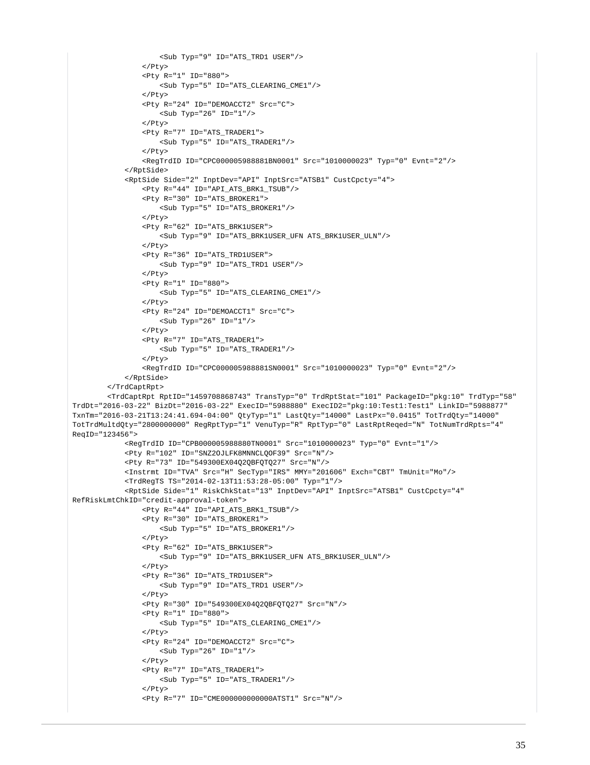```
 <Sub Typ="9" ID="ATS_TRD1 USER"/>
                  </Pty>
                  <Pty R="1" ID="880">
                     <Sub Typ="5" ID="ATS_CLEARING_CME1"/>
                  </Pty>
                  <Pty R="24" ID="DEMOACCT2" Src="C">
                      <Sub Typ="26" ID="1"/>
                  </Pty>
                  <Pty R="7" ID="ATS_TRADER1">
                     <Sub Typ="5" ID="ATS_TRADER1"/>
                 \epsilon/Pty>
                  <RegTrdID ID="CPC000005988881BN0001" Src="1010000023" Typ="0" Evnt="2"/>
             </RptSide>
             <RptSide Side="2" InptDev="API" InptSrc="ATSB1" CustCpcty="4">
                  <Pty R="44" ID="API_ATS_BRK1_TSUB"/>
                  <Pty R="30" ID="ATS_BROKER1">
                     <Sub Typ="5" ID="ATS_BROKER1"/>
                  </Pty>
                  <Pty R="62" ID="ATS_BRK1USER">
                      <Sub Typ="9" ID="ATS_BRK1USER_UFN ATS_BRK1USER_ULN"/>
                 \langle/Ptv>
                  <Pty R="36" ID="ATS_TRD1USER">
                     <Sub Typ="9" ID="ATS_TRD1 USER"/>
                 \epsilon/Dty>
                  <Pty R="1" ID="880">
                     <Sub Typ="5" ID="ATS_CLEARING_CME1"/>
                  </Pty>
                  <Pty R="24" ID="DEMOACCT1" Src="C">
                      <Sub Typ="26" ID="1"/>
                 \epsilon/Pty>
                  <Pty R="7" ID="ATS_TRADER1">
                     <Sub Typ="5" ID="ATS_TRADER1"/>
                  </Pty>
                  <RegTrdID ID="CPC000005988881SN0001" Src="1010000023" Typ="0" Evnt="2"/>
             </RptSide>
         </TrdCaptRpt>
         <TrdCaptRpt RptID="1459708868743" TransTyp="0" TrdRptStat="101" PackageID="pkg:10" TrdTyp="58" 
TrdDt="2016-03-22" BizDt="2016-03-22" ExecID="5988880" ExecID2="pkg:10:Test1:Test1" LinkID="5988877" 
TxnTm="2016-03-21T13:24:41.694-04:00" QtyTyp="1" LastQty="14000" LastPx="0.0415" TotTrdQty="14000" 
TotTrdMultdQty="2800000000" RegRptTyp="1" VenuTyp="R" RptTyp="0" LastRptReqed="N" TotNumTrdRpts="4" 
ReqID="123456">
             <RegTrdID ID="CPB000005988880TN0001" Src="1010000023" Typ="0" Evnt="1"/>
             <Pty R="102" ID="SNZ2OJLFK8MNNCLQOF39" Src="N"/>
             <Pty R="73" ID="549300EX04Q2QBFQTQ27" Src="N"/>
             <Instrmt ID="TVA" Src="H" SecTyp="IRS" MMY="201606" Exch="CBT" TmUnit="Mo"/>
             <TrdRegTS TS="2014-02-13T11:53:28-05:00" Typ="1"/>
             <RptSide Side="1" RiskChkStat="13" InptDev="API" InptSrc="ATSB1" CustCpcty="4" 
RefRiskLmtChkID="credit-approval-token">
                  <Pty R="44" ID="API_ATS_BRK1_TSUB"/>
                 ~ <Pty R="30" ID="ATS_BROKER1">
                     <Sub Typ="5" ID="ATS_BROKER1"/>
                  </Pty>
                  <Pty R="62" ID="ATS_BRK1USER">
                      <Sub Typ="9" ID="ATS_BRK1USER_UFN ATS_BRK1USER_ULN"/>
                 \langle/Ptv>
                  <Pty R="36" ID="ATS_TRD1USER">
                     <Sub Typ="9" ID="ATS_TRD1 USER"/>
                  </Pty>
                  <Pty R="30" ID="549300EX04Q2QBFQTQ27" Src="N"/>
                  <Pty R="1" ID="880">
                      <Sub Typ="5" ID="ATS_CLEARING_CME1"/>
                  </Pty>
                  <Pty R="24" ID="DEMOACCT2" Src="C">
                     <Sub Typ="26" ID="1"/>
                  </Pty>
                  <Pty R="7" ID="ATS_TRADER1">
                     \texttt{<Sub Type="5" ID="ATS TRADER1"}/\texttt{>} </Pty>
                  <Pty R="7" ID="CME000000000000ATST1" Src="N"/>
```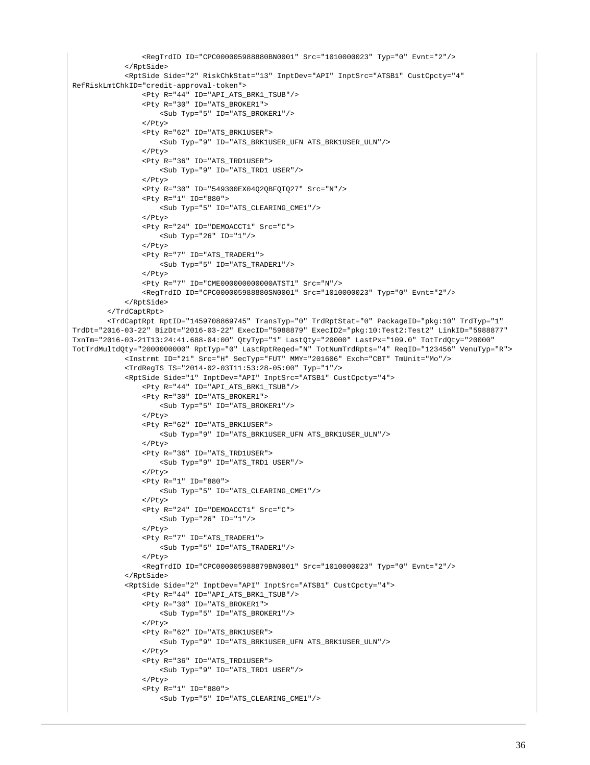```
 <RegTrdID ID="CPC000005988880BN0001" Src="1010000023" Typ="0" Evnt="2"/>
              </RptSide>
              <RptSide Side="2" RiskChkStat="13" InptDev="API" InptSrc="ATSB1" CustCpcty="4" 
RefRiskLmtChkID="credit-approval-token">
                  <Pty R="44" ID="API_ATS_BRK1_TSUB"/>
                  <Pty R="30" ID="ATS_BROKER1">
                      <Sub Typ="5" ID="ATS_BROKER1"/>
                  </Pty>
                  <Pty R="62" ID="ATS_BRK1USER">
                     <Sub Typ="9" ID="ATS_BRK1USER_UFN ATS_BRK1USER_ULN"/>
                  </Pty>
                  <Pty R="36" ID="ATS_TRD1USER">
                     <Sub Typ="9" ID="ATS_TRD1 USER"/>
                  </Pty>
                  <Pty R="30" ID="549300EX04Q2QBFQTQ27" Src="N"/>
                  <Pty R="1" ID="880">
                     <Sub Typ="5" ID="ATS_CLEARING_CME1"/>
                  </Pty>
                  <Pty R="24" ID="DEMOACCT1" Src="C">
                      <Sub Typ="26" ID="1"/>
                 \langle/Ptv>
                  <Pty R="7" ID="ATS_TRADER1">
                     <Sub Typ="5" ID="ATS_TRADER1"/>
                 \epsilon/Dty>
                  <Pty R="7" ID="CME000000000000ATST1" Src="N"/>
                  <RegTrdID ID="CPC000005988880SN0001" Src="1010000023" Typ="0" Evnt="2"/>
              </RptSide>
         </TrdCaptRpt>
         <TrdCaptRpt RptID="1459708869745" TransTyp="0" TrdRptStat="0" PackageID="pkg:10" TrdTyp="1" 
TrdDt="2016-03-22" BizDt="2016-03-22" ExecID="5988879" ExecID2="pkg:10:Test2:Test2" LinkID="5988877" 
TxnTm="2016-03-21T13:24:41.688-04:00" QtyTyp="1" LastQty="20000" LastPx="109.0" TotTrdQty="20000" 
TotTrdMultdQty="2000000000" RptTyp="0" LastRptReqed="N" TotNumTrdRpts="4" ReqID="123456" VenuTyp="R">
              <Instrmt ID="21" Src="H" SecTyp="FUT" MMY="201606" Exch="CBT" TmUnit="Mo"/>
              <TrdRegTS TS="2014-02-03T11:53:28-05:00" Typ="1"/>
              <RptSide Side="1" InptDev="API" InptSrc="ATSB1" CustCpcty="4">
                  <Pty R="44" ID="API_ATS_BRK1_TSUB"/>
                  <Pty R="30" ID="ATS_BROKER1">
                     <Sub Typ="5" ID="ATS_BROKER1"/>
                  </Pty>
                  <Pty R="62" ID="ATS_BRK1USER">
                      <Sub Typ="9" ID="ATS_BRK1USER_UFN ATS_BRK1USER_ULN"/>
                 \langle/Ptv>
                  <Pty R="36" ID="ATS_TRD1USER">
                     <Sub Typ="9" ID="ATS_TRD1 USER"/>
                  </Pty>
                  <Pty R="1" ID="880">
                      <Sub Typ="5" ID="ATS_CLEARING_CME1"/>
                 2/D+3/2 <Pty R="24" ID="DEMOACCT1" Src="C">
                     <Sub Typ="26" ID="1"/>
                 \langle/Ptv>
                  <Pty R="7" ID="ATS_TRADER1">
                      <Sub Typ="5" ID="ATS_TRADER1"/>
                  </Pty>
                  <RegTrdID ID="CPC000005988879BN0001" Src="1010000023" Typ="0" Evnt="2"/>
              </RptSide>
              <RptSide Side="2" InptDev="API" InptSrc="ATSB1" CustCpcty="4">
                  <Pty R="44" ID="API_ATS_BRK1_TSUB"/>
                  <Pty R="30" ID="ATS_BROKER1">
                      <Sub Typ="5" ID="ATS_BROKER1"/>
                  </Pty>
                  <Pty R="62" ID="ATS_BRK1USER">
                     <Sub Typ="9" ID="ATS_BRK1USER_UFN ATS_BRK1USER_ULN"/>
                 \langle/Ptv>
                  <Pty R="36" ID="ATS_TRD1USER">
                      <Sub Typ="9" ID="ATS_TRD1 USER"/>
                 \langle/Ptv>
                  <Pty R="1" ID="880">
                      <Sub Typ="5" ID="ATS_CLEARING_CME1"/>
```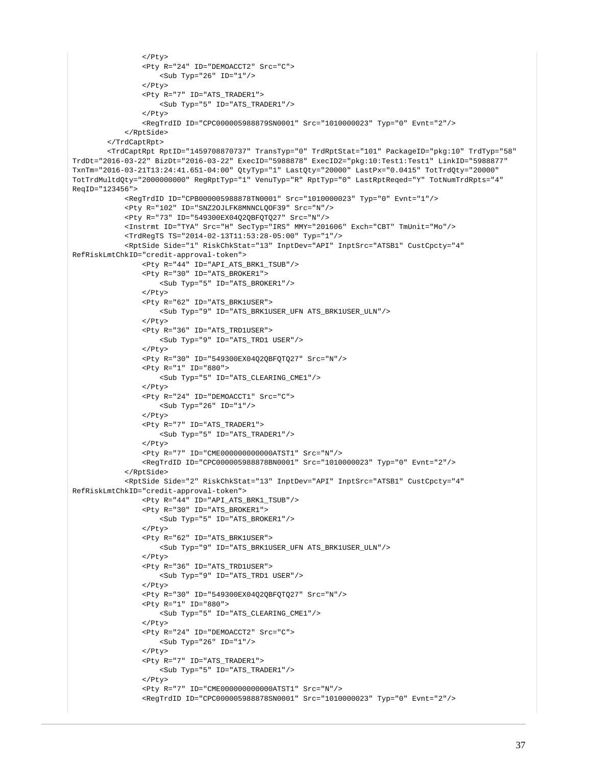```
\langle/Ptv>
                  <Pty R="24" ID="DEMOACCT2" Src="C">
                     <Sub Typ="26" ID="1"/>
                 \epsilon/Pty>
                  <Pty R="7" ID="ATS_TRADER1">
                     <Sub Typ="5" ID="ATS_TRADER1"/>
                  </Pty>
                  <RegTrdID ID="CPC000005988879SN0001" Src="1010000023" Typ="0" Evnt="2"/>
             </RptSide>
         </TrdCaptRpt>
         <TrdCaptRpt RptID="1459708870737" TransTyp="0" TrdRptStat="101" PackageID="pkg:10" TrdTyp="58" 
TrdDt="2016-03-22" BizDt="2016-03-22" ExecID="5988878" ExecID2="pkg:10:Test1:Test1" LinkID="5988877" 
TxnTm="2016-03-21T13:24:41.651-04:00" QtyTyp="1" LastQty="20000" LastPx="0.0415" TotTrdQty="20000" 
TotTrdMultdQty="2000000000" RegRptTyp="1" VenuTyp="R" RptTyp="0" LastRptReqed="Y" TotNumTrdRpts="4" 
ReqID="123456">
             <RegTrdID ID="CPB000005988878TN0001" Src="1010000023" Typ="0" Evnt="1"/>
             <Pty R="102" ID="SNZ2OJLFK8MNNCLQOF39" Src="N"/>
             <Pty R="73" ID="549300EX04Q2QBFQTQ27" Src="N"/>
             <Instrmt ID="TYA" Src="H" SecTyp="IRS" MMY="201606" Exch="CBT" TmUnit="Mo"/>
             <TrdRegTS TS="2014-02-13T11:53:28-05:00" Typ="1"/>
             <RptSide Side="1" RiskChkStat="13" InptDev="API" InptSrc="ATSB1" CustCpcty="4" 
RefRiskLmtChkID="credit-approval-token">
                 <Pty R="44" ID="API_ATS_BRK1_TSUB"/>
                  <Pty R="30" ID="ATS_BROKER1">
                     <Sub Typ="5" ID="ATS_BROKER1"/>
                  </Pty>
                  <Pty R="62" ID="ATS_BRK1USER">
                     <Sub Typ="9" ID="ATS_BRK1USER_UFN ATS_BRK1USER_ULN"/>
                  </Pty>
                  <Pty R="36" ID="ATS_TRD1USER">
                     <Sub Typ="9" ID="ATS_TRD1 USER"/>
                  </Pty>
                  <Pty R="30" ID="549300EX04Q2QBFQTQ27" Src="N"/>
                  <Pty R="1" ID="880">
                     <Sub Typ="5" ID="ATS CLEARING CME1"/>
                  </Pty>
                  <Pty R="24" ID="DEMOACCT1" Src="C">
                     <Sub Typ="26" ID="1"/>
                  </Pty>
                  <Pty R="7" ID="ATS_TRADER1">
                     <Sub Typ="5" ID="ATS_TRADER1"/>
                 \langle/Ptv>
                  <Pty R="7" ID="CME000000000000ATST1" Src="N"/>
                  <RegTrdID ID="CPC000005988878BN0001" Src="1010000023" Typ="0" Evnt="2"/>
             </RptSide>
             <RptSide Side="2" RiskChkStat="13" InptDev="API" InptSrc="ATSB1" CustCpcty="4" 
RefRiskLmtChkID="credit-approval-token">
                  <Pty R="44" ID="API_ATS_BRK1_TSUB"/>
                  <Pty R="30" ID="ATS_BROKER1">
                     <Sub Typ="5" ID="ATS_BROKER1"/>
                 \langle/Ptv>
                  <Pty R="62" ID="ATS_BRK1USER">
                      <Sub Typ="9" ID="ATS_BRK1USER_UFN ATS_BRK1USER_ULN"/>
                  </Pty>
                  <Pty R="36" ID="ATS_TRD1USER">
                     <Sub Typ="9" ID="ATS_TRD1 USER"/>
                 2/D+3/2 <Pty R="30" ID="549300EX04Q2QBFQTQ27" Src="N"/>
                  <Pty R="1" ID="880">
                     <Sub Typ="5" ID="ATS_CLEARING_CME1"/>
                  </Pty>
                  <Pty R="24" ID="DEMOACCT2" Src="C">
                     <Sub Typ="26" ID="1"/>
                 \langle/Ptv>
                  <Pty R="7" ID="ATS_TRADER1">
                      <Sub Typ="5" ID="ATS_TRADER1"/>
                 \epsilon/Pty>
                  <Pty R="7" ID="CME000000000000ATST1" Src="N"/>
                  <RegTrdID ID="CPC000005988878SN0001" Src="1010000023" Typ="0" Evnt="2"/>
```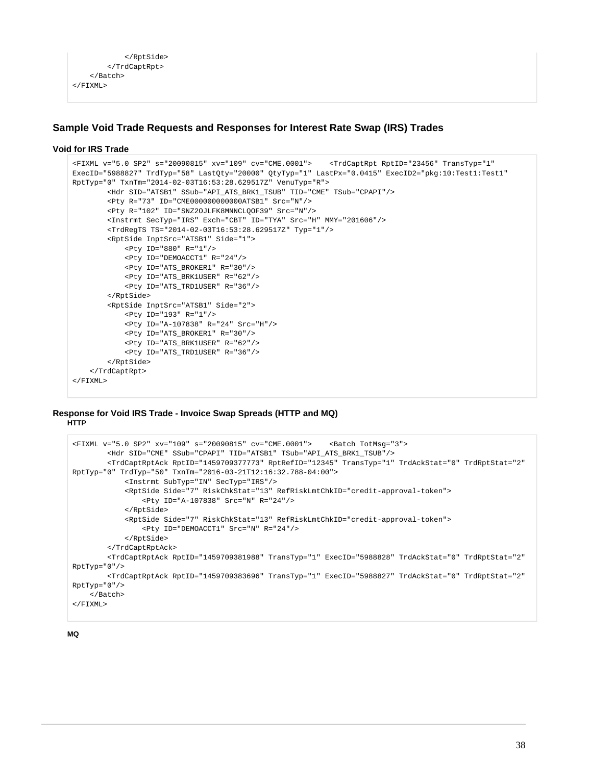```
 </RptSide>
           </TrdCaptRpt>
      </Batch>
\epsilon/FTXML>
```
# **Sample Void Trade Requests and Responses for Interest Rate Swap (IRS) Trades**

## **Void for IRS Trade**

```
<FIXML v="5.0 SP2" s="20090815" xv="109" cv="CME.0001"> <TrdCaptRpt RptID="23456" TransTyp="1" 
ExecID="5988827" TrdTyp="58" LastQty="20000" QtyTyp="1" LastPx="0.0415" ExecID2="pkg:10:Test1:Test1" 
RptTyp="0" TxnTm="2014-02-03T16:53:28.629517Z" VenuTyp="R">
         <Hdr SID="ATSB1" SSub="API_ATS_BRK1_TSUB" TID="CME" TSub="CPAPI"/>
         <Pty R="73" ID="CME000000000000ATSB1" Src="N"/>
         <Pty R="102" ID="SNZ2OJLFK8MNNCLQOF39" Src="N"/>
         <Instrmt SecTyp="IRS" Exch="CBT" ID="TYA" Src="H" MMY="201606"/>
         <TrdRegTS TS="2014-02-03T16:53:28.629517Z" Typ="1"/>
         <RptSide InptSrc="ATSB1" Side="1">
             <Pty ID="880" R="1"/>
             <Pty ID="DEMOACCT1" R="24"/>
             <Pty ID="ATS_BROKER1" R="30"/>
             <Pty ID="ATS_BRK1USER" R="62"/>
             <Pty ID="ATS_TRD1USER" R="36"/>
         </RptSide>
         <RptSide InptSrc="ATSB1" Side="2">
             <Pty ID="193" R="1"/>
             <Pty ID="A-107838" R="24" Src="H"/>
             <Pty ID="ATS_BROKER1" R="30"/>
             <Pty ID="ATS_BRK1USER" R="62"/>
             <Pty ID="ATS_TRD1USER" R="36"/>
         </RptSide>
     </TrdCaptRpt>
</FIXML>
```
## **Response for Void IRS Trade - Invoice Swap Spreads (HTTP and MQ) HTTP**

```
<FIXML v="5.0 SP2" xv="109" s="20090815" cv="CME.0001"> <Batch TotMsg="3">
         <Hdr SID="CME" SSub="CPAPI" TID="ATSB1" TSub="API_ATS_BRK1_TSUB"/>
         <TrdCaptRptAck RptID="1459709377773" RptRefID="12345" TransTyp="1" TrdAckStat="0" TrdRptStat="2" 
RptTyp="0" TrdTyp="50" TxnTm="2016-03-21T12:16:32.788-04:00">
             <Instrmt SubTyp="IN" SecTyp="IRS"/>
             <RptSide Side="7" RiskChkStat="13" RefRiskLmtChkID="credit-approval-token">
                 <Pty ID="A-107838" Src="N" R="24"/>
             </RptSide>
             <RptSide Side="7" RiskChkStat="13" RefRiskLmtChkID="credit-approval-token">
                 <Pty ID="DEMOACCT1" Src="N" R="24"/>
             </RptSide>
         </TrdCaptRptAck>
         <TrdCaptRptAck RptID="1459709381988" TransTyp="1" ExecID="5988828" TrdAckStat="0" TrdRptStat="2" 
RptTyp="0"/>
         <TrdCaptRptAck RptID="1459709383696" TransTyp="1" ExecID="5988827" TrdAckStat="0" TrdRptStat="2" 
RptTyp="0"/>
    </Batch>
< / _{\rm FIXML} >
```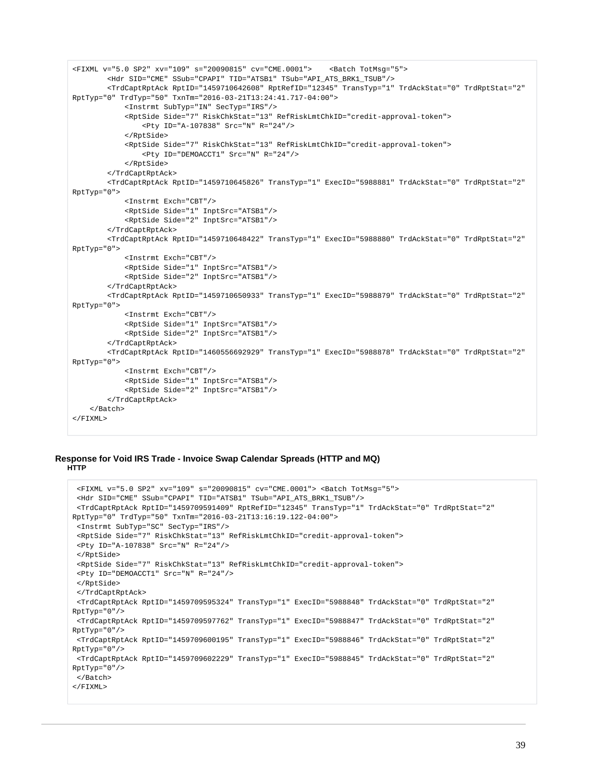```
<FIXML v="5.0 SP2" xv="109" s="20090815" cv="CME.0001"> <Batch TotMsg="5">
         <Hdr SID="CME" SSub="CPAPI" TID="ATSB1" TSub="API_ATS_BRK1_TSUB"/>
         <TrdCaptRptAck RptID="1459710642608" RptRefID="12345" TransTyp="1" TrdAckStat="0" TrdRptStat="2" 
RptTyp="0" TrdTyp="50" TxnTm="2016-03-21T13:24:41.717-04:00">
             <Instrmt SubTyp="IN" SecTyp="IRS"/>
             <RptSide Side="7" RiskChkStat="13" RefRiskLmtChkID="credit-approval-token">
                 <Pty ID="A-107838" Src="N" R="24"/>
             </RptSide>
             <RptSide Side="7" RiskChkStat="13" RefRiskLmtChkID="credit-approval-token">
                 <Pty ID="DEMOACCT1" Src="N" R="24"/>
             </RptSide>
         </TrdCaptRptAck>
         <TrdCaptRptAck RptID="1459710645826" TransTyp="1" ExecID="5988881" TrdAckStat="0" TrdRptStat="2" 
RptTyp="0">
             <Instrmt Exch="CBT"/>
             <RptSide Side="1" InptSrc="ATSB1"/>
             <RptSide Side="2" InptSrc="ATSB1"/>
         </TrdCaptRptAck>
         <TrdCaptRptAck RptID="1459710648422" TransTyp="1" ExecID="5988880" TrdAckStat="0" TrdRptStat="2" 
RptTyp="0">
             <Instrmt Exch="CBT"/>
             <RptSide Side="1" InptSrc="ATSB1"/>
             <RptSide Side="2" InptSrc="ATSB1"/>
         </TrdCaptRptAck>
         <TrdCaptRptAck RptID="1459710650933" TransTyp="1" ExecID="5988879" TrdAckStat="0" TrdRptStat="2" 
RptTyp="0">
             <Instrmt Exch="CBT"/>
             <RptSide Side="1" InptSrc="ATSB1"/>
             <RptSide Side="2" InptSrc="ATSB1"/>
         </TrdCaptRptAck>
         <TrdCaptRptAck RptID="1460556692929" TransTyp="1" ExecID="5988878" TrdAckStat="0" TrdRptStat="2" 
RptTyp="0">
             <Instrmt Exch="CBT"/>
             <RptSide Side="1" InptSrc="ATSB1"/>
             <RptSide Side="2" InptSrc="ATSB1"/>
         </TrdCaptRptAck>
     </Batch>
</FIXML>
```
### **Response for Void IRS Trade - Invoice Swap Calendar Spreads (HTTP and MQ) HTTP**

```
 <FIXML v="5.0 SP2" xv="109" s="20090815" cv="CME.0001"> <Batch TotMsg="5">
  <Hdr SID="CME" SSub="CPAPI" TID="ATSB1" TSub="API_ATS_BRK1_TSUB"/>
  <TrdCaptRptAck RptID="1459709591409" RptRefID="12345" TransTyp="1" TrdAckStat="0" TrdRptStat="2" 
RptTyp="0" TrdTyp="50" TxnTm="2016-03-21T13:16:19.122-04:00">
  <Instrmt SubTyp="SC" SecTyp="IRS"/>
  <RptSide Side="7" RiskChkStat="13" RefRiskLmtChkID="credit-approval-token">
  <Pty ID="A-107838" Src="N" R="24"/>
  </RptSide>
  <RptSide Side="7" RiskChkStat="13" RefRiskLmtChkID="credit-approval-token">
  <Pty ID="DEMOACCT1" Src="N" R="24"/>
  </RptSide>
  </TrdCaptRptAck>
  <TrdCaptRptAck RptID="1459709595324" TransTyp="1" ExecID="5988848" TrdAckStat="0" TrdRptStat="2" 
RptType="0"/>
  <TrdCaptRptAck RptID="1459709597762" TransTyp="1" ExecID="5988847" TrdAckStat="0" TrdRptStat="2" 
RptTyp="0"/>
 <TrdCaptRptAck RptID="1459709600195" TransTyp="1" ExecID="5988846" TrdAckStat="0" TrdRptStat="2" 
RptTyp="0"/>
  <TrdCaptRptAck RptID="1459709602229" TransTyp="1" ExecID="5988845" TrdAckStat="0" TrdRptStat="2" 
RptTyp="0"/>
 </Batch>
</FIXML>
```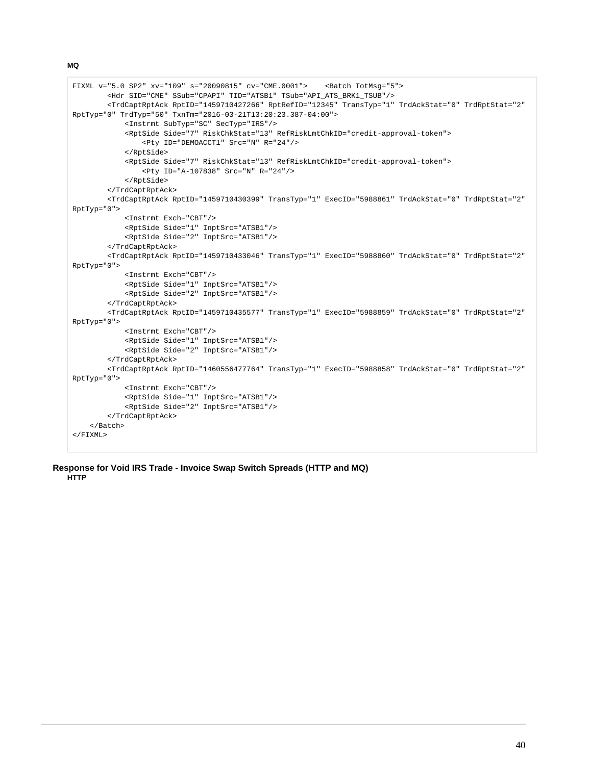```
FIXML v="5.0 SP2" xv="109" s="20090815" cv="CME.0001"> <Batch TotMsg="5">
         <Hdr SID="CME" SSub="CPAPI" TID="ATSB1" TSub="API_ATS_BRK1_TSUB"/>
         <TrdCaptRptAck RptID="1459710427266" RptRefID="12345" TransTyp="1" TrdAckStat="0" TrdRptStat="2" 
RptTyp="0" TrdTyp="50" TxnTm="2016-03-21T13:20:23.387-04:00">
             <Instrmt SubTyp="SC" SecTyp="IRS"/>
             <RptSide Side="7" RiskChkStat="13" RefRiskLmtChkID="credit-approval-token">
                 <Pty ID="DEMOACCT1" Src="N" R="24"/>
             </RptSide>
             <RptSide Side="7" RiskChkStat="13" RefRiskLmtChkID="credit-approval-token">
                 <Pty ID="A-107838" Src="N" R="24"/>
             </RptSide>
         </TrdCaptRptAck>
         <TrdCaptRptAck RptID="1459710430399" TransTyp="1" ExecID="5988861" TrdAckStat="0" TrdRptStat="2" 
RptTyp="0">
             <Instrmt Exch="CBT"/>
             <RptSide Side="1" InptSrc="ATSB1"/>
             <RptSide Side="2" InptSrc="ATSB1"/>
         </TrdCaptRptAck>
         <TrdCaptRptAck RptID="1459710433046" TransTyp="1" ExecID="5988860" TrdAckStat="0" TrdRptStat="2" 
RptTyp="0">
             <Instrmt Exch="CBT"/>
             <RptSide Side="1" InptSrc="ATSB1"/>
             <RptSide Side="2" InptSrc="ATSB1"/>
         </TrdCaptRptAck>
         <TrdCaptRptAck RptID="1459710435577" TransTyp="1" ExecID="5988859" TrdAckStat="0" TrdRptStat="2" 
RptTyp="0">
             <Instrmt Exch="CBT"/>
             <RptSide Side="1" InptSrc="ATSB1"/>
             <RptSide Side="2" InptSrc="ATSB1"/>
         </TrdCaptRptAck>
         <TrdCaptRptAck RptID="1460556477764" TransTyp="1" ExecID="5988858" TrdAckStat="0" TrdRptStat="2" 
RptTyp="0">
             <Instrmt Exch="CBT"/>
             <RptSide Side="1" InptSrc="ATSB1"/>
             <RptSide Side="2" InptSrc="ATSB1"/>
         </TrdCaptRptAck>
     </Batch>
</FIXML>
```
**Response for Void IRS Trade - Invoice Swap Switch Spreads (HTTP and MQ) HTTP**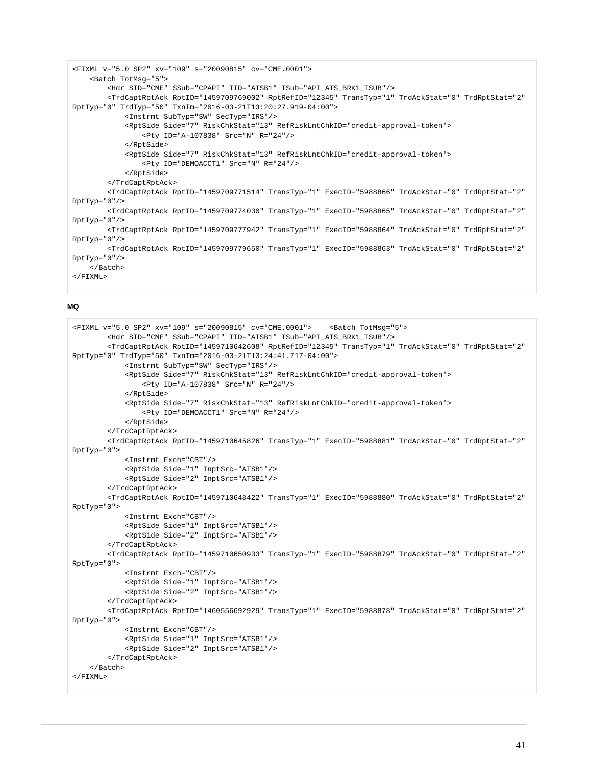```
<FIXML v="5.0 SP2" xv="109" s="20090815" cv="CME.0001">
     <Batch TotMsg="5">
         <Hdr SID="CME" SSub="CPAPI" TID="ATSB1" TSub="API_ATS_BRK1_TSUB"/>
         <TrdCaptRptAck RptID="1459709769002" RptRefID="12345" TransTyp="1" TrdAckStat="0" TrdRptStat="2" 
RptTyp="0" TrdTyp="50" TxnTm="2016-03-21T13:20:27.919-04:00">
             <Instrmt SubTyp="SW" SecTyp="IRS"/>
             <RptSide Side="7" RiskChkStat="13" RefRiskLmtChkID="credit-approval-token">
                 <Pty ID="A-107838" Src="N" R="24"/>
             </RptSide>
             <RptSide Side="7" RiskChkStat="13" RefRiskLmtChkID="credit-approval-token">
                 <Pty ID="DEMOACCT1" Src="N" R="24"/>
             </RptSide>
         </TrdCaptRptAck>
         <TrdCaptRptAck RptID="1459709771514" TransTyp="1" ExecID="5988866" TrdAckStat="0" TrdRptStat="2" 
RptTyp="0"/>
         <TrdCaptRptAck RptID="1459709774030" TransTyp="1" ExecID="5988865" TrdAckStat="0" TrdRptStat="2" 
RptTyp="0"/>
         <TrdCaptRptAck RptID="1459709777942" TransTyp="1" ExecID="5988864" TrdAckStat="0" TrdRptStat="2" 
RptTyp="0"/>
         <TrdCaptRptAck RptID="1459709779650" TransTyp="1" ExecID="5988863" TrdAckStat="0" TrdRptStat="2" 
RptTyp="0"/>
     </Batch>
\epsilon/FTXML>
```

```
<FIXML v="5.0 SP2" xv="109" s="20090815" cv="CME.0001"> <Batch TotMsg="5">
         <Hdr SID="CME" SSub="CPAPI" TID="ATSB1" TSub="API_ATS_BRK1_TSUB"/>
         <TrdCaptRptAck RptID="1459710642608" RptRefID="12345" TransTyp="1" TrdAckStat="0" TrdRptStat="2" 
RptTyp="0" TrdTyp="50" TxnTm="2016-03-21T13:24:41.717-04:00">
             <Instrmt SubTyp="SW" SecTyp="IRS"/>
             <RptSide Side="7" RiskChkStat="13" RefRiskLmtChkID="credit-approval-token">
                 <Pty ID="A-107838" Src="N" R="24"/>
             </RptSide>
             <RptSide Side="7" RiskChkStat="13" RefRiskLmtChkID="credit-approval-token">
                 <Pty ID="DEMOACCT1" Src="N" R="24"/>
             </RptSide>
         </TrdCaptRptAck>
         <TrdCaptRptAck RptID="1459710645826" TransTyp="1" ExecID="5988881" TrdAckStat="0" TrdRptStat="2" 
RptTyp="0">
             <Instrmt Exch="CBT"/>
             <RptSide Side="1" InptSrc="ATSB1"/>
             <RptSide Side="2" InptSrc="ATSB1"/>
         </TrdCaptRptAck>
         <TrdCaptRptAck RptID="1459710648422" TransTyp="1" ExecID="5988880" TrdAckStat="0" TrdRptStat="2" 
RptTyp="0">
             <Instrmt Exch="CBT"/>
             <RptSide Side="1" InptSrc="ATSB1"/>
             <RptSide Side="2" InptSrc="ATSB1"/>
         </TrdCaptRptAck>
         <TrdCaptRptAck RptID="1459710650933" TransTyp="1" ExecID="5988879" TrdAckStat="0" TrdRptStat="2" 
RptTyp="0">
             <Instrmt Exch="CBT"/>
             <RptSide Side="1" InptSrc="ATSB1"/>
             <RptSide Side="2" InptSrc="ATSB1"/>
         </TrdCaptRptAck>
         <TrdCaptRptAck RptID="1460556692929" TransTyp="1" ExecID="5988878" TrdAckStat="0" TrdRptStat="2" 
RptTyp="0">
             <Instrmt Exch="CBT"/>
             <RptSide Side="1" InptSrc="ATSB1"/>
             <RptSide Side="2" InptSrc="ATSB1"/>
         </TrdCaptRptAck>
     </Batch>
</FIXML>
```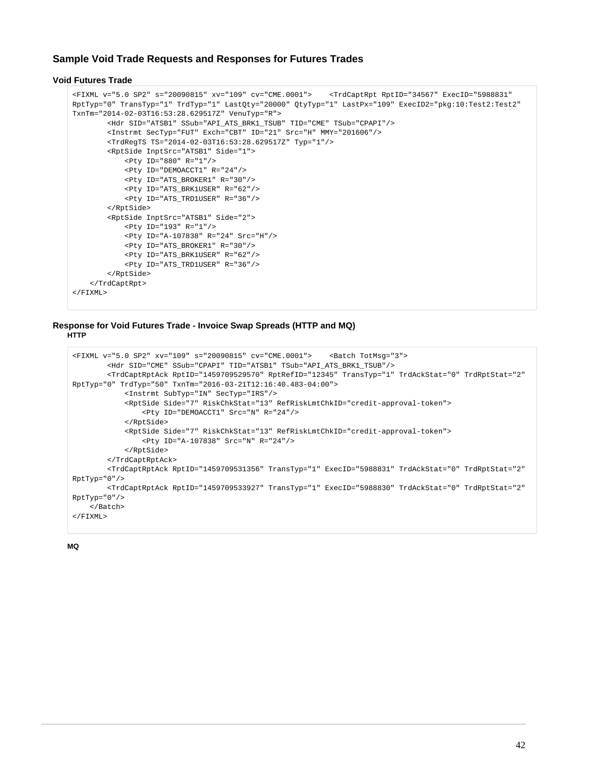# **Sample Void Trade Requests and Responses for Futures Trades**

# **Void Futures Trade**

```
<FIXML v="5.0 SP2" s="20090815" xv="109" cv="CME.0001"> <TrdCaptRpt RptID="34567" ExecID="5988831" 
RptTyp="0" TransTyp="1" TrdTyp="1" LastQty="20000" QtyTyp="1" LastPx="109" ExecID2="pkg:10:Test2:Test2" 
TxnTm="2014-02-03T16:53:28.629517Z" VenuTyp="R">
         <Hdr SID="ATSB1" SSub="API_ATS_BRK1_TSUB" TID="CME" TSub="CPAPI"/>
         <Instrmt SecTyp="FUT" Exch="CBT" ID="21" Src="H" MMY="201606"/>
         <TrdRegTS TS="2014-02-03T16:53:28.629517Z" Typ="1"/>
         <RptSide InptSrc="ATSB1" Side="1">
             <Pty ID="880" R="1"/>
             <Pty ID="DEMOACCT1" R="24"/>
             <Pty ID="ATS_BROKER1" R="30"/>
             <Pty ID="ATS_BRK1USER" R="62"/>
             <Pty ID="ATS_TRD1USER" R="36"/>
         </RptSide>
         <RptSide InptSrc="ATSB1" Side="2">
             <Pty ID="193" R="1"/>
             <Pty ID="A-107838" R="24" Src="H"/>
             <Pty ID="ATS_BROKER1" R="30"/>
             <Pty ID="ATS_BRK1USER" R="62"/>
             <Pty ID="ATS_TRD1USER" R="36"/>
         </RptSide>
     </TrdCaptRpt>
</FIXML>
```
## **Response for Void Futures Trade - Invoice Swap Spreads (HTTP and MQ) HTTP**

```
<FIXML v="5.0 SP2" xv="109" s="20090815" cv="CME.0001"> <Batch TotMsg="3">
         <Hdr SID="CME" SSub="CPAPI" TID="ATSB1" TSub="API_ATS_BRK1_TSUB"/>
         <TrdCaptRptAck RptID="1459709529570" RptRefID="12345" TransTyp="1" TrdAckStat="0" TrdRptStat="2" 
RptTyp="0" TrdTyp="50" TxnTm="2016-03-21T12:16:40.483-04:00">
             <Instrmt SubTyp="IN" SecTyp="IRS"/>
             <RptSide Side="7" RiskChkStat="13" RefRiskLmtChkID="credit-approval-token">
                 <Pty ID="DEMOACCT1" Src="N" R="24"/>
             </RptSide>
             <RptSide Side="7" RiskChkStat="13" RefRiskLmtChkID="credit-approval-token">
                 <Pty ID="A-107838" Src="N" R="24"/>
             </RptSide>
         </TrdCaptRptAck>
         <TrdCaptRptAck RptID="1459709531356" TransTyp="1" ExecID="5988831" TrdAckStat="0" TrdRptStat="2" 
RptTyp="0"/>
         <TrdCaptRptAck RptID="1459709533927" TransTyp="1" ExecID="5988830" TrdAckStat="0" TrdRptStat="2" 
RptTyp="0"/>
     </Batch>
</FIXML>
```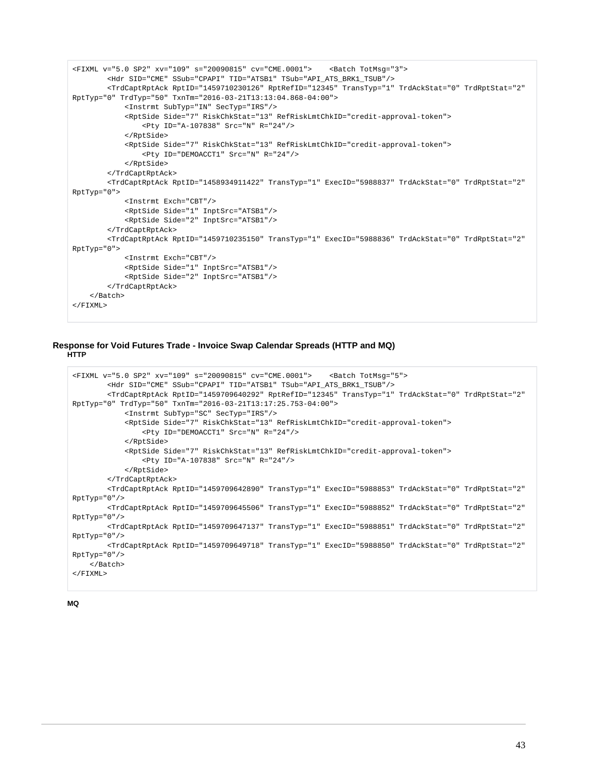```
<FIXML v="5.0 SP2" xv="109" s="20090815" cv="CME.0001"> <Batch TotMsg="3">
         <Hdr SID="CME" SSub="CPAPI" TID="ATSB1" TSub="API_ATS_BRK1_TSUB"/>
         <TrdCaptRptAck RptID="1459710230126" RptRefID="12345" TransTyp="1" TrdAckStat="0" TrdRptStat="2" 
RptTyp="0" TrdTyp="50" TxnTm="2016-03-21T13:13:04.868-04:00">
             <Instrmt SubTyp="IN" SecTyp="IRS"/>
             <RptSide Side="7" RiskChkStat="13" RefRiskLmtChkID="credit-approval-token">
                 <Pty ID="A-107838" Src="N" R="24"/>
             </RptSide>
             <RptSide Side="7" RiskChkStat="13" RefRiskLmtChkID="credit-approval-token">
                 <Pty ID="DEMOACCT1" Src="N" R="24"/>
             </RptSide>
         </TrdCaptRptAck>
         <TrdCaptRptAck RptID="1458934911422" TransTyp="1" ExecID="5988837" TrdAckStat="0" TrdRptStat="2" 
RptTyp="0">
             <Instrmt Exch="CBT"/>
             <RptSide Side="1" InptSrc="ATSB1"/>
             <RptSide Side="2" InptSrc="ATSB1"/>
         </TrdCaptRptAck>
         <TrdCaptRptAck RptID="1459710235150" TransTyp="1" ExecID="5988836" TrdAckStat="0" TrdRptStat="2" 
RptTyp="0">
             <Instrmt Exch="CBT"/>
             <RptSide Side="1" InptSrc="ATSB1"/>
             <RptSide Side="2" InptSrc="ATSB1"/>
         </TrdCaptRptAck>
     </Batch>
</FIXML>
```
# **Response for Void Futures Trade - Invoice Swap Calendar Spreads (HTTP and MQ) HTTP**

```
<FIXML v="5.0 SP2" xv="109" s="20090815" cv="CME.0001"> <Batch TotMsg="5">
         <Hdr SID="CME" SSub="CPAPI" TID="ATSB1" TSub="API_ATS_BRK1_TSUB"/>
         <TrdCaptRptAck RptID="1459709640292" RptRefID="12345" TransTyp="1" TrdAckStat="0" TrdRptStat="2" 
RptTyp="0" TrdTyp="50" TxnTm="2016-03-21T13:17:25.753-04:00">
             <Instrmt SubTyp="SC" SecTyp="IRS"/>
             <RptSide Side="7" RiskChkStat="13" RefRiskLmtChkID="credit-approval-token">
                 <Pty ID="DEMOACCT1" Src="N" R="24"/>
             </RptSide>
             <RptSide Side="7" RiskChkStat="13" RefRiskLmtChkID="credit-approval-token">
                 <Pty ID="A-107838" Src="N" R="24"/>
             </RptSide>
         </TrdCaptRptAck>
         <TrdCaptRptAck RptID="1459709642890" TransTyp="1" ExecID="5988853" TrdAckStat="0" TrdRptStat="2" 
RptTyp="0"/>
         <TrdCaptRptAck RptID="1459709645506" TransTyp="1" ExecID="5988852" TrdAckStat="0" TrdRptStat="2" 
RptTyp="0"/>
         <TrdCaptRptAck RptID="1459709647137" TransTyp="1" ExecID="5988851" TrdAckStat="0" TrdRptStat="2" 
RptTyp="0"/>
         <TrdCaptRptAck RptID="1459709649718" TransTyp="1" ExecID="5988850" TrdAckStat="0" TrdRptStat="2" 
RptTyp="0"/>
     </Batch>
</FIXML>
```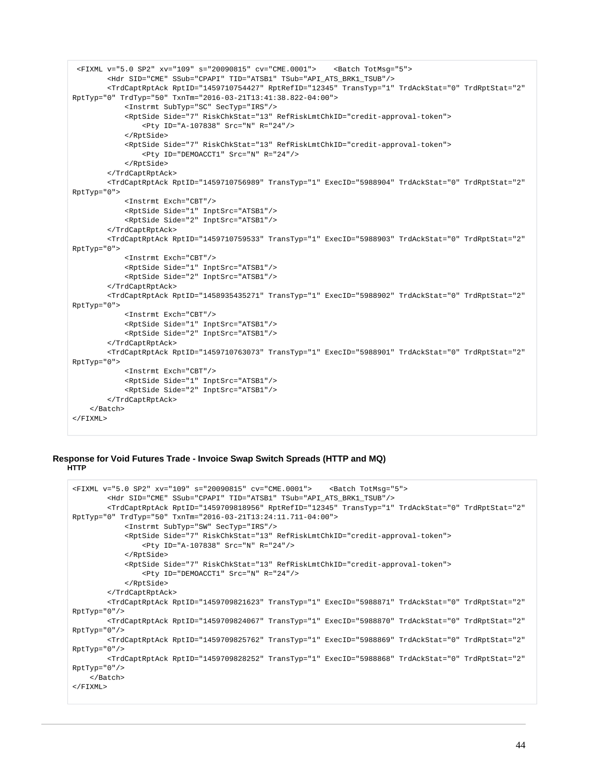```
 <FIXML v="5.0 SP2" xv="109" s="20090815" cv="CME.0001"> <Batch TotMsg="5">
         <Hdr SID="CME" SSub="CPAPI" TID="ATSB1" TSub="API_ATS_BRK1_TSUB"/>
         <TrdCaptRptAck RptID="1459710754427" RptRefID="12345" TransTyp="1" TrdAckStat="0" TrdRptStat="2" 
RptTyp="0" TrdTyp="50" TxnTm="2016-03-21T13:41:38.822-04:00">
             <Instrmt SubTyp="SC" SecTyp="IRS"/>
             <RptSide Side="7" RiskChkStat="13" RefRiskLmtChkID="credit-approval-token">
                 <Pty ID="A-107838" Src="N" R="24"/>
             </RptSide>
             <RptSide Side="7" RiskChkStat="13" RefRiskLmtChkID="credit-approval-token">
                 <Pty ID="DEMOACCT1" Src="N" R="24"/>
             </RptSide>
         </TrdCaptRptAck>
         <TrdCaptRptAck RptID="1459710756989" TransTyp="1" ExecID="5988904" TrdAckStat="0" TrdRptStat="2" 
RptTyp="0">
             <Instrmt Exch="CBT"/>
             <RptSide Side="1" InptSrc="ATSB1"/>
             <RptSide Side="2" InptSrc="ATSB1"/>
         </TrdCaptRptAck>
         <TrdCaptRptAck RptID="1459710759533" TransTyp="1" ExecID="5988903" TrdAckStat="0" TrdRptStat="2" 
RptTyp="0">
             <Instrmt Exch="CBT"/>
             <RptSide Side="1" InptSrc="ATSB1"/>
             <RptSide Side="2" InptSrc="ATSB1"/>
         </TrdCaptRptAck>
         <TrdCaptRptAck RptID="1458935435271" TransTyp="1" ExecID="5988902" TrdAckStat="0" TrdRptStat="2" 
RptTyp="0">
             <Instrmt Exch="CBT"/>
             <RptSide Side="1" InptSrc="ATSB1"/>
             <RptSide Side="2" InptSrc="ATSB1"/>
         </TrdCaptRptAck>
         <TrdCaptRptAck RptID="1459710763073" TransTyp="1" ExecID="5988901" TrdAckStat="0" TrdRptStat="2" 
RptTyp="0">
             <Instrmt Exch="CBT"/>
             <RptSide Side="1" InptSrc="ATSB1"/>
             <RptSide Side="2" InptSrc="ATSB1"/>
         </TrdCaptRptAck>
     </Batch>
</FIXML>
```
## **Response for Void Futures Trade - Invoice Swap Switch Spreads (HTTP and MQ) HTTP**

```
<FIXML v="5.0 SP2" xv="109" s="20090815" cv="CME.0001"> <Batch TotMsg="5">
         <Hdr SID="CME" SSub="CPAPI" TID="ATSB1" TSub="API_ATS_BRK1_TSUB"/>
         <TrdCaptRptAck RptID="1459709818956" RptRefID="12345" TransTyp="1" TrdAckStat="0" TrdRptStat="2" 
RptTyp="0" TrdTyp="50" TxnTm="2016-03-21T13:24:11.711-04:00">
             <Instrmt SubTyp="SW" SecTyp="IRS"/>
             <RptSide Side="7" RiskChkStat="13" RefRiskLmtChkID="credit-approval-token">
                 <Pty ID="A-107838" Src="N" R="24"/>
             </RptSide>
             <RptSide Side="7" RiskChkStat="13" RefRiskLmtChkID="credit-approval-token">
                 <Pty ID="DEMOACCT1" Src="N" R="24"/>
             </RptSide>
         </TrdCaptRptAck>
         <TrdCaptRptAck RptID="1459709821623" TransTyp="1" ExecID="5988871" TrdAckStat="0" TrdRptStat="2" 
RptTyp="0"/>
         <TrdCaptRptAck RptID="1459709824067" TransTyp="1" ExecID="5988870" TrdAckStat="0" TrdRptStat="2" 
RptTyp="0"/>
         <TrdCaptRptAck RptID="1459709825762" TransTyp="1" ExecID="5988869" TrdAckStat="0" TrdRptStat="2" 
RptTyp="0"/>
         <TrdCaptRptAck RptID="1459709828252" TransTyp="1" ExecID="5988868" TrdAckStat="0" TrdRptStat="2" 
RptTyp="0"/>
     </Batch>
</FIXML>
```